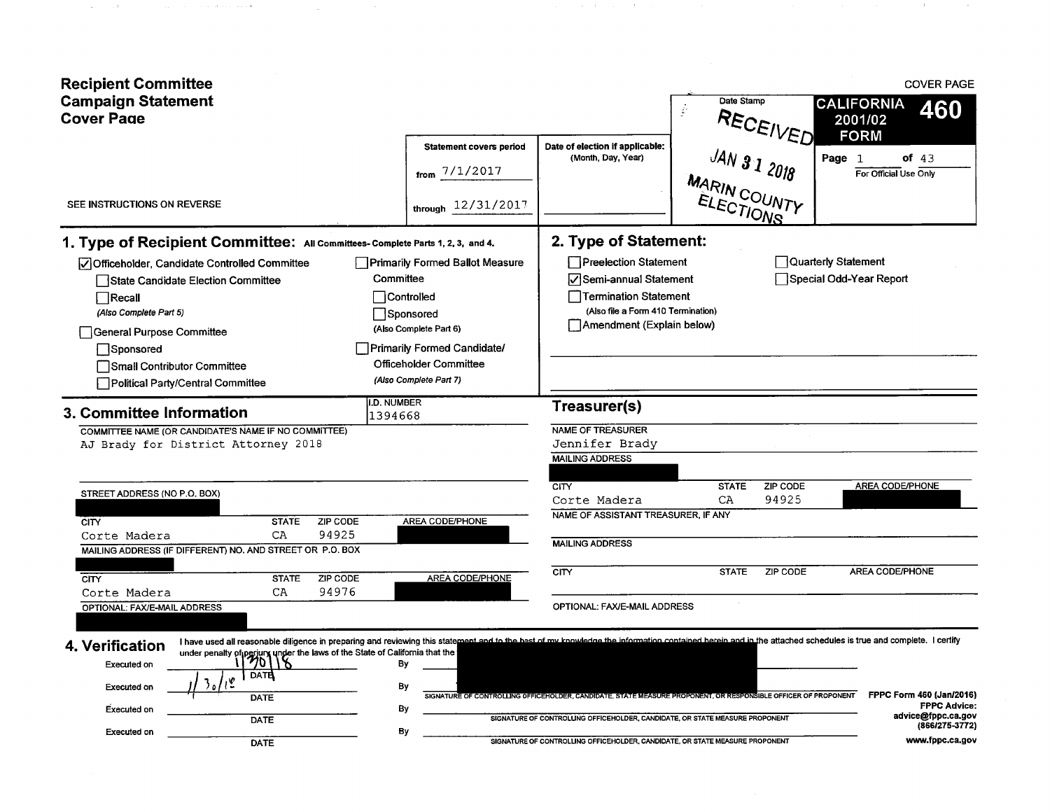| <b>Recipient Committee</b><br><b>Campaign Statement</b><br><b>Cover Page</b>                                                                                                                                                                                                                                                                                                                  |                                                                                                                                                                          |                                                                                                                                                                     | Date Stamp<br>ŷ<br>RECEIVED                                                                                    | <b>COVER PAGE</b><br><b>CALIFORNIA</b><br>460<br>2001/02                                |
|-----------------------------------------------------------------------------------------------------------------------------------------------------------------------------------------------------------------------------------------------------------------------------------------------------------------------------------------------------------------------------------------------|--------------------------------------------------------------------------------------------------------------------------------------------------------------------------|---------------------------------------------------------------------------------------------------------------------------------------------------------------------|----------------------------------------------------------------------------------------------------------------|-----------------------------------------------------------------------------------------|
| SEE INSTRUCTIONS ON REVERSE                                                                                                                                                                                                                                                                                                                                                                   | <b>Statement covers period</b><br>from $7/1/2017$<br>through 12/31/2017                                                                                                  | Date of election if applicable:<br>(Month, Day, Year)                                                                                                               | JAN 31 2018                                                                                                    | <b>FORM</b><br>Page 1<br>of $43$<br>For Official Use Only                               |
| 1. Type of Recipient Committee: All Committees- Complete Parts 1, 2, 3, and 4.<br>Officeholder, Candidate Controlled Committee<br>State Candidate Election Committee<br>$\Box$ Recall<br>(Also Complete Part 5)<br>General Purpose Committee<br>Sponsored                                                                                                                                     | <b>Primarily Formed Ballot Measure</b><br>Committee<br>Controlled<br>Sponsored<br>(Also Complete Part 6)<br>Primarily Formed Candidate/<br><b>Officeholder Committee</b> | 2. Type of Statement:<br>Preelection Statement<br>Semi-annual Statement<br>Termination Statement<br>(Also file a Form 410 Termination)<br>Amendment (Explain below) |                                                                                                                | Quarterly Statement<br>Special Odd-Year Report                                          |
| Small Contributor Committee<br>Political Party/Central Committee<br>3. Committee Information<br>COMMITTEE NAME (OR CANDIDATE'S NAME IF NO COMMITTEE)                                                                                                                                                                                                                                          | (Also Complete Part 7)<br>I.D. NUMBER<br>1394668                                                                                                                         | Treasurer(s)<br>NAME OF TREASURER                                                                                                                                   |                                                                                                                |                                                                                         |
| AJ Brady for District Attorney 2018<br>STREET ADDRESS (NO P.O. BOX)                                                                                                                                                                                                                                                                                                                           |                                                                                                                                                                          | Jennifer Brady<br><b>MAILING ADDRESS</b><br><b>CITY</b><br>Corte Madera                                                                                             | ZIP CODE<br><b>STATE</b><br>94925<br>CA                                                                        | <b>AREA CODE/PHONE</b>                                                                  |
| ZIP CODE<br><b>STATE</b><br><b>CITY</b><br>94925<br>CA<br>Corte Madera<br>MAILING ADDRESS (IF DIFFERENT) NO. AND STREET OR P.O. BOX<br>ZIP CODE<br><b>CITY</b><br><b>STATE</b>                                                                                                                                                                                                                | AREA CODE/PHONE<br><b>AREA CODE/PHONE</b>                                                                                                                                | NAME OF ASSISTANT TREASURER, IF ANY<br><b>MAILING ADDRESS</b><br>CITY                                                                                               | ZIP CODE<br><b>STATE</b>                                                                                       | <b>AREA CODE/PHONE</b>                                                                  |
| 94976<br>CA<br>Corte Madera<br>OPTIONAL: FAX/E-MAIL ADDRESS<br>I have used all reasonable diligence in preparing and reviewing this statement and to the best of my knowledge the information contained berein and in the attached schedules is true and complete. I certify<br>4. Verification<br>under penalty of perjury under the laws of the State of California that the $\frac{1}{20}$ |                                                                                                                                                                          | OPTIONAL: FAX/E-MAIL ADDRESS                                                                                                                                        |                                                                                                                |                                                                                         |
| Executed on<br><b>DATE</b><br><b>Executed on</b><br><b>DATE</b><br><b>Executed on</b><br>DATE                                                                                                                                                                                                                                                                                                 | By<br>By<br>By                                                                                                                                                           | SIGNATURE OF CONTROLLING OFFICEHOLDER, CANDIDATE, OR STATE MEASURE PROPONENT                                                                                        | SIGNATURE OF CONTROLLING OFFICEHOLDER, CANDIDATE, STATE MEASURE PROPONENT, OR RESPONSIBLE OFFICER OF PROPONENT | FPPC Form 460 (Jan/2016)<br><b>FPPC Advice:</b><br>advice@fppc.ca.gov<br>(866/275-3772) |
| <b>Executed on</b><br><b>DATE</b>                                                                                                                                                                                                                                                                                                                                                             | By                                                                                                                                                                       | SIGNATURE OF CONTROLLING OFFICEHOLDER, CANDIDATE, OR STATE MEASURE PROPONENT                                                                                        |                                                                                                                | www.fppc.ca.gov                                                                         |

 $\mathcal{L}_{\mathcal{A}}$  , and  $\mathcal{L}_{\mathcal{A}}$  , and  $\mathcal{A}_{\mathcal{A}}$  , and  $\mathcal{A}_{\mathcal{A}}$  , and  $\mathcal{A}_{\mathcal{A}}$  , and

 $\mathcal{O}(\mathcal{O}_\mathcal{O})$  and  $\mathcal{O}(\mathcal{O}_\mathcal{O})$  . The set of  $\mathcal{O}_\mathcal{O}(\mathcal{O}_\mathcal{O})$ 

 $\mathcal{L}_{\mathcal{A}}$  and  $\mathcal{L}_{\mathcal{A}}$  are also assumed to the following the space of the space of  $\mathcal{A}$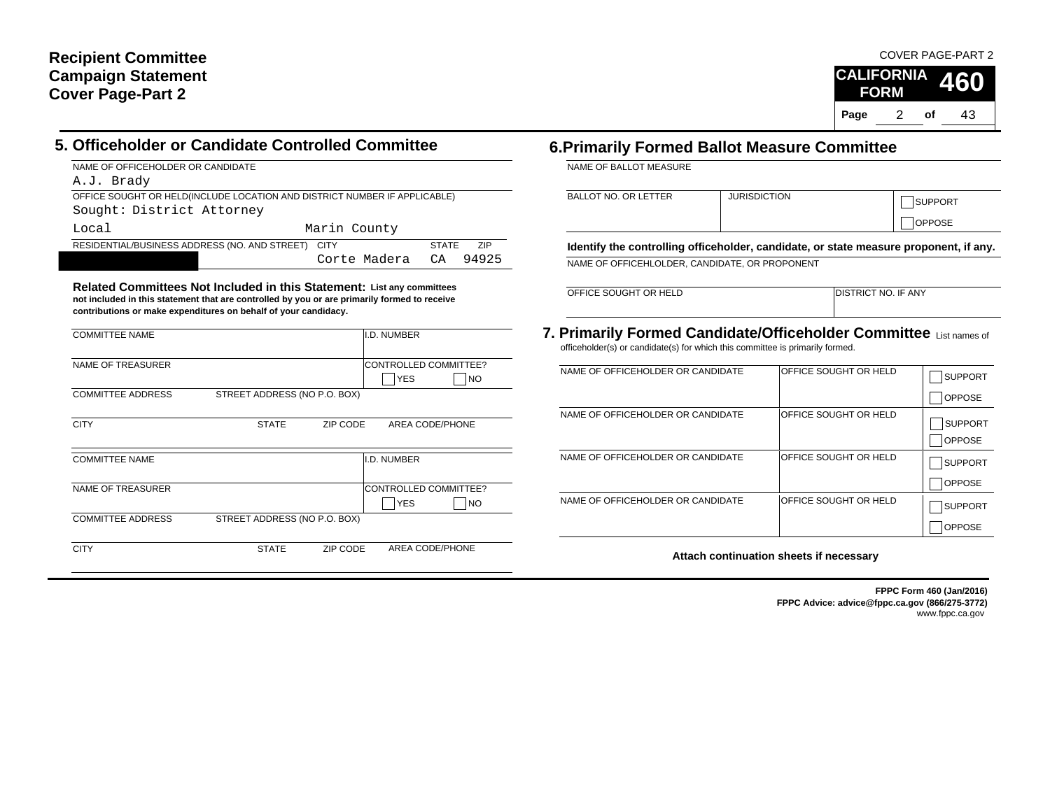### COVER PAGE-PART 2



### **5. Officeholder or Candidate Controlled Committee**

NAME OF OFFICEHOLDER OR CANDIDATE A.J. Brady

OFFICE SOUGHT OR HELD(INCLUDE LOCATION AND DISTRICT NUMBER IF APPLICABLE)

Sought: District Attorney

| Local                                              | Marin County          |              |       |
|----------------------------------------------------|-----------------------|--------------|-------|
| RESIDENTIAL/BUSINESS ADDRESS (NO. AND STREET) CITY |                       | <b>STATE</b> | - 71P |
|                                                    | Corte Madera CA 94925 |              |       |

**Related Committees Not Included in this Statement: List any committees not included in this statement that are controlled by you or are primarily formed to receive contributions or make expenditures on behalf of your candidacy.**

| <b>COMMITTEE NAME</b>    | I.D. NUMBER                                 |
|--------------------------|---------------------------------------------|
| NAME OF TREASURER        | CONTROLLED COMMITTEE?<br><b>YES</b><br>INO. |
| <b>COMMITTEE ADDRESS</b> | STREET ADDRESS (NO P.O. BOX)                |
| <b>CITY</b>              | AREA CODE/PHONE<br>ZIP CODE<br><b>STATE</b> |
| <b>COMMITTEE NAME</b>    |                                             |
|                          | I.D. NUMBER                                 |
| NAME OF TREASURER        | CONTROLLED COMMITTEE?<br><b>YES</b><br>INO  |
| <b>COMMITTEE ADDRESS</b> | STREET ADDRESS (NO P.O. BOX)                |

### **6.Primarily Formed Ballot Measure Committee**

NAME OF BALLOT MEASURE

| <b>BALLOT NO. OR LETTER</b> | <b>JURISDICTION</b> | <b>SUPPORT</b> |
|-----------------------------|---------------------|----------------|
|                             |                     | <b>OPPOSE</b>  |

**Identify the controlling officeholder, candidate, or state measure proponent, if any.**

NAME OF OFFICEHLOLDER, CANDIDATE, OR PROPONENT

OFFICE SOUGHT OR HELD

DISTRICT NO. IF ANY

**7. Primarily Formed Candidate/Officeholder Committee** List names of officeholder(s) or candidate(s) for which this committee is primarily formed.

| NAME OF OFFICEHOLDER OR CANDIDATE | <b>IOFFICE SOUGHT OR HELD</b> | <b>SUPPORT</b> |
|-----------------------------------|-------------------------------|----------------|
|                                   |                               | <b>OPPOSE</b>  |
| NAME OF OFFICEHOLDER OR CANDIDATE | IOFFICE SOUGHT OR HELD        |                |
|                                   |                               | <b>SUPPORT</b> |
|                                   |                               | <b>OPPOSE</b>  |
| NAME OF OFFICEHOLDER OR CANDIDATE | OFFICE SOUGHT OR HELD         | <b>SUPPORT</b> |
|                                   |                               | <b>OPPOSE</b>  |
| NAME OF OFFICEHOLDER OR CANDIDATE | OFFICE SOUGHT OR HELD         | <b>SUPPORT</b> |
|                                   |                               | OPPOSE         |

**Attach continuation sheets if necessary**

**FPPC Form 460 (Jan/2016) FPPC Advice: advice@fppc.ca.gov (866/275-3772)** www.fppc.ca.gov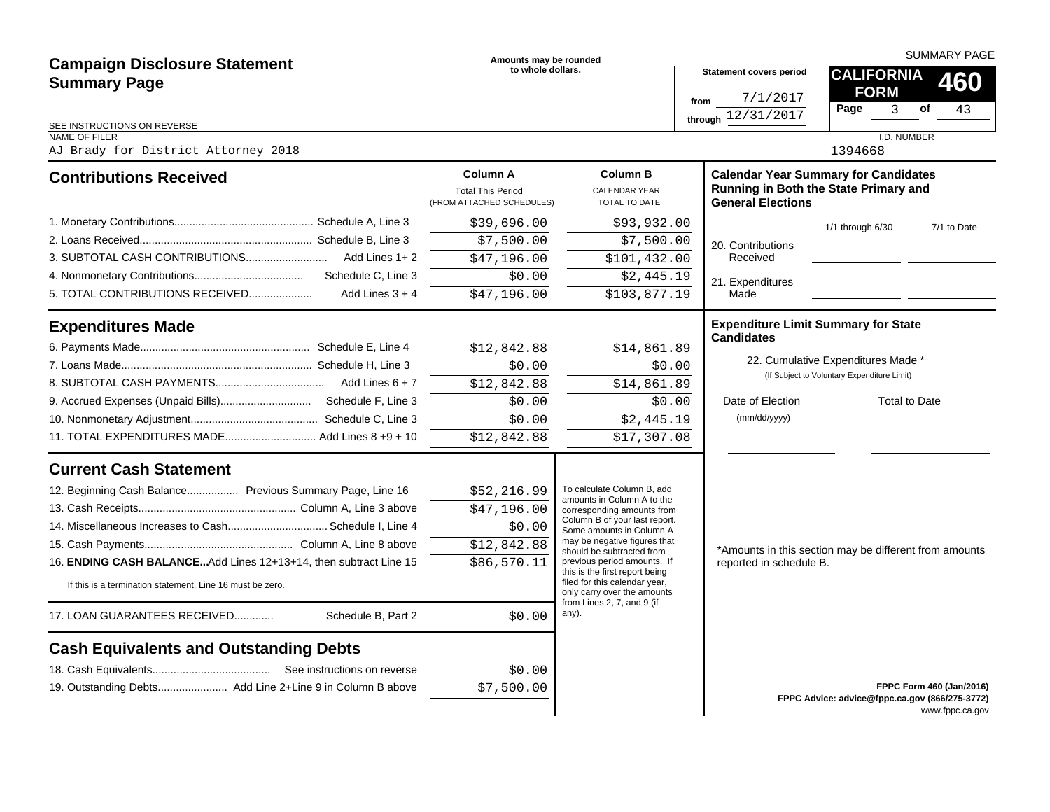|                                                                   | Amounts may be rounded                                                   |                                                                                                |                                                                                   | <b>SUMMARY PAGE</b>                                                                                              |                                                |                          |                          |  |  |  |
|-------------------------------------------------------------------|--------------------------------------------------------------------------|------------------------------------------------------------------------------------------------|-----------------------------------------------------------------------------------|------------------------------------------------------------------------------------------------------------------|------------------------------------------------|--------------------------|--------------------------|--|--|--|
| <b>Campaign Disclosure Statement</b>                              | to whole dollars.                                                        |                                                                                                |                                                                                   | <b>Statement covers period</b>                                                                                   |                                                | <b>CALIFORNIA</b><br>460 |                          |  |  |  |
| <b>Summary Page</b>                                               |                                                                          |                                                                                                | from                                                                              | 7/1/2017                                                                                                         | <b>FORM</b>                                    |                          |                          |  |  |  |
|                                                                   |                                                                          |                                                                                                |                                                                                   | through $12/31/2017$                                                                                             | Page<br>3                                      | of                       | 43                       |  |  |  |
| SEE INSTRUCTIONS ON REVERSE<br><b>NAME OF FILER</b>               |                                                                          |                                                                                                |                                                                                   |                                                                                                                  | I.D. NUMBER                                    |                          |                          |  |  |  |
| AJ Brady for District Attorney 2018                               |                                                                          |                                                                                                |                                                                                   |                                                                                                                  |                                                |                          |                          |  |  |  |
| <b>Contributions Received</b>                                     | <b>Column A</b><br><b>Total This Period</b><br>(FROM ATTACHED SCHEDULES) | <b>Column B</b><br><b>CALENDAR YEAR</b><br>TOTAL TO DATE                                       |                                                                                   | <b>Calendar Year Summary for Candidates</b><br>Running in Both the State Primary and<br><b>General Elections</b> |                                                |                          |                          |  |  |  |
|                                                                   | \$39,696.00                                                              | \$93,932.00                                                                                    |                                                                                   |                                                                                                                  | 1/1 through 6/30                               |                          | 7/1 to Date              |  |  |  |
|                                                                   | \$7,500.00                                                               | \$7,500.00                                                                                     |                                                                                   | 20. Contributions                                                                                                |                                                |                          |                          |  |  |  |
|                                                                   | \$47,196.00                                                              | \$101,432.00                                                                                   |                                                                                   | Received                                                                                                         |                                                |                          |                          |  |  |  |
|                                                                   | \$0.00                                                                   | \$2,445.19                                                                                     |                                                                                   | 21. Expenditures                                                                                                 |                                                |                          |                          |  |  |  |
| 5. TOTAL CONTRIBUTIONS RECEIVED<br>Add Lines $3 + 4$              | \$47,196.00                                                              | \$103,877.19                                                                                   |                                                                                   | Made                                                                                                             |                                                |                          |                          |  |  |  |
| <b>Expenditures Made</b>                                          |                                                                          |                                                                                                |                                                                                   | <b>Expenditure Limit Summary for State</b>                                                                       |                                                |                          |                          |  |  |  |
|                                                                   | \$12,842.88                                                              | \$14,861.89                                                                                    |                                                                                   | <b>Candidates</b>                                                                                                |                                                |                          |                          |  |  |  |
|                                                                   | \$0.00                                                                   | \$0.00                                                                                         |                                                                                   | 22. Cumulative Expenditures Made *                                                                               |                                                |                          |                          |  |  |  |
|                                                                   | \$12,842.88                                                              | \$14,861.89                                                                                    |                                                                                   | (If Subject to Voluntary Expenditure Limit)                                                                      |                                                |                          |                          |  |  |  |
|                                                                   | \$0.00                                                                   | \$0.00                                                                                         |                                                                                   | Date of Election                                                                                                 |                                                | Total to Date            |                          |  |  |  |
|                                                                   | \$0.00                                                                   | \$2,445.19                                                                                     |                                                                                   | (mm/dd/yyyy)                                                                                                     |                                                |                          |                          |  |  |  |
| 11. TOTAL EXPENDITURES MADE Add Lines 8 +9 + 10                   | \$12,842.88                                                              | \$17,307.08                                                                                    |                                                                                   |                                                                                                                  |                                                |                          |                          |  |  |  |
| <b>Current Cash Statement</b>                                     |                                                                          |                                                                                                |                                                                                   |                                                                                                                  |                                                |                          |                          |  |  |  |
| 12. Beginning Cash Balance Previous Summary Page, Line 16         | \$52,216.99                                                              | To calculate Column B, add                                                                     |                                                                                   |                                                                                                                  |                                                |                          |                          |  |  |  |
|                                                                   | \$47,196.00                                                              | amounts in Column A to the<br>corresponding amounts from                                       |                                                                                   |                                                                                                                  |                                                |                          |                          |  |  |  |
| 14. Miscellaneous Increases to Cash Schedule I, Line 4            | \$0.00                                                                   | Column B of your last report.<br>Some amounts in Column A                                      |                                                                                   |                                                                                                                  |                                                |                          |                          |  |  |  |
|                                                                   | \$12,842.88                                                              | may be negative figures that<br>should be subtracted from                                      |                                                                                   |                                                                                                                  |                                                |                          |                          |  |  |  |
| 16. ENDING CASH BALANCE Add Lines 12+13+14, then subtract Line 15 | \$86,570.11                                                              | previous period amounts. If                                                                    | *Amounts in this section may be different from amounts<br>reported in schedule B. |                                                                                                                  |                                                |                          |                          |  |  |  |
| If this is a termination statement, Line 16 must be zero.         |                                                                          | this is the first report being<br>filed for this calendar year,<br>only carry over the amounts |                                                                                   |                                                                                                                  |                                                |                          |                          |  |  |  |
| 17. LOAN GUARANTEES RECEIVED<br>Schedule B, Part 2                | \$0.00                                                                   | from Lines 2, 7, and 9 (if<br>any).                                                            |                                                                                   |                                                                                                                  |                                                |                          |                          |  |  |  |
| <b>Cash Equivalents and Outstanding Debts</b>                     |                                                                          |                                                                                                |                                                                                   |                                                                                                                  |                                                |                          |                          |  |  |  |
|                                                                   | \$0.00                                                                   |                                                                                                |                                                                                   |                                                                                                                  |                                                |                          |                          |  |  |  |
| 19. Outstanding Debts Add Line 2+Line 9 in Column B above         | \$7,500.00                                                               |                                                                                                |                                                                                   |                                                                                                                  |                                                |                          | FPPC Form 460 (Jan/2016) |  |  |  |
|                                                                   |                                                                          |                                                                                                |                                                                                   |                                                                                                                  | FPPC Advice: advice@fppc.ca.gov (866/275-3772) |                          | www.fppc.ca.gov          |  |  |  |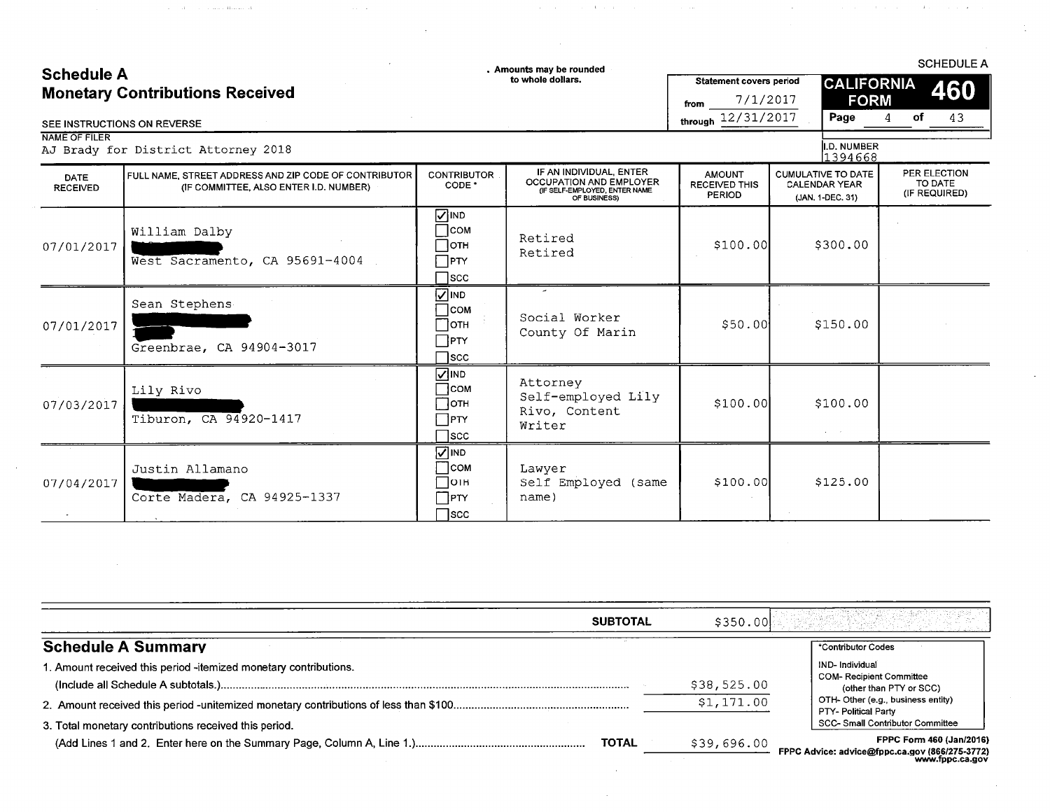### **Schedule A Monetary Contributions Received**

 $\mathcal{A}^{\mathcal{A}}_{\mathcal{A}}$  and  $\mathcal{A}^{\mathcal{A}}_{\mathcal{A}}$  are also contained in the  $\mathcal{A}^{\mathcal{A}}_{\mathcal{A}}$ 

. Amounts may be rounded<br>to whole dollars.

 $\mathcal{A}=\mathcal{A}=\mathcal{A}$  .

**SCHEDULE A** 460

43

 $\sim 1$ 

of

**STATE** 

**CALIFORNIA** 

**FORM** 

 $\overline{4}$ 

Page

Statement covers period

through  $12/31/2017$ 

from

 $7/1/2017$ 

### SEE INSTRUCTIONS ON REVERSE

NAME OF FILER

|                                | AJ Brady for District Attorney 2018                                                             |                                                                 |                                                                                                            |                                                        | <b>II.D. NUMBER</b><br>1394668                                        |                                          |
|--------------------------------|-------------------------------------------------------------------------------------------------|-----------------------------------------------------------------|------------------------------------------------------------------------------------------------------------|--------------------------------------------------------|-----------------------------------------------------------------------|------------------------------------------|
| <b>DATE</b><br><b>RECEIVED</b> | FULL NAME, STREET ADDRESS AND ZIP CODE OF CONTRIBUTOR<br>(IF COMMITTEE, ALSO ENTER I.D. NUMBER) | <b>CONTRIBUTOR</b><br>CODE <sup>*</sup>                         | IF AN INDIVIDUAL, ENTER<br><b>OCCUPATION AND EMPLOYER</b><br>(IF SELF-EMPLOYED, ENTER NAME<br>OF BUSINESS) | <b>AMOUNT</b><br><b>RECEIVED THIS</b><br><b>PERIOD</b> | <b>CUMULATIVE TO DATE</b><br><b>CALENDAR YEAR</b><br>(JAN, 1-DEC, 31) | PER ELECTION<br>TO DATE<br>(IF REQUIRED) |
| 07/01/2017                     | William Dalby<br>West Sacramento, CA 95691-4004                                                 | ONI <mark>√</mark><br>∏сом<br>∏отн<br>PTY<br>$\sqcap$ scc       | Retired<br>Retired                                                                                         | \$100.00]                                              | \$300.00                                                              |                                          |
| 07/01/2017                     | Sean Stephens<br>Greenbrae, CA 94904-3017                                                       | <b>NIND</b><br> com<br>∃отн<br>$\sqcap$ PTY<br>]scc             | Social Worker<br>County Of Marin                                                                           | \$50.00                                                | \$150.00                                                              |                                          |
| 07/03/2017                     | Lily Rivo<br>Tiburon, CA 94920-1417                                                             | <b>NIND</b><br><b>COM</b><br>⊣отн<br>$\Box$ PTY<br>$\sqcap$ scc | Attorney<br>Self-employed Lily<br>Rivo, Content<br>Writer                                                  | \$100.00]                                              | \$100.00                                                              |                                          |
| 07/04/2017                     | Justin Allamano<br>Corte Madera, CA 94925-1337                                                  | $\sqrt{2}$ IND<br>∃coм<br>∏отн<br>$\Box$ PTY<br>$\Box$ scc      | Lawyer<br>Self Employed (same<br>name)                                                                     | \$100.00]                                              | \$125.00                                                              |                                          |

| <b>SUBTOTAL</b>                                                  | \$350.00    |                                                                                               |
|------------------------------------------------------------------|-------------|-----------------------------------------------------------------------------------------------|
| <b>Schedule A Summary</b>                                        |             | *Contributor Codes                                                                            |
| 1. Amount received this period -itemized monetary contributions. | \$38,525.00 | IND-Individual<br><b>COM- Recipient Committee</b><br>(other than PTY or SCC)                  |
| 3. Total monetary contributions received this period.            | \$1,171.00  | OTH- Other (e.g., business entity)<br>PTY- Political Party<br>SCC-Small Contributor Committee |
| <b>TOTAL</b>                                                     | \$39,696.00 | FPPC Form 460 (Jan/2016)<br>FPPC Advice: advice@fppc.ca.gov (866/275-3772)                    |

www.fppc.ca.gov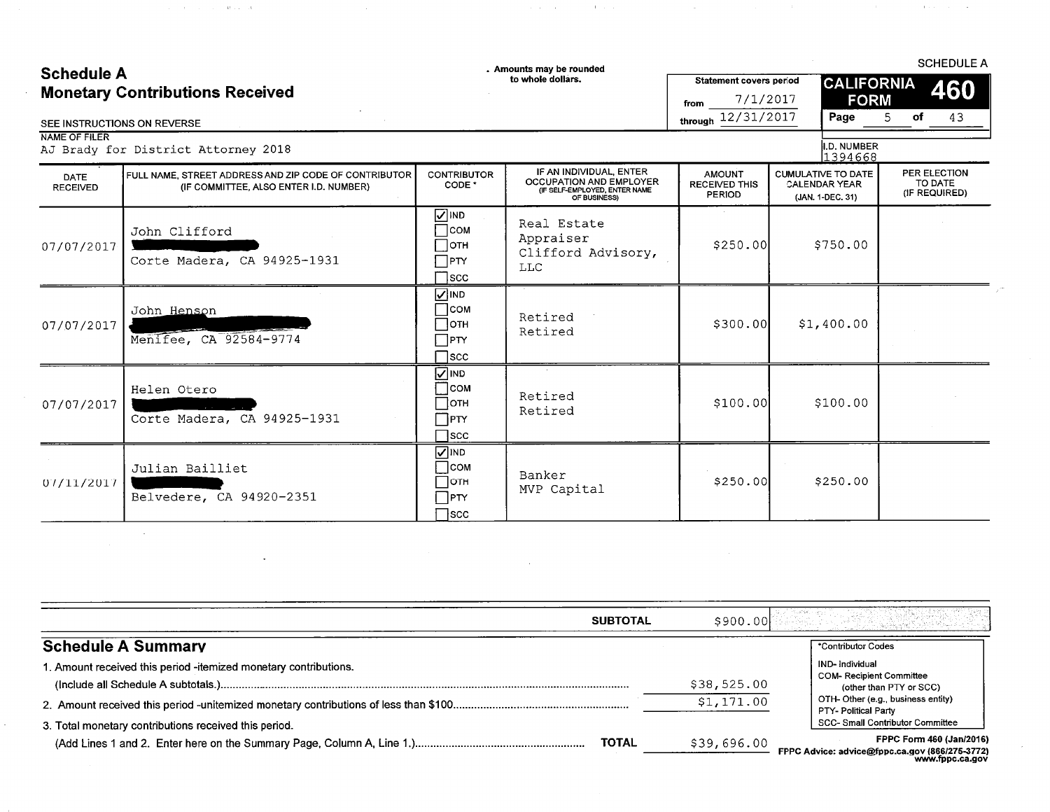### **Schedule A Monetary Contributions Received**

 $\hat{\mathcal{A}}_{\text{max}}$  , where  $\hat{\mathcal{A}}_{\text{max}}$  is a proposed of

 $\ddot{\phantom{a}}$ 

Amounts may be rounded<br>to whole dollars.

 $\hat{u}$  ,  $\hat{u}$  ,  $\hat{u}$  ,  $\hat{u}$  ,  $\hat{u}$  ,  $\hat{u}$  ,  $\hat{u}$  ,  $\hat{u}$  ,  $\hat{u}$ 

 $\sim 10^{-1}$ 

from

Statement covers period

through  $12/31/2017$ 

7/1/2017

**SCHEDULE A** 460

43

**CALIFORNIA** 

**FORM** 

5

of

Page

 $\mathcal{A}$  is a set of  $\mathcal{A}$  . In the  $\mathcal{A}$ 

### SEE INSTRUCTIONS ON REVERSE

### NAME OF FILER

| יו בנו וש בווירויו      | II.D. NUMBER<br>AJ Brady for District Attorney 2018<br>1394668                                  |                                                                                           |                                                                                                            |                                                        |                                                                       |                                          |  |
|-------------------------|-------------------------------------------------------------------------------------------------|-------------------------------------------------------------------------------------------|------------------------------------------------------------------------------------------------------------|--------------------------------------------------------|-----------------------------------------------------------------------|------------------------------------------|--|
| DATE<br><b>RECEIVED</b> | FULL NAME, STREET ADDRESS AND ZIP CODE OF CONTRIBUTOR<br>(IF COMMITTEE, ALSO ENTER I.D. NUMBER) | <b>CONTRIBUTOR</b><br>CODE <sup>*</sup>                                                   | IF AN INDIVIDUAL, ENTER<br><b>OCCUPATION AND EMPLOYER</b><br>(IF SELF-EMPLOYED, ENTER NAME<br>OF BUSINESS) | <b>AMOUNT</b><br><b>RECEIVED THIS</b><br><b>PERIOD</b> | <b>CUMULATIVE TO DATE</b><br><b>CALENDAR YEAR</b><br>(JAN. 1-DEC. 31) | PER ELECTION<br>TO DATE<br>(IF REQUIRED) |  |
| 07/07/2017              | John Clifford<br>Corte Madera, CA 94925-1931                                                    | <b>NIND</b><br>$\sqsupset$ сом<br>∏отн<br>$\Box$ PTY<br>$\sqcap$ scc                      | Real Estate<br>Appraiser<br>Clifford Advisory,<br><b>LLC</b>                                               | \$250.00                                               | \$750.00                                                              |                                          |  |
| 07/07/2017              | John Henson<br>Menifee, CA 92584-9774                                                           | $\nabla$ IND<br>∃сом<br>⊣отн<br>$\sqcap$ PTY<br>$\sqcap$ scc                              | Retired<br>Retired                                                                                         | \$300.00]                                              | \$1,400.00                                                            |                                          |  |
| 07/07/2017              | Helen Otero<br>Corte Madera, CA 94925-1931                                                      | $\overline{Q}$ IND<br>$\sqcap$ <sub>COM</sub><br>$\Box$ отн<br>$\Box$ PTY<br>$\sqcap$ scc | Retired<br>Retired                                                                                         | \$100.00]                                              | \$100.00                                                              |                                          |  |
| 07/11/2017              | Julian Bailliet<br>Belvedere, CA 94920-2351                                                     | $\sqrt{ }$ IND<br>$\Box$ COM<br>⊣отн<br>$\Box$ PTY<br>$\bigcap$ scc                       | Banker<br>MVP Capital                                                                                      | \$250.00                                               | \$250.00                                                              |                                          |  |

| <b>SUBTOTAL</b>                                                 | \$900.00F   |                                                                                      |
|-----------------------------------------------------------------|-------------|--------------------------------------------------------------------------------------|
| <b>Schedule A Summary</b>                                       |             | *Contributor Codes                                                                   |
| . Amount received this period -itemized monetary contributions. | \$38,525.00 | IND-Individual<br>COM-Recipient Committee                                            |
|                                                                 | \$1,171.00  | (other than PTY or SCC)<br>OTH-Other (e.g., business entity)<br>PTY- Political Party |
| 3. Total monetary contributions received this period.           |             | SCC- Small Contributor Committee                                                     |
| <b>TOTAL</b>                                                    | \$39,696.00 | FPPC Form 460 (Jan/2016)<br>FPPC Advice: advice@fopc.ca.gov (866/275-3772)           |

:@Tpp www.fppc.ca.gov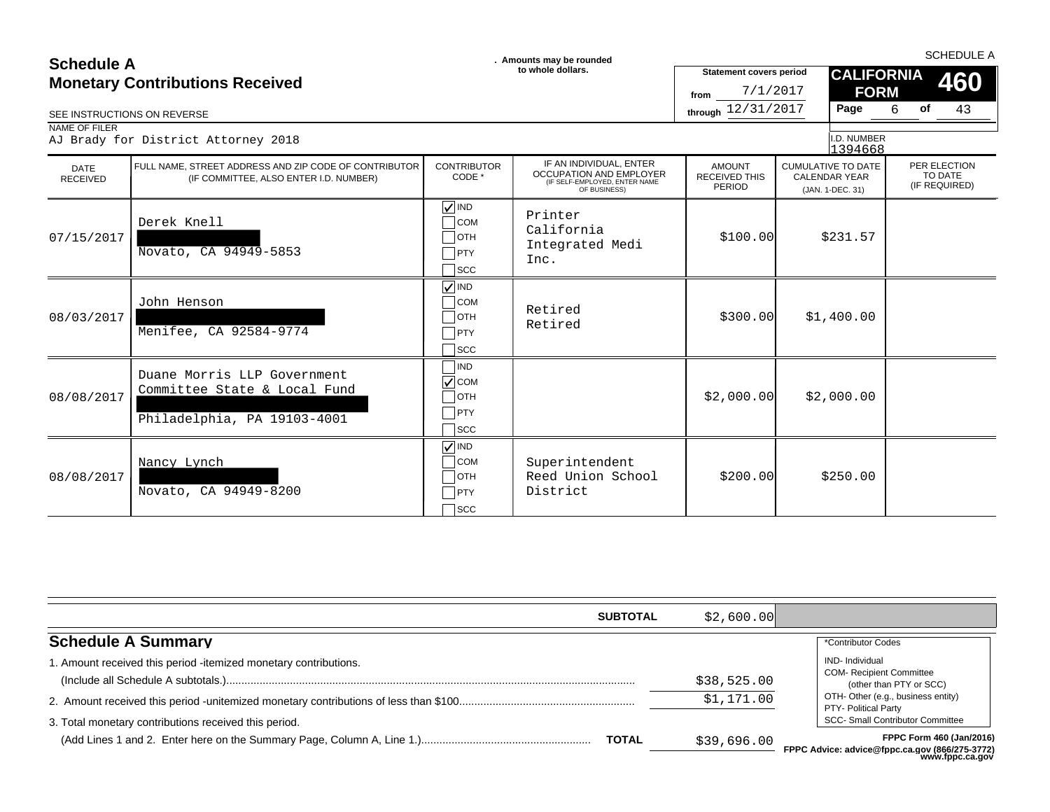|                                        | . Amounts may be rounded<br><b>Schedule A</b>                                                   |                                                                          |                                                                                                     |                                                        |                                                                       |                        |                   | <b>SCHEDULE A</b> |                               |
|----------------------------------------|-------------------------------------------------------------------------------------------------|--------------------------------------------------------------------------|-----------------------------------------------------------------------------------------------------|--------------------------------------------------------|-----------------------------------------------------------------------|------------------------|-------------------|-------------------|-------------------------------|
| <b>Monetary Contributions Received</b> |                                                                                                 |                                                                          | to whole dollars.                                                                                   | <b>Statement covers period</b><br>7/1/2017<br>from     |                                                                       | <b>FORM</b>            | <b>CALIFORNIA</b> |                   | 460                           |
|                                        | SEE INSTRUCTIONS ON REVERSE                                                                     |                                                                          |                                                                                                     | through 12/31/2017                                     | Page                                                                  |                        | 6                 | of                | 43                            |
| NAME OF FILER                          | AJ Brady for District Attorney 2018                                                             |                                                                          |                                                                                                     |                                                        |                                                                       | I.D. NUMBER<br>1394668 |                   |                   |                               |
| <b>DATE</b><br><b>RECEIVED</b>         | FULL NAME. STREET ADDRESS AND ZIP CODE OF CONTRIBUTOR<br>(IF COMMITTEE, ALSO ENTER I.D. NUMBER) | <b>CONTRIBUTOR</b><br>CODE *                                             | IF AN INDIVIDUAL, ENTER<br>OCCUPATION AND EMPLOYER<br>(IF SELF-EMPLOYED, ENTER NAME<br>OF BUSINESS) | <b>AMOUNT</b><br><b>RECEIVED THIS</b><br><b>PERIOD</b> | <b>CUMULATIVE TO DATE</b><br><b>CALENDAR YEAR</b><br>(JAN. 1-DEC. 31) |                        |                   | TO DATE           | PER ELECTION<br>(IF REQUIRED) |
| 07/15/2017                             | Derek Knell<br>Novato, CA 94949-5853                                                            | $\nabla$ IND<br><b>COM</b><br><b>OTH</b><br>PTY<br>]scc                  | Printer<br>California<br>Integrated Medi<br>Inc.                                                    | \$100.00]                                              | \$231.57                                                              |                        |                   |                   |                               |
| 08/03/2017                             | John Henson<br>Menifee, CA 92584-9774                                                           | $\sqrt{ }$ IND<br><b>COM</b><br><b>OTH</b><br>$\sqcap$ PTY<br><b>SCC</b> | Retired<br>Retired                                                                                  | \$300.00]                                              | \$1,400.00                                                            |                        |                   |                   |                               |
| 08/08/2017                             | Duane Morris LLP Government<br>Committee State & Local Fund<br>Philadelphia, PA 19103-4001      | IND<br>$\sqrt{\text{COM}}$<br>1отн<br>PTY<br><b>SCC</b>                  |                                                                                                     | \$2,000.00]                                            | \$2,000.00                                                            |                        |                   |                   |                               |
| 08/08/2017                             | Nancy Lynch<br>Novato, CA 94949-8200                                                            | $\sqrt{}$ IND<br><b>COM</b><br>]отн<br>PTY<br>lscc                       | Superintendent<br>Reed Union School<br>District                                                     | \$200.00]                                              | \$250.00                                                              |                        |                   |                   |                               |

|                                                                  | <b>SUBTOTAL</b><br>\$2,600.00 |                                                                                                              |
|------------------------------------------------------------------|-------------------------------|--------------------------------------------------------------------------------------------------------------|
| <b>Schedule A Summary</b>                                        |                               | *Contributor Codes                                                                                           |
| 1. Amount received this period -itemized monetary contributions. | \$38,525.00                   | <b>IND-</b> Individual<br><b>COM- Recipient Committee</b><br>(other than PTY or SCC)                         |
| 3. Total monetary contributions received this period.            | \$1,171.00                    | OTH- Other (e.g., business entity)<br><b>PTY- Political Party</b><br><b>SCC- Small Contributor Committee</b> |
| <b>TOTAL</b>                                                     | \$39,696.00                   | FPPC Form 460 (Jan/2016)<br>FPPC Advice: advice@fppc.ca.gov (866/275-3772)                                   |

**FPPC Advice: advice@fppc.ca.gov (866/275-3772) www.fppc.ca.gov**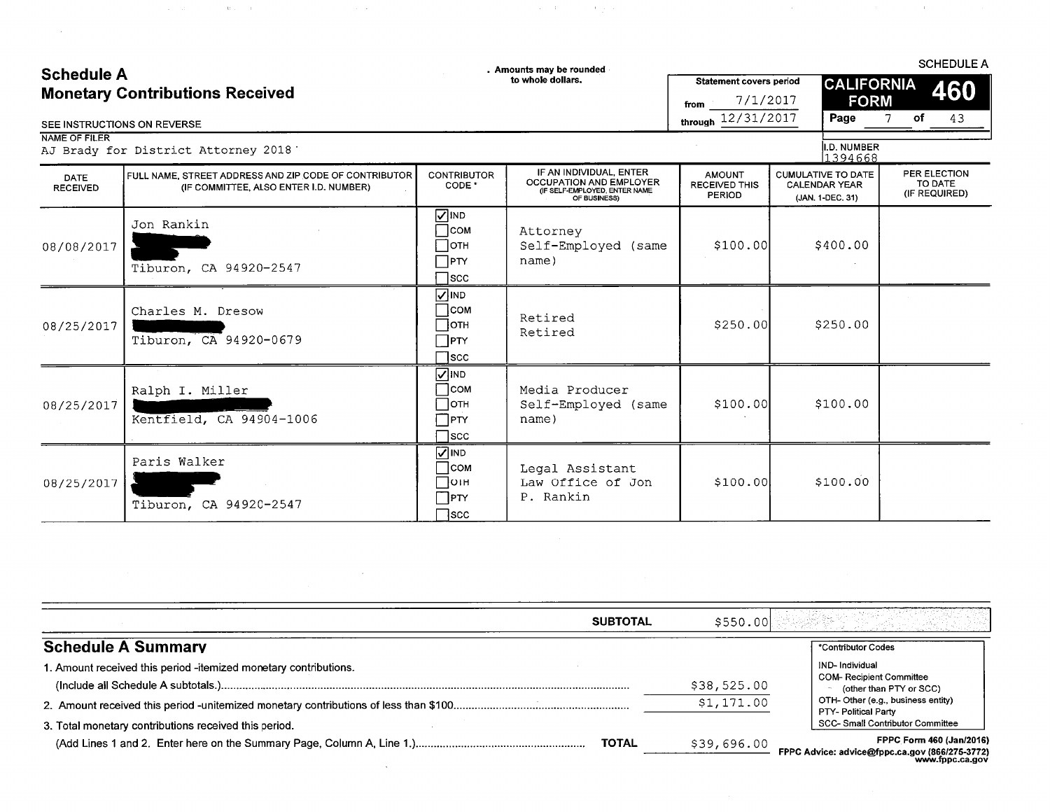# Schodule A

 $\sim 10$ 

 $\hat{\mathcal{L}}_{\text{max}}$  and  $\hat{\mathcal{L}}_{\text{max}}$  and  $\hat{\mathcal{L}}_{\text{max}}$  are the following the  $\hat{\mathcal{L}}_{\text{max}}$ 

 $\label{eq:2.1} \frac{1}{\sqrt{2}}\left(\frac{1}{\sqrt{2}}\right)^{2} \left(\frac{1}{\sqrt{2}}\right)^{2} \left(\frac{1}{\sqrt{2}}\right)^{2} \left(\frac{1}{\sqrt{2}}\right)^{2} \left(\frac{1}{\sqrt{2}}\right)^{2} \left(\frac{1}{\sqrt{2}}\right)^{2} \left(\frac{1}{\sqrt{2}}\right)^{2} \left(\frac{1}{\sqrt{2}}\right)^{2} \left(\frac{1}{\sqrt{2}}\right)^{2} \left(\frac{1}{\sqrt{2}}\right)^{2} \left(\frac{1}{\sqrt{2}}\right)^{2} \left(\$ 

 $\sim 10^7$ 

 $\sim$ 

. Amounts may be rounded

 $\label{eq:1} \mathcal{L}^{\mathcal{L}}(\mathcal{A})=\mathcal{L}^{\mathcal{L}}(\mathcal{A})\otimes\mathcal{L}^{\mathcal{L}}(\mathcal{A})\otimes\mathcal{L}^{\mathcal{L}}(\mathcal{A}).$ 

**SCHEDULE A** 

 $\sim 3\%$ 

| <b>Schedule A</b><br><b>Monetary Contributions Received</b><br>SEE INSTRUCTIONS ON REVERSE |                                                                                                 |                                                                              | to whole dollars.                                                                                          | <b>Statement covers period</b><br>$-7/1/2017$<br>from<br>through 12/31/2017 | <b>CALIFORNIA</b><br><b>FORM</b><br>Page                              | 460<br>of<br>43<br>7                     |
|--------------------------------------------------------------------------------------------|-------------------------------------------------------------------------------------------------|------------------------------------------------------------------------------|------------------------------------------------------------------------------------------------------------|-----------------------------------------------------------------------------|-----------------------------------------------------------------------|------------------------------------------|
| NAME OF FILER                                                                              | AJ Brady for District Attorney 2018                                                             |                                                                              |                                                                                                            |                                                                             | I.D. NUMBER<br>1394668                                                |                                          |
| <b>DATE</b><br><b>RECEIVED</b>                                                             | FULL NAME, STREET ADDRESS AND ZIP CODE OF CONTRIBUTOR<br>(IF COMMITTEE, ALSO ENTER I.D. NUMBER) | <b>CONTRIBUTOR</b><br>CODE *                                                 | IF AN INDIVIDUAL, ENTER<br><b>OCCUPATION AND EMPLOYER</b><br>(IF SELF-EMPLOYED, ENTER NAME<br>OF BUSINESS) | <b>AMOUNT</b><br><b>RECEIVED THIS</b><br>PERIOD                             | <b>CUMULATIVE TO DATE</b><br><b>CALENDAR YEAR</b><br>(JAN. 1-DEC. 31) | PER ELECTION<br>TO DATE<br>(IF REQUIRED) |
| 08/08/2017                                                                                 | Jon Rankin<br>Tiburon, CA 94920-2547                                                            | $\nabla$ IND<br>$\Box$ COM<br>$\Box$ ОТН<br>$\Box$ PTY<br>$\sqcap$ scc       | Attorney<br>Self-Employed (same<br>name)                                                                   | \$100.00]                                                                   | \$400.00                                                              |                                          |
| 08/25/2017                                                                                 | Charles M. Dresow<br>Tiburon, CA 94920-0679                                                     | $\sqrt{ }$ IND<br>$\sqcap$ COM<br>$\Box$ отн<br>$\sqcap$ PTY<br>$\sqcap$ scc | Retired<br>Retired                                                                                         | \$250.00                                                                    | \$250.00                                                              |                                          |
| 08/25/2017                                                                                 | Ralph I. Miller<br>Kentfield, CA 94904-1006                                                     | $\sum$ IND<br>∃сом<br>⊣отн<br>$\sqcap$ PTY<br>$\sqcap$ scc                   | Media Producer<br>Self-Employed (same<br>name)                                                             | \$100.00                                                                    | \$100.00                                                              |                                          |
| 08/25/2017                                                                                 | Paris Walker<br>Tiburon, CA 94920-2547                                                          | $\overline{V}$ IND<br>∃сом<br>$\bigcap$ ОТН<br>$\top$ PTY<br>$\sqcap$ scc    | Legal Assistant<br>Law Office of Jon<br>P. Rankin                                                          | \$100.00]                                                                   | \$100.00                                                              |                                          |

| <b>SUBTOTAL</b>                                                  | \$550.00    |                                                                                               |
|------------------------------------------------------------------|-------------|-----------------------------------------------------------------------------------------------|
| <b>Schedule A Summary</b>                                        |             | *Contributor Codes                                                                            |
| 1. Amount received this period -itemized monetary contributions. | \$38,525.00 | IND-Individual<br><b>COM-Recipient Committee</b><br>↑ (other than PTY or SCC)                 |
| 3. Total monetary contributions received this period.            | \$1,171.00  | OTH-Other (e.g., business entity)<br>PTY- Political Party<br>SCC- Small Contributor Committee |
| <b>TOTAL</b>                                                     | \$39,696.00 | FPPC Form 460 (Jan/2016)<br>FPPC Advice: advice@fppc.ca.gov (866/275-3772)<br>www.fppc.ca.gov |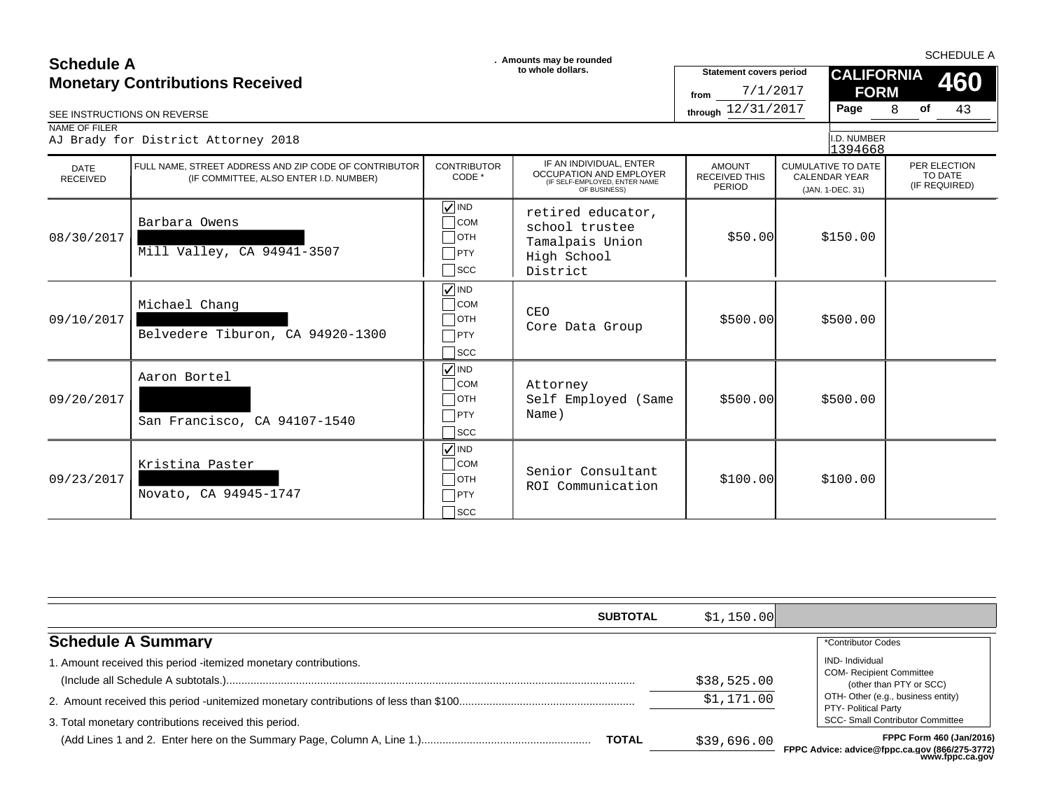| <b>Schedule A</b>              |                                                                                                 | . Amounts may be rounded                                                                   |                                                                                                     | <b>SCHEDULE A</b>                                  |                                                                       |                                          |  |  |
|--------------------------------|-------------------------------------------------------------------------------------------------|--------------------------------------------------------------------------------------------|-----------------------------------------------------------------------------------------------------|----------------------------------------------------|-----------------------------------------------------------------------|------------------------------------------|--|--|
|                                | <b>Monetary Contributions Received</b>                                                          |                                                                                            | to whole dollars.                                                                                   | <b>Statement covers period</b><br>7/1/2017<br>from | <b>CALIFORNIA</b><br><b>FORM</b>                                      | 460                                      |  |  |
| SEE INSTRUCTIONS ON REVERSE    |                                                                                                 |                                                                                            |                                                                                                     | through 12/31/2017                                 | Page                                                                  | 43<br>8<br>of                            |  |  |
| NAME OF FILER                  | AJ Brady for District Attorney 2018                                                             |                                                                                            |                                                                                                     |                                                    | I.D. NUMBER<br>1394668                                                |                                          |  |  |
| <b>DATE</b><br><b>RECEIVED</b> | FULL NAME. STREET ADDRESS AND ZIP CODE OF CONTRIBUTOR<br>(IF COMMITTEE, ALSO ENTER I.D. NUMBER) | <b>CONTRIBUTOR</b><br>CODE *                                                               | IF AN INDIVIDUAL, ENTER<br>OCCUPATION AND EMPLOYER<br>(IF SELF-EMPLOYED, ENTER NAME<br>OF BUSINESS) | <b>AMOUNT</b><br><b>RECEIVED THIS</b><br>PERIOD    | <b>CUMULATIVE TO DATE</b><br><b>CALENDAR YEAR</b><br>(JAN. 1-DEC. 31) | PER ELECTION<br>TO DATE<br>(IF REQUIRED) |  |  |
| 08/30/2017                     | Barbara Owens<br>Mill Valley, CA 94941-3507                                                     | $\nabla$ IND<br>$\bigcap$ COM<br>$\Box$ OTH<br>$\Box$ PTY<br>$\bigcap$ SCC                 | retired educator,<br>school trustee<br>Tamalpais Union<br>High School<br>District                   | \$50.00                                            | \$150.00                                                              |                                          |  |  |
| 09/10/2017                     | Michael Chang<br>Belvedere Tiburon, CA 94920-1300                                               | $\sqrt{ }$ IND<br>$\overline{\phantom{a}}$ COM<br>$\Box$ OTH<br>$\neg$ PTY<br>$\sqcap$ scc | CEO<br>Core Data Group                                                                              | \$500.00                                           | \$500.00                                                              |                                          |  |  |
| 09/20/2017                     | Aaron Bortel<br>San Francisco, CA 94107-1540                                                    | $\nabla$ IND<br>$\overline{\bigcirc}$ COM<br>$\Box$ OTH<br>$\sqcap$ PTY<br>$\sqcap$ scc    | Attorney<br>Self Employed (Same<br>Name)                                                            | \$500.00                                           | \$500.00                                                              |                                          |  |  |
| 09/23/2017                     | Kristina Paster<br>Novato, CA 94945-1747                                                        | $\sqrt{ }$ IND<br>$\overline{\phantom{a}}$ COM<br> OTH<br>$\neg$ PTY<br>$\sqcap$ scc       | Senior Consultant<br>ROI Communication                                                              | \$100.00]                                          | \$100.00                                                              |                                          |  |  |

| <b>SUBTOTAL</b>                                                                                                           | \$1,150.00                |                                                                                                                                                                                               |
|---------------------------------------------------------------------------------------------------------------------------|---------------------------|-----------------------------------------------------------------------------------------------------------------------------------------------------------------------------------------------|
| <b>Schedule A Summary</b>                                                                                                 |                           | *Contributor Codes                                                                                                                                                                            |
| 1. Amount received this period -itemized monetary contributions.<br>3. Total monetary contributions received this period. | \$38,525.00<br>\$1,171.00 | <b>IND-</b> Individual<br><b>COM-</b> Recipient Committee<br>(other than PTY or SCC)<br>OTH- Other (e.g., business entity)<br>PTY- Political Party<br><b>SCC- Small Contributor Committee</b> |
| <b>TOTAL</b>                                                                                                              | \$39,696.00               | FPPC Form 460 (Jan/2016)<br>FPPC Advice: advice@fppc.ca.gov (866/275-3772)<br>www.fppc.ca.gov                                                                                                 |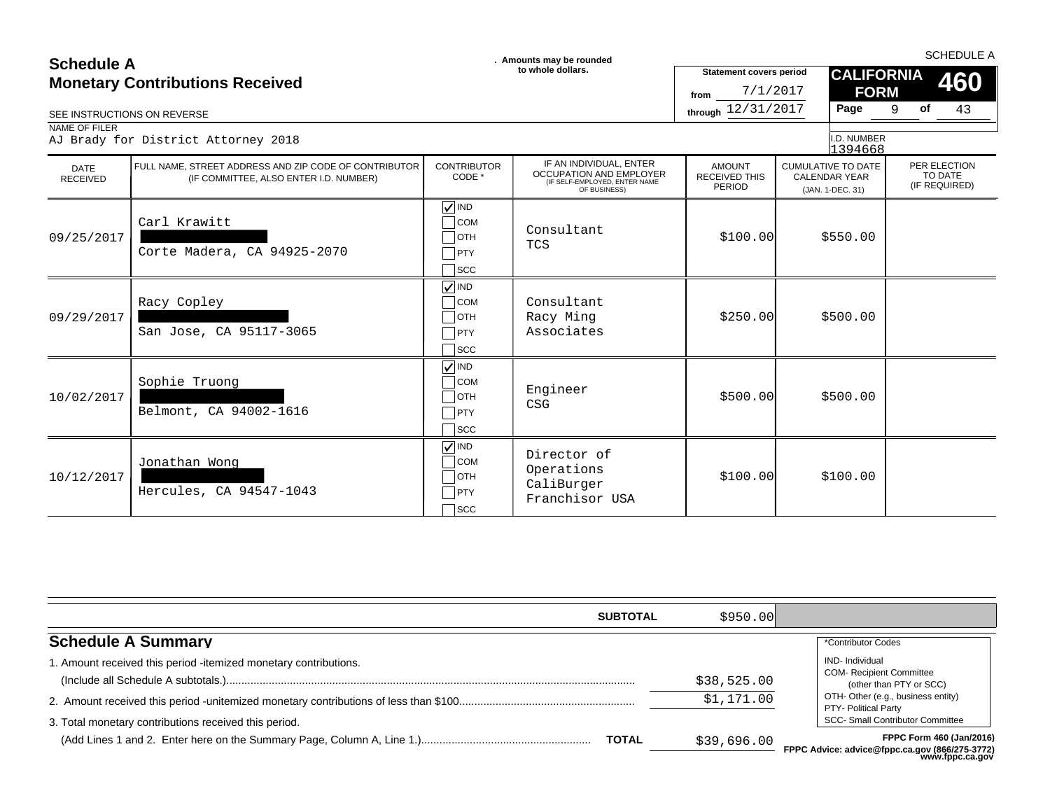### $\Box$ OTH Carl Krawitt Corte Madera, CA 94925-2070 **VIND**  $\sqsupset$ scc  $09/25/2017$  \$550.00 \$550.00 \$550.00 \$100.00 \$550.00 \$100.00 \$100.00 \$550.00 \$100.00 \$100.00 \$550.00 \$100.00 \$100.00 \$100.00 \$100.00 \$100.00 \$100.00 \$100.00 \$100.00 \$100.00 \$100.00 \$100.00 \$100.00 \$100.00 \$100.00 \$100.00  $\Box$ COM Consultant **TCS**  $\Box$ PTY  $\Box$ OTH Racy Copley San Jose, CA 95117-3065 **VIND**  $\Box$ scc 09/29/2017 \$250.00 \$500.00 COM Consultant Racy Ming PTY Associates  $\Box$ OTH Sophie Truong Belmont, CA 94002-1616 **VIND**  $\Box$ scc  $10/02/2017$  \$500.00 \$500.00 \$500.00 \$500.00 \$500.00 \$500.00 \$500.00 \$500.00 \$500.00 \$500.00 \$500.00 \$500.00 \$500.00 \$500.00 \$500  $\pm$ COM |<br>Com Engineer CSG  $\Box$ PTY  $\Box$ OTH Jonathan Wong Hercules, CA 94547-1043  $\sqrt{N}$  IND  $\sqsupset$ scc  $10/12/2017$  \$100.00 \$100.00 \$100.00 \$100.00 \$100.00 \$100.00 \$100.00 \$100.00 \$100.00 \$100.00 \$100.00 \$100.00 \$100.00 \$100.00 \$100.00 \$100.00 \$100.00 \$100.00 \$100.00 \$100.00 \$100.00 \$100.00 \$100.00 \$100.00 \$100.00 \$100.00  $\Box$  Director of Operations CaliBurger  $\Box$ PTY | Caliburger<br>Franchisor USA SEE INSTRUCTIONS ON REVERSE **through** 12/31/2017 **Page** 9 of 43 IF AN INDIVIDUAL, ENTER OCCUPATION AND EMPLOYER (IF SELF-EMPLOYED, ENTER NAME OF BUSINESS) 9 (JAN. 1-DEC. 31) 1394668 **of** 7/1/2017 AJ Brady for District Attorney 2018 **CALIFORNIA FORM** (IF COMMITTEE, ALSO ENTER I.D. NUMBER) CONTRIBUTOR CODE \* CUMULATIVE TO DATE CALENDAR YEAR **460** PER ELECTION TO DATE<br>(IF REQUIRED) AMOUNT RECEIVED THIS PERIOD **SCHEDULE A**<br> **SCHEDULE A** SCHEDULE A SCHEDULE A **SCHEDULE A SCHEDULE A SCHEDULE A SCHEDULE A SCHEDULE A SCHEDULE A SCHEDULE A** DATE<br>RECEIVED RECEIVED (IF COMMITTEE, ALSO ENTER I.D. NUMBER) CODE CODE SUBSIGITION AND LWI LOTEN RECEIVED IHIS CALENDAR YEAR<br>CESEF-EMPLOYED, ENGLISHER CEREISINESS, ENGLISHER AME PERIOD (IN 1-DEC 31) (IF REQUIRED) NAME OF FILER FULL NAME, STREET ADDRESS AND ZIP CODE OF CONTRIBUTOR **Statement covers period** I.D. NUMBER **from Monetary Contributions Received**

|                                                                                                                           | <b>SUBTOTAL</b> | \$950.00                  |                                                                                                                                                                                        |
|---------------------------------------------------------------------------------------------------------------------------|-----------------|---------------------------|----------------------------------------------------------------------------------------------------------------------------------------------------------------------------------------|
| <b>Schedule A Summary</b>                                                                                                 |                 |                           | *Contributor Codes                                                                                                                                                                     |
| 1. Amount received this period -itemized monetary contributions.<br>3. Total monetary contributions received this period. |                 | \$38,525.00<br>\$1,171.00 | IND- Individual<br><b>COM-</b> Recipient Committee<br>(other than PTY or SCC)<br>OTH- Other (e.g., business entity)<br>PTY- Political Party<br><b>SCC- Small Contributor Committee</b> |
|                                                                                                                           | <b>TOTAL</b>    | \$39,696.00               | <b>FPPC Form 460 (Jan/2016)</b><br>FPPC Advice: advice@fppc.ca.gov (866/275-3772)<br>www.fppc.ca.gov                                                                                   |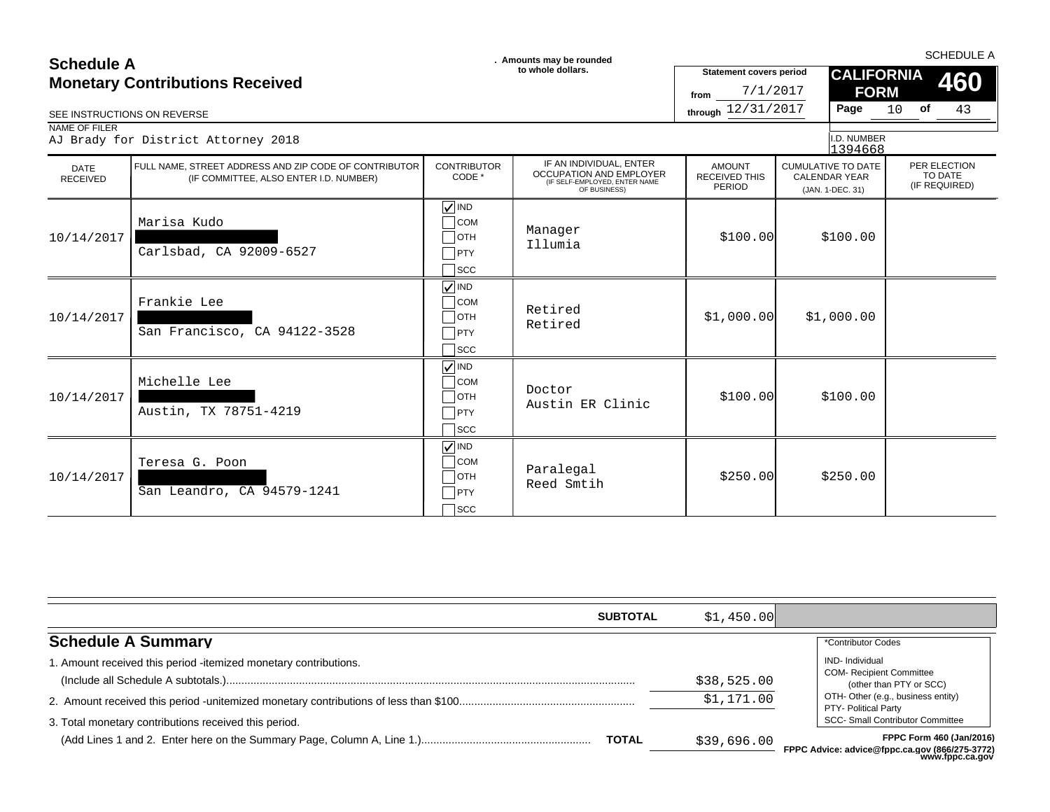### **SCHEDULE A**<br> **SCHEDULE A** SCHEDULE A SCHEDULE A **SCHEDULE A SCHEDULE A SCHEDULE A SCHEDULE A SCHEDULE A SCHEDULE A SCHEDULE A Monetary Contributions Received**

| to whole dollars.<br><b>Monetary Contributions Received</b><br>SEE INSTRUCTIONS ON REVERSE |                                                                                                 |                                                                                                  | <b>Statement covers period</b><br>7/1/2017<br>from<br>through 12/31/2017                            | <b>CALIFORNIA</b><br><b>FORM</b><br>Page        | 460<br>10 of<br>43                                                    |                                          |
|--------------------------------------------------------------------------------------------|-------------------------------------------------------------------------------------------------|--------------------------------------------------------------------------------------------------|-----------------------------------------------------------------------------------------------------|-------------------------------------------------|-----------------------------------------------------------------------|------------------------------------------|
| NAME OF FILER                                                                              | AJ Brady for District Attorney 2018                                                             |                                                                                                  |                                                                                                     |                                                 | I.D. NUMBER<br>1394668                                                |                                          |
| <b>DATE</b><br><b>RECEIVED</b>                                                             | FULL NAME, STREET ADDRESS AND ZIP CODE OF CONTRIBUTOR<br>(IF COMMITTEE, ALSO ENTER I.D. NUMBER) | <b>CONTRIBUTOR</b><br>CODE *                                                                     | IF AN INDIVIDUAL, ENTER<br>OCCUPATION AND EMPLOYER<br>(IF SELF-EMPLOYED, ENTER NAME<br>OF BUSINESS) | <b>AMOUNT</b><br><b>RECEIVED THIS</b><br>PERIOD | <b>CUMULATIVE TO DATE</b><br><b>CALENDAR YEAR</b><br>(JAN. 1-DEC. 31) | PER ELECTION<br>TO DATE<br>(IF REQUIRED) |
| 10/14/2017                                                                                 | Marisa Kudo<br>Carlsbad, CA 92009-6527                                                          | $\sqrt{ }$ IND<br>$\Box$ COM<br>$\Box$ OTH<br>$\Box$ PTY<br>$\sqcap$ scc                         | Manager<br>Illumia                                                                                  | \$100.00]                                       | \$100.00                                                              |                                          |
| 10/14/2017                                                                                 | Frankie Lee<br>San Francisco, CA 94122-3528                                                     | $\sqrt{\sqrt{}}$ IND<br>$\overline{\phantom{a}}$ COM<br>$\Box$ OTH<br>$\neg$ PTY<br>$\sqcap$ scc | Retired<br>Retired                                                                                  | \$1,000.00]                                     | \$1,000.00                                                            |                                          |
| 10/14/2017                                                                                 | Michelle Lee<br>Austin, TX 78751-4219                                                           | $\sqrt{}$ IND<br>$\Box$ COM<br>$\Box$ OTH<br>$\neg$ PTY<br>$\sqsupset$ scc                       | Doctor<br>Austin ER Clinic                                                                          | \$100.00]                                       | \$100.00                                                              |                                          |
| 10/14/2017                                                                                 | Teresa G. Poon<br>San Leandro, CA 94579-1241                                                    | $\sqrt{}$ IND<br>$\overline{\phantom{a}}$ COM<br>$\Box$ OTH<br>$\neg$ PTY<br>$\sqcap$ scc        | Paralegal<br>Reed Smtih                                                                             | \$250.00                                        | \$250.00                                                              |                                          |

| <b>SUBTOTAL</b>                                                                                                           | \$1,450.00                |                                                                                                                                                                                               |
|---------------------------------------------------------------------------------------------------------------------------|---------------------------|-----------------------------------------------------------------------------------------------------------------------------------------------------------------------------------------------|
| <b>Schedule A Summary</b>                                                                                                 |                           | *Contributor Codes                                                                                                                                                                            |
| 1. Amount received this period -itemized monetary contributions.<br>3. Total monetary contributions received this period. | \$38,525.00<br>\$1,171.00 | <b>IND-</b> Individual<br><b>COM- Recipient Committee</b><br>(other than PTY or SCC)<br>OTH- Other (e.g., business entity)<br>PTY- Political Party<br><b>SCC- Small Contributor Committee</b> |
| <b>TOTAL</b>                                                                                                              | \$39,696.00               | FPPC Form 460 (Jan/2016)<br>FPPC Advice: advice@fppc.ca.gov (866/275-3772)<br>www.fppc.ca.gov                                                                                                 |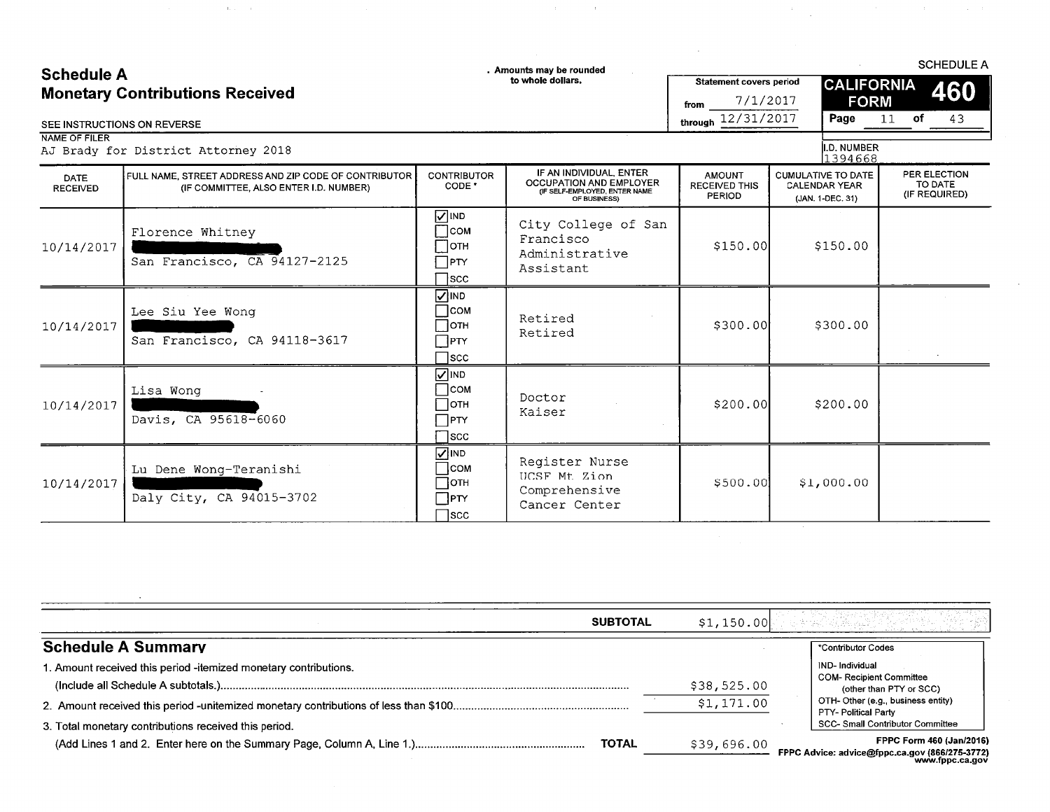# Schodulo A

 $\mathbf{u}(\mathbf{u}) = \mathbf{u}(\mathbf{u})$ 

. Amounts may be rounded

 $\sim 0.1$ 

**SCHEDULE A** 

| <b>Schedule A</b>                      | to whole dollars, | <b>Statement covers period</b> | <b>CALIFORNIA</b> |             |    | 460 |  |
|----------------------------------------|-------------------|--------------------------------|-------------------|-------------|----|-----|--|
| <b>Monetary Contributions Received</b> |                   | 7/1/2017<br>from               |                   | <b>FORM</b> |    |     |  |
| SEE INSTRUCTIONS ON REVERSE            |                   | through 12/31/2017             | Page              |             | ot |     |  |

NAME OF FILER

AJ Brady for District Attorney 2018

 $\mathcal{A}$ 

I.D. NUMBER<br>1394668

 $\sim$ 

 $\mathcal{A}^{\mathcal{A}}$ 

|                         |                                                                                                 |                                                                                            |                                                                                                            |                                                 | -------                                                               |                                          |
|-------------------------|-------------------------------------------------------------------------------------------------|--------------------------------------------------------------------------------------------|------------------------------------------------------------------------------------------------------------|-------------------------------------------------|-----------------------------------------------------------------------|------------------------------------------|
| DATE<br><b>RECEIVED</b> | FULL NAME, STREET ADDRESS AND ZIP CODE OF CONTRIBUTOR<br>(IF COMMITTEE, ALSO ENTER I.D. NUMBER) | <b>CONTRIBUTOR</b><br>CODE <sup>*</sup>                                                    | IF AN INDIVIDUAL, ENTER<br><b>OCCUPATION AND EMPLOYER</b><br>(IF SELF-EMPLOYED, ENTER NAME<br>OF BUSINESS) | <b>AMOUNT</b><br><b>RECEIVED THIS</b><br>PERIOD | <b>CUMULATIVE TO DATE</b><br><b>CALENDAR YEAR</b><br>(JAN. 1-DEC. 31) | PER ELECTION<br>TO DATE<br>(IF REQUIRED) |
| 10/14/2017              | Florence Whitney<br>San Francisco, CA 94127-2125                                                | <b>NIND</b><br>$\Box$ сом<br>$\Box$ отн<br>$\Box$ PTY<br>$\sqcap$ scc                      | City College of San<br>Francisco<br>Administrative<br>Assistant                                            | \$150.00                                        | \$150.00                                                              |                                          |
| 10/14/2017              | Lee Siu Yee Wong<br>San Francisco, CA 94118-3617                                                | <b>NIND</b><br>∏сом<br>$\Box$ отн<br>$\Box$ PTY<br>$\sqcap$ scc                            | Retired<br>Retired                                                                                         | \$300.00                                        | \$300.00                                                              |                                          |
| 10/14/2017              | Lisa Wong<br>Davis, CA 95618-6060                                                               | $\sqrt{ }$ IND<br>$\Box$ COM<br>∏отн<br>$\Box$ PTY<br>$\sqsupset$ scc                      | Doctor<br>Kaiser                                                                                           | \$200.00]                                       | \$200.00                                                              |                                          |
| 10/14/2017              | Lu Dene Wong-Teranishi<br>Daly City, CA 94015-3702                                              | <b>VIND</b><br>$\overline{\phantom{a}}$ COM<br>$\sqcap$ отн<br>$\Box$ PTY<br>$\bigcap$ scc | Register Nurse<br>UCSF Mt Zion<br>Comprehensive<br>Cancer Center                                           | \$500.00                                        | \$1,000.00                                                            |                                          |

| <b>SUBTOTAL</b>                                                 | \$1,150.00  | 아버지의 아들 선물 누나 이 보                                                                                    |
|-----------------------------------------------------------------|-------------|------------------------------------------------------------------------------------------------------|
| <b>Schedule A Summary</b>                                       |             | *Contributor Codes                                                                                   |
| . Amount received this period -itemized monetary contributions. | \$38,525.00 | <b>IND-Individual</b><br><b>COM-Recipient Committee</b><br>(other than PTY or SCC)                   |
| 3. Total monetary contributions received this period.           | \$1,171.00  | OTH-Other (e.g., business entity)<br>PTY- Political Party<br><b>SCC- Small Contributor Committee</b> |
| <b>TOTAL</b>                                                    | \$39,696.00 | FPPC Form 460 (Jan/2016)<br>FPPC Advice: advice@fppc.ca.gov (866/275-3772)                           |

www.fppc.ca.gov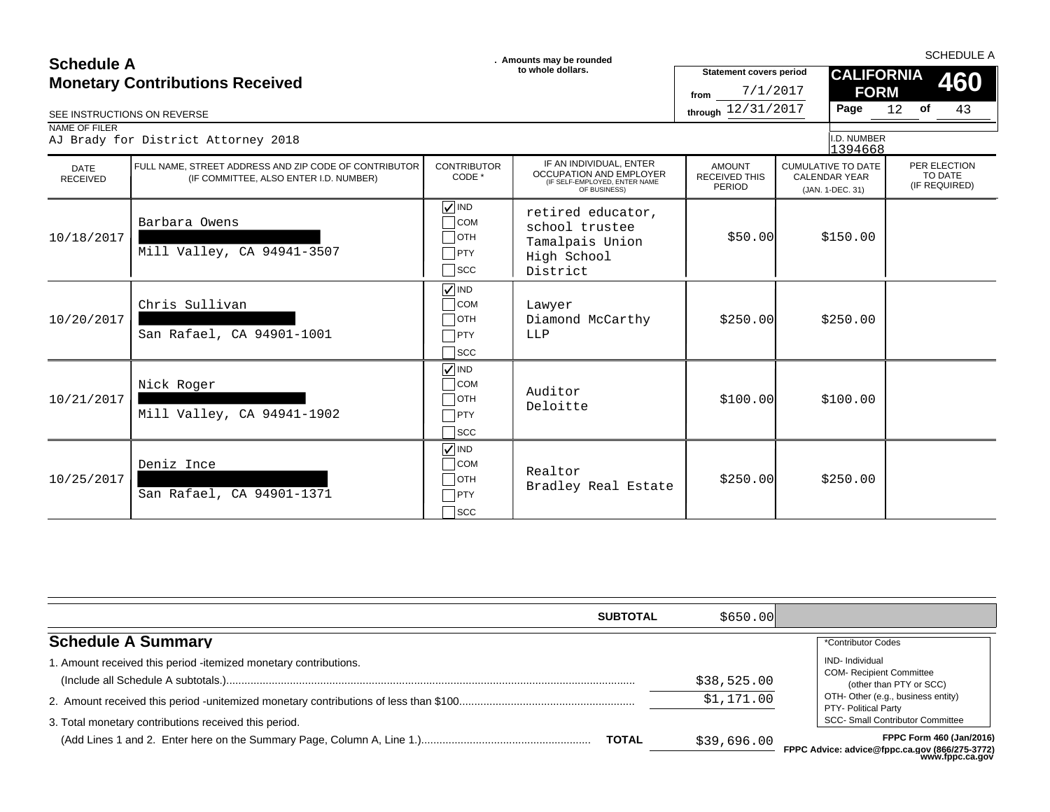| <b>Schedule A</b><br><b>Monetary Contributions Received</b><br>SEE INSTRUCTIONS ON REVERSE<br>NAME OF FILER<br>AJ Brady for District Attorney 2018 |                                                                                                 |                                                                                             | . Amounts may be rounded<br>to whole dollars.                                                       | <b>Statement covers period</b><br>7/1/2017<br>from<br>through 12/31/2017 | <b>CALIFORNIA</b><br><b>FORM</b><br>Page<br>I.D. NUMBER                          | <b>SCHEDULE A</b><br>460<br>43<br>12 <b>of</b> |
|----------------------------------------------------------------------------------------------------------------------------------------------------|-------------------------------------------------------------------------------------------------|---------------------------------------------------------------------------------------------|-----------------------------------------------------------------------------------------------------|--------------------------------------------------------------------------|----------------------------------------------------------------------------------|------------------------------------------------|
| <b>DATE</b><br><b>RECEIVED</b>                                                                                                                     | FULL NAME, STREET ADDRESS AND ZIP CODE OF CONTRIBUTOR<br>(IF COMMITTEE, ALSO ENTER I.D. NUMBER) | <b>CONTRIBUTOR</b><br>CODE *                                                                | IF AN INDIVIDUAL, ENTER<br>OCCUPATION AND EMPLOYER<br>(IF SELF-EMPLOYED, ENTER NAME<br>OF BUSINESS) | <b>AMOUNT</b><br><b>RECEIVED THIS</b><br>PERIOD                          | 1394668<br><b>CUMULATIVE TO DATE</b><br><b>CALENDAR YEAR</b><br>(JAN. 1-DEC. 31) | PER ELECTION<br>TO DATE<br>(IF REQUIRED)       |
| 10/18/2017                                                                                                                                         | Barbara Owens<br>Mill Valley, CA 94941-3507                                                     | $\sqrt{ }$ IND<br>$\bigcap$ COM<br>$\Box$ ОТН<br>$\Box$ PTY<br>$\sqsupset$ scc              | retired educator,<br>school trustee<br>Tamalpais Union<br>High School<br>District                   | \$50.00                                                                  | \$150.00                                                                         |                                                |
| 10/20/2017                                                                                                                                         | Chris Sullivan<br>San Rafael, CA 94901-1001                                                     | $\sqrt{}$ IND<br>$\overline{\phantom{a}}$ COM<br>$\sqcap$ OTH<br>$\neg$ PTY<br>$\sqcap$ scc | Lawyer<br>Diamond McCarthy<br>LLP                                                                   | \$250.00                                                                 | \$250.00                                                                         |                                                |
| 10/21/2017                                                                                                                                         | Nick Roger<br>Mill Valley, CA 94941-1902                                                        | $\sqrt{ }$ IND<br>$\overline{\phantom{a}}$ COM<br>$\Box$ OTH<br>$\neg$ PTY<br>$\sqcap$ scc  | Auditor<br>Deloitte                                                                                 | \$100.00]                                                                | \$100.00                                                                         |                                                |
| 10/25/2017                                                                                                                                         | Deniz Ince<br>San Rafael, CA 94901-1371                                                         | $\sqrt{ }$ IND<br>$\overline{\phantom{a}}$ COM<br>$\Box$ OTH<br>$\neg$ PTY<br>$\sqcap$ scc  | Realtor<br>Bradley Real Estate                                                                      | \$250.00                                                                 | \$250.00                                                                         |                                                |

|                                                                                                                           | <b>SUBTOTAL</b> | \$650.00                  |                                                                                                                                                                                              |
|---------------------------------------------------------------------------------------------------------------------------|-----------------|---------------------------|----------------------------------------------------------------------------------------------------------------------------------------------------------------------------------------------|
| <b>Schedule A Summary</b>                                                                                                 |                 |                           | *Contributor Codes                                                                                                                                                                           |
| 1. Amount received this period -itemized monetary contributions.<br>3. Total monetary contributions received this period. |                 | \$38,525.00<br>\$1,171.00 | <b>IND-Individual</b><br><b>COM- Recipient Committee</b><br>(other than PTY or SCC)<br>OTH- Other (e.g., business entity)<br>PTY- Political Party<br><b>SCC- Small Contributor Committee</b> |
|                                                                                                                           | <b>TOTAL</b>    | \$39,696.00               | <b>FPPC Form 460 (Jan/2016)</b><br>FPPC Advice: advice@fppc.ca.gov (866/275-3772)<br>www.fppc.ca.gov                                                                                         |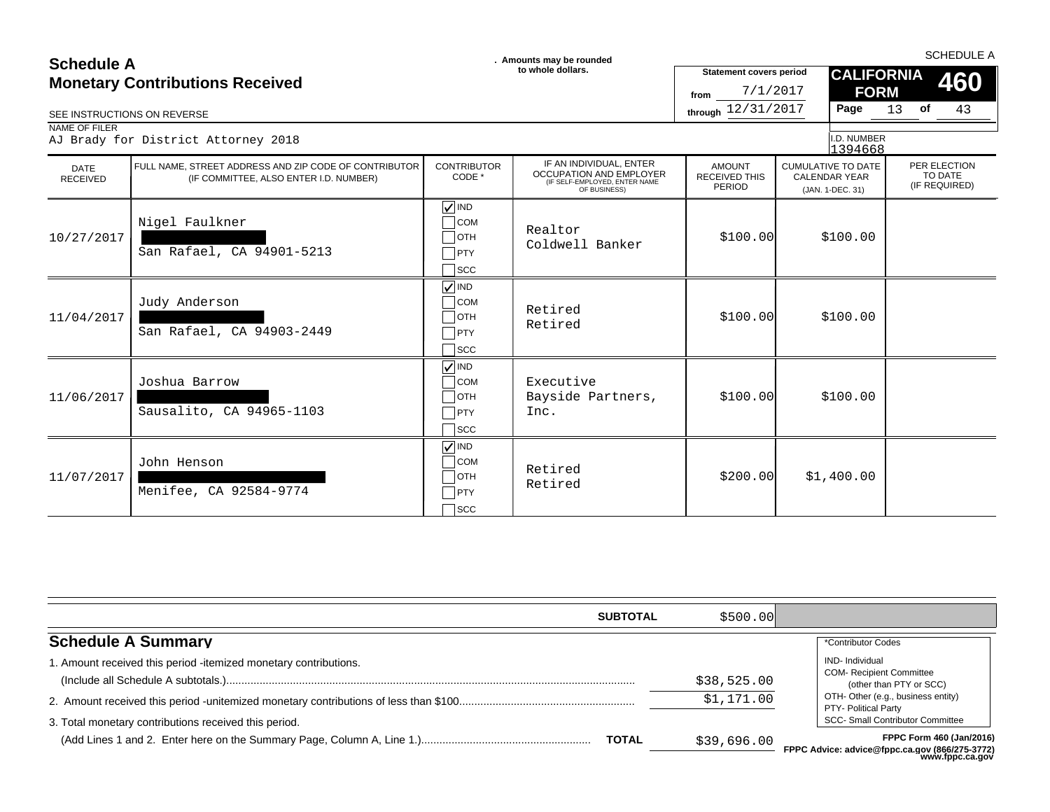# **SCHEDULE A**<br> **SCHEDULE A** SCHEDULE A SCHEDULE A **SCHEDULE A SCHEDULE A SCHEDULE A SCHEDULE A SCHEDULE A SCHEDULE A SCHEDULE A**

### $\Box$ OTH Nigel Faulkner San Rafael, CA 94901-5213 **VIND**  $\sqsupset$ scc 10/27/2017 \$100.00 \$100.00 □ COM Realtor Coldwell Banker  $\Box$ PTY  $\Box$ OTH Judy Anderson San Rafael, CA 94903-2449 **VIND**  $\Box$ scc  $11/04/2017$  \$100.00 \$100.00 \$100.00 \$100.00 \$100.00 \$100.00 \$100.00 \$100.00 \$100.00 \$100.00 \$100.00 \$100.00 \$100.00 \$100.00 \$100.00 \$100.00 \$100.00 \$100.00 \$100.00 \$100.00 \$100.00 \$100.00 \$100.00 \$100.00 \$100.00 \$100.00 COM Retired Retired  $\Box$ PTY  $\Box$ OTH Joshua Barrow Sausalito, CA 94965-1103 **VIND**  $\Box$ scc 11/06/2017 \$100.00 \$100.00 Bayside Partners, COM Executive PTY Inc.  $\Box$ OTH John Henson Menifee, CA 92584-9774  $\sqrt{N}$  IND  $\sqsupset$ scc 11/07/2017 \$200.00 \$1,400.00 COM Retired Retired  $\Box$ PTY SEE INSTRUCTIONS ON REVERSE **through** 12/31/2017 **Page** 13 of 43 IF AN INDIVIDUAL, ENTER OCCUPATION AND EMPLOYER (IF SELF-EMPLOYED, ENTER NAME OF BUSINESS) 13 (JAN. 1-DEC. 31) 1394668 **of** 7/1/2017 AJ Brady for District Attorney 2018 **CALIFORNIA FORM** (IF COMMITTEE, ALSO ENTER I.D. NUMBER) CONTRIBUTOR CODE \* CUMULATIVE TO DATE CALENDAR YEAR **460** PER ELECTION TO DATE<br>(IF REQUIRED) AMOUNT RECEIVED THIS PERIOD DATE<br>RECEIVED RECEIVED (IF COMMITTEE, ALSO ENTER I.D. NUMBER) CODE CODE SUBSIGITION AND LWI LOTEN RECEIVED IHIS CALENDAR YEAR<br>CESEF-EMPLOYED, ENGLISHER CEREISINESS, ENGLISHER AME PERIOD (IN 1-DEC 31) (IF REQUIRED) NAME OF FILER FULL NAME, STREET ADDRESS AND ZIP CODE OF CONTRIBUTOR **Statement covers period** I.D. NUMBER **from Monetary Contributions Received**

|                                                                  | <b>SUBTOTAL</b> | \$500.00]   |                                                                                      |
|------------------------------------------------------------------|-----------------|-------------|--------------------------------------------------------------------------------------|
| <b>Schedule A Summary</b>                                        |                 |             | *Contributor Codes                                                                   |
| 1. Amount received this period -itemized monetary contributions. |                 | \$38,525.00 | <b>IND-</b> Individual<br><b>COM- Recipient Committee</b><br>(other than PTY or SCC) |
|                                                                  |                 | \$1,171.00  | OTH- Other (e.g., business entity)<br>PTY- Political Party                           |
| 3. Total monetary contributions received this period.            |                 |             | <b>SCC- Small Contributor Committee</b>                                              |
|                                                                  | <b>TOTAL</b>    | \$39,696.00 | FPPC Form 460 (Jan/2016)<br>FPPC Advice: advice@fppc.ca.gov (866/275-3772)           |

**FPPC Advice: advice@fppc.ca.gov (866/275-3772) www.fppc.ca.gov**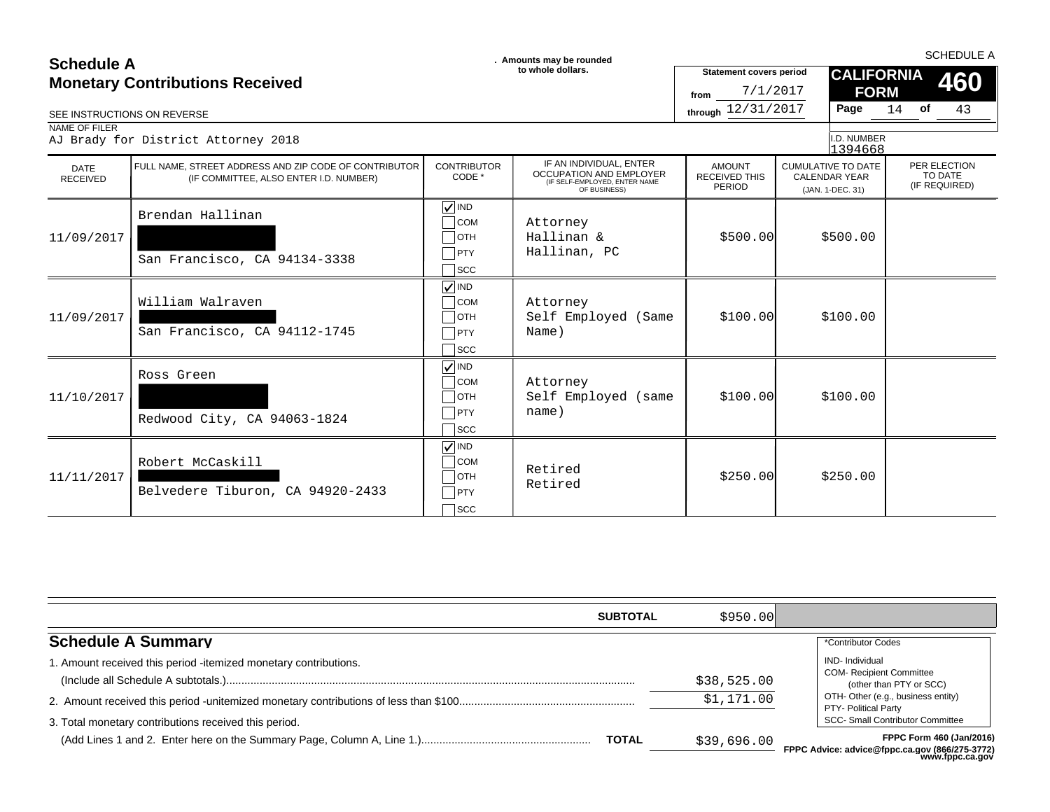### **SCHEDULE A**<br> **SCHEDULE A** SCHEDULE A SCHEDULE A **SCHEDULE A SCHEDULE A SCHEDULE A SCHEDULE A SCHEDULE A SCHEDULE A SCHEDULE A Monetary Contributions Received**

| SEE INSTRUCTIONS ON REVERSE | <b>Monetary Contributions Received</b>                                                          |                                                                                              | to whole dollars.                                                                                   | <b>Statement covers period</b><br>7/1/2017<br>from<br>through 12/31/2017 | <b>CALIFORNIA</b><br><b>FORM</b><br>Page                              | <b>460</b><br>43<br>$14$ of              |
|-----------------------------|-------------------------------------------------------------------------------------------------|----------------------------------------------------------------------------------------------|-----------------------------------------------------------------------------------------------------|--------------------------------------------------------------------------|-----------------------------------------------------------------------|------------------------------------------|
| NAME OF FILER               | AJ Brady for District Attorney 2018                                                             |                                                                                              |                                                                                                     |                                                                          | I.D. NUMBER<br>1394668                                                |                                          |
| DATE<br><b>RECEIVED</b>     | FULL NAME, STREET ADDRESS AND ZIP CODE OF CONTRIBUTOR<br>(IF COMMITTEE, ALSO ENTER I.D. NUMBER) | <b>CONTRIBUTOR</b><br>CODE *                                                                 | IF AN INDIVIDUAL, ENTER<br>OCCUPATION AND EMPLOYER<br>(IF SELF-EMPLOYED, ENTER NAME<br>OF BUSINESS) | <b>AMOUNT</b><br><b>RECEIVED THIS</b><br>PERIOD                          | <b>CUMULATIVE TO DATE</b><br><b>CALENDAR YEAR</b><br>(JAN. 1-DEC. 31) | PER ELECTION<br>TO DATE<br>(IF REQUIRED) |
| 11/09/2017                  | Brendan Hallinan<br>San Francisco, CA 94134-3338                                                | $\sqrt{}$ IND<br>$\Box$ COM<br>$\Box$ OTH<br>$\Box$ PTY<br>$\sqcap$ scc                      | Attorney<br>Hallinan &<br>Hallinan, PC                                                              | \$500.00]                                                                | \$500.00                                                              |                                          |
| 11/09/2017                  | William Walraven<br>San Francisco, CA 94112-1745                                                | $\sqrt{}$ IND<br>$\bigcap$ COM<br>$\Box$ OTH<br>$\neg$ PTY<br>$\sqcap$ scc                   | Attorney<br>Self Employed (Same<br>Name)                                                            | \$100.00]                                                                | \$100.00                                                              |                                          |
| 11/10/2017                  | Ross Green<br>Redwood City, CA 94063-1824                                                       | $\sqrt{ }$ IND<br>$\Box$ COM<br>$\Box$ OTH<br>$\neg$ PTY<br>$\sqsupset$ scc                  | Attorney<br>Self Employed (same<br>name)                                                            | \$100.00]                                                                | \$100.00                                                              |                                          |
| 11/11/2017                  | Robert McCaskill<br>Belvedere Tiburon, CA 94920-2433                                            | $\sqrt{}$ IND<br>$\overline{\phantom{a}}$ COM<br>$\Box$ OTH<br>$\bigcap$ PTY<br>$\sqcap$ scc | Retired<br>Retired                                                                                  | \$250.00                                                                 | \$250.00                                                              |                                          |

| <b>SUBTOTAL</b>                                                 | \$950.00    |                                                                                                       |
|-----------------------------------------------------------------|-------------|-------------------------------------------------------------------------------------------------------|
| <b>Schedule A Summary</b>                                       |             | *Contributor Codes                                                                                    |
| . Amount received this period -itemized monetary contributions. | \$38,525.00 | <b>IND-</b> Individual<br><b>COM- Recipient Committee</b><br>(other than PTY or SCC)                  |
| 3. Total monetary contributions received this period.           | \$1,171.00  | OTH- Other (e.g., business entity)<br>PTY- Political Party<br><b>SCC- Small Contributor Committee</b> |
| <b>TOTAL</b>                                                    | \$39,696.00 | FPPC Form 460 (Jan/2016)<br>FPPC Advice: advice@fppc.ca.gov (866/275-3772)<br>www.fppc.ca.gov         |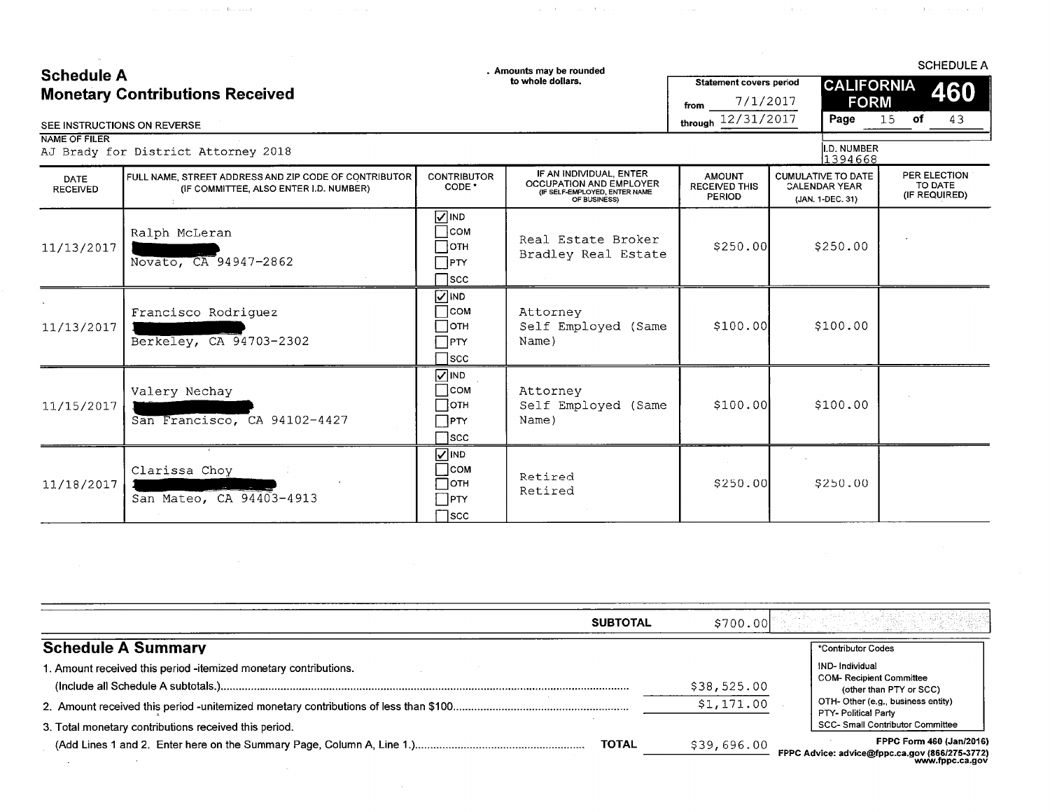# $C = L = d \cdot L = A$

 $\sim 100$  km s  $^{-1}$ 

 $\hat{\mathcal{A}}_{\text{max}}$  ,  $\hat{\mathcal{A}}_{\text{max}}$  , and  $\hat{\mathcal{A}}_{\text{max}}$  . Becoming ( )

Amounts may be rounded

**SCHEDULE A** 

التهاب والمتعاون والمتعارض والمتعارض والمستقل والمتعارض والمستعار والمستعار والمتعارض والمتعارض والمتعارض والمستعار

| <b>Schedule A</b><br>. MINANIO IIIAY DE IOUNUEU<br>to whole dollars.<br><b>Monetary Contributions Received</b><br>SEE INSTRUCTIONS ON REVERSE |                                                                                                 | <b>Statement covers period</b><br>7/1/2017<br>from<br>through 12/31/2017 |                                                                                                            | <b>CALIFORNIA</b><br><b>FORM</b><br>Page               | of<br>15                                                              | 460<br>43                     |  |                                          |
|-----------------------------------------------------------------------------------------------------------------------------------------------|-------------------------------------------------------------------------------------------------|--------------------------------------------------------------------------|------------------------------------------------------------------------------------------------------------|--------------------------------------------------------|-----------------------------------------------------------------------|-------------------------------|--|------------------------------------------|
| <b>NAME OF FILER</b>                                                                                                                          | AJ Brady for District Attorney 2018                                                             |                                                                          |                                                                                                            |                                                        |                                                                       | <b>I.D. NUMBER</b><br>1394668 |  |                                          |
| DATE<br><b>RECEIVED</b>                                                                                                                       | FULL NAME, STREET ADDRESS AND ZIP CODE OF CONTRIBUTOR<br>(IF COMMITTEE, ALSO ENTER I.D. NUMBER) | <b>CONTRIBUTOR</b><br>CODE <sup>*</sup>                                  | IF AN INDIVIDUAL, ENTER<br><b>OCCUPATION AND EMPLOYER</b><br>(IF SELF-EMPLOYED, ENTER NAME<br>OF BUSINESS) | <b>AMOUNT</b><br><b>RECEIVED THIS</b><br><b>PERIOD</b> | <b>CUMULATIVE TO DATE</b><br><b>CALENDAR YEAR</b><br>(JAN. 1-DEC. 31) |                               |  | PER ELECTION<br>TO DATE<br>(IF REQUIRED) |
| 11/13/2017                                                                                                                                    | Ralph McLeran<br>Novato, CA 94947-2862                                                          | $\nabla$ IND<br>∃сом<br>∏отн<br>$\Box$ PTY<br>$\sqcap$ scc               | Real Estate Broker<br>Bradley Real Estate                                                                  | \$250.00]                                              |                                                                       | \$250.00                      |  |                                          |
| 11/13/2017                                                                                                                                    | Francisco Rodriguez<br>Berkeley, CA 94703-2302                                                  | $\sqrt{ }$ IND<br>∃сом<br>∃отн<br>$\sqcap$ PTY<br>$\sqcap$ scc           | Attorney<br>Self Employed (Same<br>Name)                                                                   | \$100.00                                               |                                                                       | \$100.00                      |  |                                          |
| 11/15/2017                                                                                                                                    | Valery Nechay<br>San Francisco, CA 94102-4427                                                   | $\sqrt{ }$ IND<br>∃сом<br>∃отн<br>∏PTY<br>Tscc:                          | Attorney<br>Self Employed (Same<br>Name)                                                                   | \$100.00]                                              |                                                                       | \$100.00                      |  |                                          |
| 11/18/2017                                                                                                                                    | Clarissa Choy<br>San Mateo, CA 94403-4913                                                       | $\sqrt{ }$ IND<br> com<br>∏отн<br>$\top$ PTY<br>∃scc                     | Retired<br>Retired                                                                                         | \$250.00                                               |                                                                       | \$250.00                      |  |                                          |

| <b>SUBTOTAL</b>                                                  | \$700.00    |                                                                                                      |
|------------------------------------------------------------------|-------------|------------------------------------------------------------------------------------------------------|
| <b>Schedule A Summary</b>                                        |             | *Contributor Codes                                                                                   |
| 1. Amount received this period -itemized monetary contributions. | \$38,525.00 | IND-Individual<br><b>COM- Recipient Committee</b><br>(other than PTY or SCC)                         |
|                                                                  | \$1,171.00  | OTH-Other (e.g., business entity)<br>PTY- Political Party                                            |
| 3. Total monetary contributions received this period.            |             | <b>SCC- Small Contributor Committee</b>                                                              |
| TOTAL                                                            | \$39,696.00 | <b>FPPC Form 460 (Jan/2016)</b><br>FPPC Advice: advice@fppc.ca.gov (866/275-3772)<br>www.fppc.ca.gov |

 $\mathcal{L}^{\text{max}}_{\text{max}}$  , where  $\mathcal{L}^{\text{max}}_{\text{max}}$ 

 $\mathcal{L}^{\text{max}}_{\text{max}}$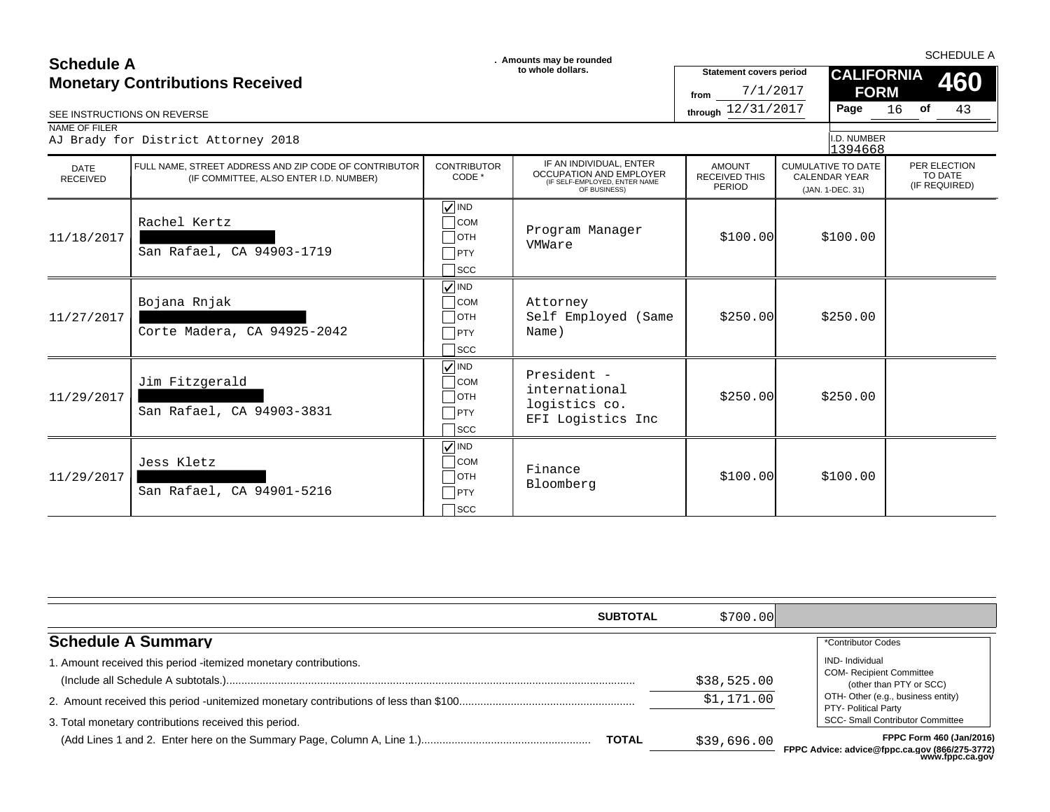| <b>Schedule A</b>                      |                                                                                                 |                                                                                            | . Amounts may be rounded                                                                                   |                                                    | <b>SCHEDULE A</b>                                                     |                                          |
|----------------------------------------|-------------------------------------------------------------------------------------------------|--------------------------------------------------------------------------------------------|------------------------------------------------------------------------------------------------------------|----------------------------------------------------|-----------------------------------------------------------------------|------------------------------------------|
| <b>Monetary Contributions Received</b> |                                                                                                 | to whole dollars.                                                                          |                                                                                                            | <b>Statement covers period</b><br>7/1/2017<br>from | <b>CALIFORNIA</b><br><b>FORM</b>                                      | 460                                      |
| SEE INSTRUCTIONS ON REVERSE            |                                                                                                 |                                                                                            |                                                                                                            | through 12/31/2017                                 | Page                                                                  | 16<br>of<br>43                           |
| NAME OF FILER                          | AJ Brady for District Attorney 2018                                                             |                                                                                            |                                                                                                            |                                                    | I.D. NUMBER<br>1394668                                                |                                          |
| DATE<br><b>RECEIVED</b>                | FULL NAME. STREET ADDRESS AND ZIP CODE OF CONTRIBUTOR<br>(IF COMMITTEE, ALSO ENTER I.D. NUMBER) | <b>CONTRIBUTOR</b><br>CODE *                                                               | IF AN INDIVIDUAL, ENTER<br><b>OCCUPATION AND EMPLOYER</b><br>(IF SELF-EMPLOYED, ENTER NAME<br>OF BUSINESS) | <b>AMOUNT</b><br><b>RECEIVED THIS</b><br>PERIOD    | <b>CUMULATIVE TO DATE</b><br><b>CALENDAR YEAR</b><br>(JAN. 1-DEC. 31) | PER ELECTION<br>TO DATE<br>(IF REQUIRED) |
| 11/18/2017                             | Rachel Kertz<br>San Rafael, CA 94903-1719                                                       | $\sqrt{ }$ IND<br>$\bigcap$ COM<br>$\Box$ OTH<br>PTY<br>$\sqcap$ scc                       | Program Manager<br>VMWare                                                                                  | \$100.00]                                          | \$100.00                                                              |                                          |
| 11/27/2017                             | Bojana Rnjak<br>Corte Madera, CA 94925-2042                                                     | $\sqrt{\sqrt{}}$ IND<br>$\overline{\big)}$ COM<br>$\Box$ OTH<br>$\Box$ PTY<br>$\sqcap$ scc | Attorney<br>Self Employed (Same<br>Name)                                                                   | \$250.00                                           | \$250.00                                                              |                                          |
| 11/29/2017                             | Jim Fitzgerald<br>San Rafael, CA 94903-3831                                                     | $\sqrt{}$ IND<br>$\overline{\phantom{a}}$ COM<br>$\Box$ OTH<br>$\neg$ PTY<br>$\sqcap$ scc  | President -<br>international<br>logistics co.<br>EFI Logistics Inc                                         | \$250.00                                           | \$250.00                                                              |                                          |
| 11/29/2017                             | Jess Kletz<br>San Rafael, CA 94901-5216                                                         | $\sqrt{}$ IND<br>$\overline{\big)}$ COM<br>$\bigcap$ OTH<br>PTY<br>$\sqcap$ scc            | Finance<br>Bloomberg                                                                                       | \$100.00]                                          | \$100.00                                                              |                                          |

| <b>SUBTOTAL</b>                                                  | \$700.001   |                                                                                              |
|------------------------------------------------------------------|-------------|----------------------------------------------------------------------------------------------|
| <b>Schedule A Summary</b>                                        |             | *Contributor Codes                                                                           |
| 1. Amount received this period -itemized monetary contributions. | \$38,525.00 | <b>IND-</b> Individual<br><b>COM- Recipient Committee</b>                                    |
|                                                                  | \$1,171.00  | (other than PTY or SCC)<br>OTH- Other (e.g., business entity)<br><b>PTY- Political Party</b> |
| 3. Total monetary contributions received this period.            |             | <b>SCC- Small Contributor Committee</b>                                                      |
| <b>TOTAL</b>                                                     | \$39,696.00 | FPPC Form 460 (Jan/2016)<br>FPPC Advice: advice@fnnc.ca.gov (866/275-3772)                   |

**FPPC Advice: advice@fppc.ca.gov (866/275-3772) www.fppc.ca.gov**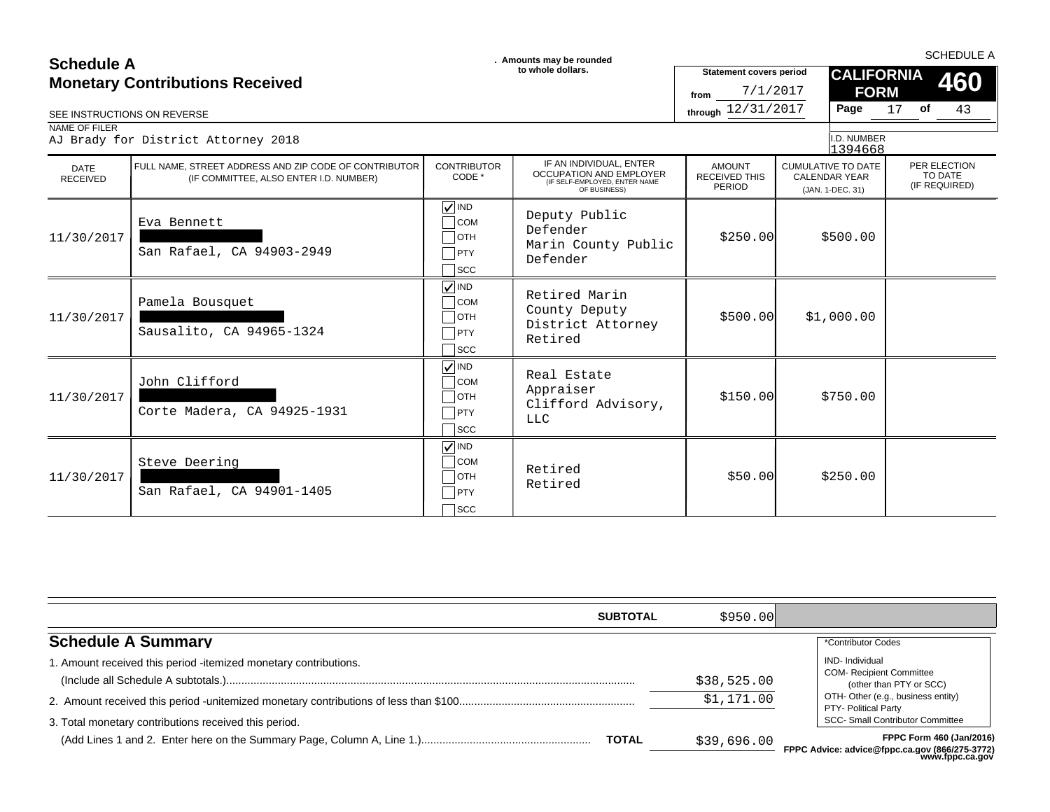| <b>Schedule A</b>           |                                                                                                 |                                                                                           | . Amounts may be rounded                                                                                   |                                                        |                                                                       | <b>SCHEDULE A</b>                        |
|-----------------------------|-------------------------------------------------------------------------------------------------|-------------------------------------------------------------------------------------------|------------------------------------------------------------------------------------------------------------|--------------------------------------------------------|-----------------------------------------------------------------------|------------------------------------------|
|                             | <b>Monetary Contributions Received</b>                                                          |                                                                                           | to whole dollars.                                                                                          | <b>Statement covers period</b><br>7/1/2017<br>from     | <b>CALIFORNIA</b><br><b>FORM</b>                                      | 460                                      |
| SEE INSTRUCTIONS ON REVERSE |                                                                                                 |                                                                                           |                                                                                                            | through 12/31/2017                                     | Page                                                                  | $17$ of<br>43                            |
| NAME OF FILER               | AJ Brady for District Attorney 2018                                                             |                                                                                           |                                                                                                            |                                                        | I.D. NUMBER<br>1394668                                                |                                          |
| DATE<br><b>RECEIVED</b>     | FULL NAME, STREET ADDRESS AND ZIP CODE OF CONTRIBUTOR<br>(IF COMMITTEE, ALSO ENTER I.D. NUMBER) | <b>CONTRIBUTOR</b><br>CODE *                                                              | IF AN INDIVIDUAL, ENTER<br><b>OCCUPATION AND EMPLOYER</b><br>(IF SELF-EMPLOYED, ENTER NAME<br>OF BUSINESS) | <b>AMOUNT</b><br><b>RECEIVED THIS</b><br><b>PERIOD</b> | <b>CUMULATIVE TO DATE</b><br><b>CALENDAR YEAR</b><br>(JAN. 1-DEC. 31) | PER ELECTION<br>TO DATE<br>(IF REQUIRED) |
| 11/30/2017                  | Eva Bennett<br>San Rafael, CA 94903-2949                                                        | $\sqrt{ }$ IND<br>$\bigcap$ COM<br>$\Box$ OTH<br>$\neg$ PTY<br>$\sqcap$ scc               | Deputy Public<br>Defender<br>Marin County Public<br>Defender                                               | \$250.00                                               | \$500.00                                                              |                                          |
| 11/30/2017                  | Pamela Bousquet<br>Sausalito, CA 94965-1324                                                     | $\sqrt{ }$ IND<br>$\sqcap$ сом<br>$\Box$ OTH<br>$\Box$ PTY<br>$\sqcap$ scc                | Retired Marin<br>County Deputy<br>District Attorney<br>Retired                                             | \$500.00]                                              | \$1,000.00                                                            |                                          |
| 11/30/2017                  | John Clifford<br>Corte Madera, CA 94925-1931                                                    | $\sqrt{}$ IND<br>$\overline{\phantom{a}}$ COM<br>$\Box$ OTH<br>$\neg$ PTY<br>$\sqcap$ scc | Real Estate<br>Appraiser<br>Clifford Advisory,<br><b>LLC</b>                                               | \$150.00                                               | \$750.00                                                              |                                          |
| 11/30/2017                  | Steve Deering<br>San Rafael, CA 94901-1405                                                      | $\sqrt{ }$ IND<br>$\sqcap$ COM<br>$\Box$ OTH<br>PTY<br>$\sqcap$ scc                       | Retired<br>Retired                                                                                         | \$50.00                                                | \$250.00                                                              |                                          |

| <b>SUBTOTAL</b>                                                  | \$950.00    |                                                                                                       |
|------------------------------------------------------------------|-------------|-------------------------------------------------------------------------------------------------------|
| <b>Schedule A Summary</b>                                        |             | *Contributor Codes                                                                                    |
| 1. Amount received this period -itemized monetary contributions. | \$38,525.00 | <b>IND-</b> Individual<br><b>COM- Recipient Committee</b><br>(other than PTY or SCC)                  |
| 3. Total monetary contributions received this period.            | \$1,171.00  | OTH- Other (e.g., business entity)<br>PTY- Political Party<br><b>SCC- Small Contributor Committee</b> |
| <b>TOTAL</b>                                                     | \$39,696.00 | <b>FPPC Form 460 (Jan/2016)</b><br>FPPC Advice: advice@fppc.ca.gov (866/275-3772)<br>www.fppc.ca.gov  |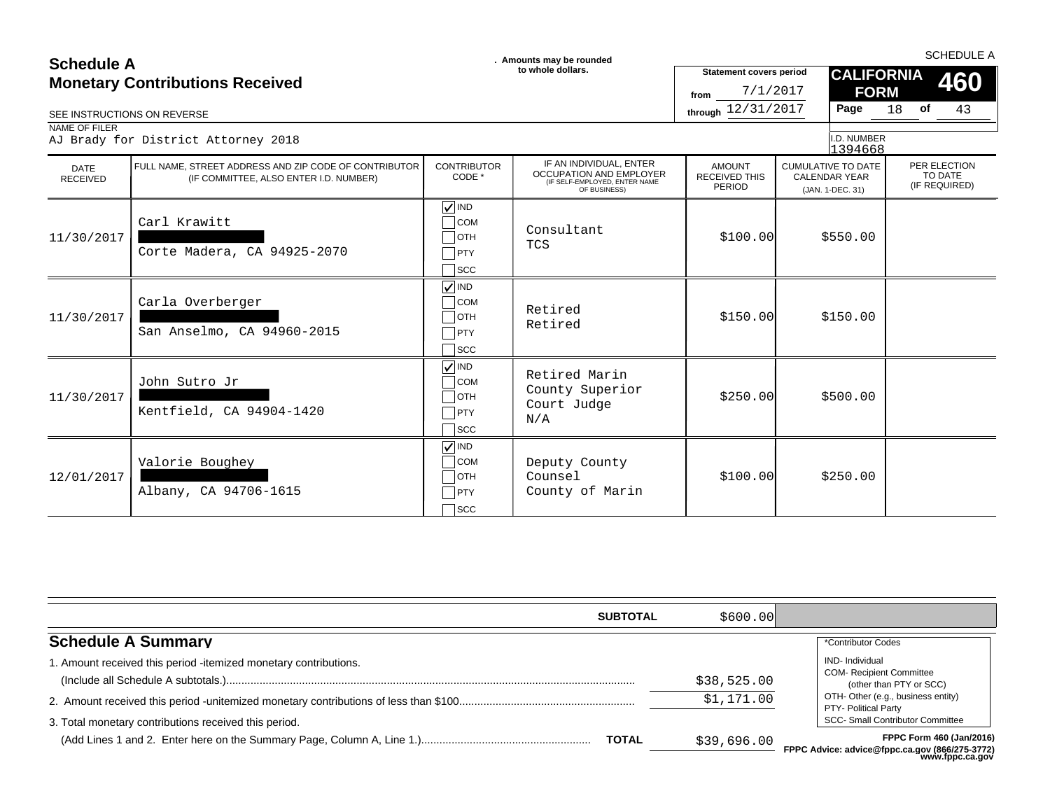### $\Box$ OTH Carl Krawitt Corte Madera, CA 94925-2070 **VIND**  $\sqsupset$ scc  $11/30/2017$  \$550.00 \$550.00 \$550.00 \$100.00 \$550.00 \$100.00 \$100.00 \$550.00 \$100.00 \$100.00 \$550.00 \$100.00 \$100.00 \$100.00 \$100.00 \$100.00 \$100.00 \$100.00 \$100.00 \$100.00 \$100.00 \$100.00 \$100.00 \$100.00 \$100.00 \$100.00 **COM** Consultant **TCS**  $\Box$ PTY  $\Box$ OTH Carla Overberger San Anselmo, CA 94960-2015 IND  $\Box$  SCC  $11/30/2017$  \$150.00 \$150.00 \$150.00 \$150.00 \$150.00 \$150.00 \$150.00 \$150.00 \$150.00 \$150.00 \$150.00 \$150.00 \$150.00 \$150.00 \$150.00 \$150.00 \$150.00 \$150.00 \$150.00 \$150.00 \$150.00 \$150.00 \$150.00 \$150.00 \$150.00 \$150.00 COM Retired Retired  $\Box$ PTY  $\Box$ OTH John Sutro Jr Kentfield, CA 94904-1420 **VIND**  $\Box$ scc  $11/30/2017$  \$500.00 \$500.00 \$500.00 \$500.00 \$500.00 \$250.00 \$500.00 \$500.00 \$500.00 \$500.00 \$500.00 \$500.00 \$500.00 \$500.00 \$500.00 \$500.00 \$500.00 \$500.00 \$500.00 \$500.00 \$500.00 \$500.00 \$500.00 \$500.00 \$500.00 \$500.00  $\frac{C}{C}$  Retired Marin County Superior Court Judge  $\Box$ PTY  $\Big|\begin{array}{c} \text{Coul} \\ \text{N/A} \end{array}\Big|$  $\Box$ OTH Valorie Boughey Albany, CA 94706-1615  $\sqrt{|\text{IND}}$  $\sqsupset$ scc 12/01/2017 \$100.00 \$250.00 COM Deputy County Counsel PTY County of Marin SEE INSTRUCTIONS ON REVERSE **through** 12/31/2017 **Page** 18 of 43 IF AN INDIVIDUAL, ENTER OCCUPATION AND EMPLOYER (IF SELF-EMPLOYED, ENTER NAME OF BUSINESS) 18 (JAN. 1-DEC. 31) 1394668 **of** 7/1/2017 AJ Brady for District Attorney 2018 **CALIFORNIA FORM** (IF COMMITTEE, ALSO ENTER I.D. NUMBER) CONTRIBUTOR CODE \* CUMULATIVE TO DATE CALENDAR YEAR **460** PER ELECTION TO DATE<br>(IF REQUIRED) AMOUNT RECEIVED THIS PERIOD **SCHEDULE A**<br> **SCHEDULE A** SCHEDULE A SCHEDULE A **SCHEDULE A SCHEDULE A SCHEDULE A SCHEDULE A SCHEDULE A SCHEDULE A SCHEDULE A** DATE<br>RECEIVED RECEIVED (IF COMMITTEE, ALSO ENTER I.D. NUMBER) CODE CODE SUBSIGITION AND LWI LOTEN RECEIVED IHIS CALENDAR YEAR<br>CESEF-EMPLOYED, ENGLISHER CEREISINESS, ENGLISHER AME PERIOD (IN 1-DEC 31) (IF REQUIRED) NAME OF FILER FULL NAME, STREET ADDRESS AND ZIP CODE OF CONTRIBUTOR **Statement covers period** I.D. NUMBER **from Monetary Contributions Received**

| <b>SUBTOTAL</b>                                                       | \$600.00    |                                                                                                                       |
|-----------------------------------------------------------------------|-------------|-----------------------------------------------------------------------------------------------------------------------|
| <b>Schedule A Summary</b>                                             |             | *Contributor Codes                                                                                                    |
| . Amount received this period -itemized monetary contributions.       | \$38,525.00 | <b>IND-</b> Individual<br><b>COM- Recipient Committee</b><br>(other than PTY or SCC)                                  |
|                                                                       | \$1,171.00  | OTH- Other (e.g., business entity)<br>PTY- Political Party                                                            |
| 3. Total monetary contributions received this period.<br><b>TOTAL</b> | \$39,696.00 | <b>SCC- Small Contributor Committee</b><br>FPPC Form 460 (Jan/2016)<br>FPPC Advice: advice@fnnc.ca.gov (866/275-3772) |

**FPPC Advice: advice@fppc.ca.gov (866/275-3772) www.fppc.ca.gov**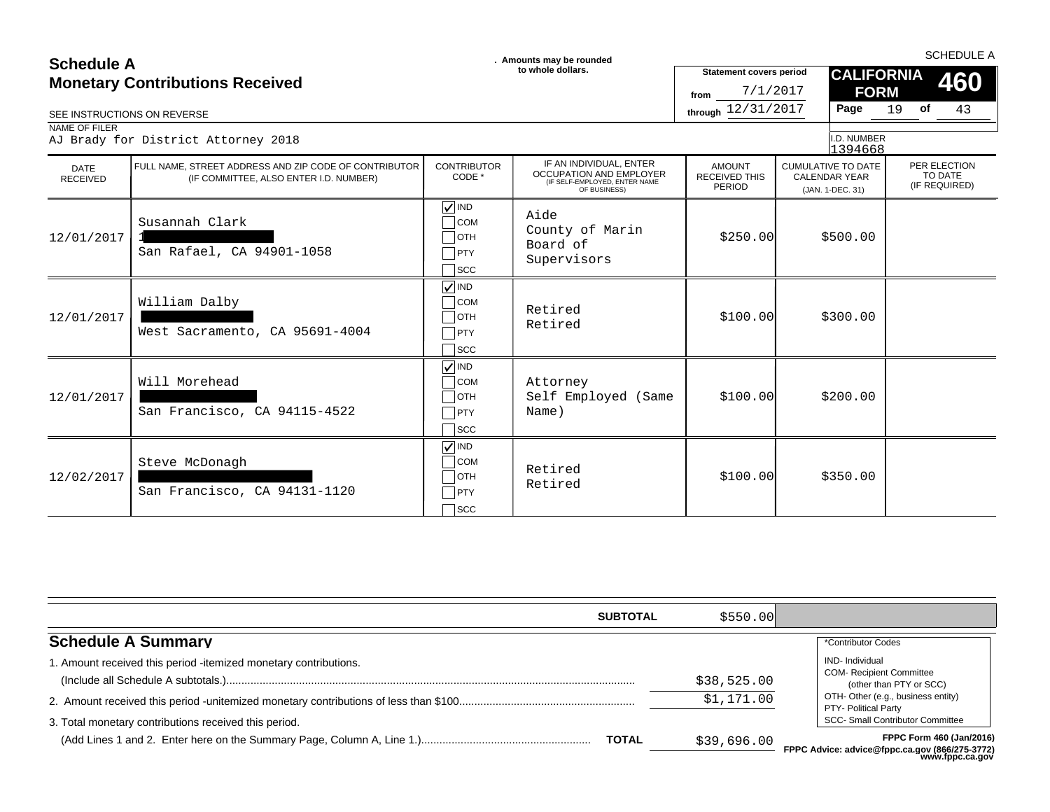| <b>Schedule A</b><br>SEE INSTRUCTIONS ON REVERSE<br>NAME OF FILER | <b>Monetary Contributions Received</b><br>AJ Brady for District Attorney 2018                   |                                                                                                | . Amounts may be rounded<br>to whole dollars.                                                              | <b>Statement covers period</b><br>7/1/2017<br>from<br>through 12/31/2017 | <b>CALIFORNIA</b><br><b>FORM</b><br>Page<br>I.D. NUMBER<br>1394668    | <b>SCHEDULE A</b><br>460<br>19<br>of<br>43 |
|-------------------------------------------------------------------|-------------------------------------------------------------------------------------------------|------------------------------------------------------------------------------------------------|------------------------------------------------------------------------------------------------------------|--------------------------------------------------------------------------|-----------------------------------------------------------------------|--------------------------------------------|
| <b>DATE</b><br><b>RECEIVED</b>                                    | FULL NAME. STREET ADDRESS AND ZIP CODE OF CONTRIBUTOR<br>(IF COMMITTEE, ALSO ENTER I.D. NUMBER) | <b>CONTRIBUTOR</b><br>CODE *                                                                   | IF AN INDIVIDUAL, ENTER<br><b>OCCUPATION AND EMPLOYER</b><br>(IF SELF-EMPLOYED, ENTER NAME<br>OF BUSINESS) | <b>AMOUNT</b><br><b>RECEIVED THIS</b><br>PERIOD                          | <b>CUMULATIVE TO DATE</b><br><b>CALENDAR YEAR</b><br>(JAN. 1-DEC. 31) | PER ELECTION<br>TO DATE<br>(IF REQUIRED)   |
| 12/01/2017                                                        | Susannah Clark<br>San Rafael, CA 94901-1058                                                     | $\sqrt{}$ IND<br>$\overline{\phantom{a}}$ COM<br>$\sqcap$ OTH<br>$\Box$ PTY<br>$\sqsupset$ scc | Aide<br>County of Marin<br>Board of<br>Supervisors                                                         | \$250.00                                                                 | \$500.00                                                              |                                            |
| 12/01/2017                                                        | William Dalby<br>West Sacramento, CA 95691-4004                                                 | $\sqrt{\mathsf{IND}}$<br>$\overline{\big)}$ COM<br>$\Box$ OTH<br>$\Box$ PTY<br>$\sqcap$ scc    | Retired<br>Retired                                                                                         | \$100.00]                                                                | \$300.00                                                              |                                            |
| 12/01/2017                                                        | Will Morehead<br>San Francisco, CA 94115-4522                                                   | $\sqrt{ }$ IND<br><b>COM</b><br>$\overline{\phantom{a}}$ OTH<br>$\sqcap$ PTY<br>$\sqcap$ scc   | Attorney<br>Self Employed (Same<br>Name)                                                                   | \$100.00]                                                                | \$200.00                                                              |                                            |
| 12/02/2017                                                        | Steve McDonagh<br>San Francisco, CA 94131-1120                                                  | $\sqrt{ }$ IND<br>$\Box$ COM<br>$\Box$ OTH<br>$\Box$ PTY<br>$\sqcap$ scc                       | Retired<br>Retired                                                                                         | \$100.00]                                                                | \$350.00                                                              |                                            |

| <b>SUBTOTAL</b>                                                                                                           | \$550.00                  |                                                                                                                                                                                               |
|---------------------------------------------------------------------------------------------------------------------------|---------------------------|-----------------------------------------------------------------------------------------------------------------------------------------------------------------------------------------------|
| <b>Schedule A Summary</b>                                                                                                 |                           | *Contributor Codes                                                                                                                                                                            |
| 1. Amount received this period -itemized monetary contributions.<br>3. Total monetary contributions received this period. | \$38,525.00<br>\$1,171.00 | IND- Individual<br><b>COM- Recipient Committee</b><br>(other than PTY or SCC)<br>OTH- Other (e.g., business entity)<br><b>PTY- Political Party</b><br><b>SCC- Small Contributor Committee</b> |
| <b>TOTAL</b>                                                                                                              | \$39,696.00               | FPPC Form 460 (Jan/2016)<br>FPPC Advice: advice@fppc.ca.gov (866/275-3772)<br>www.fppc.ca.gov                                                                                                 |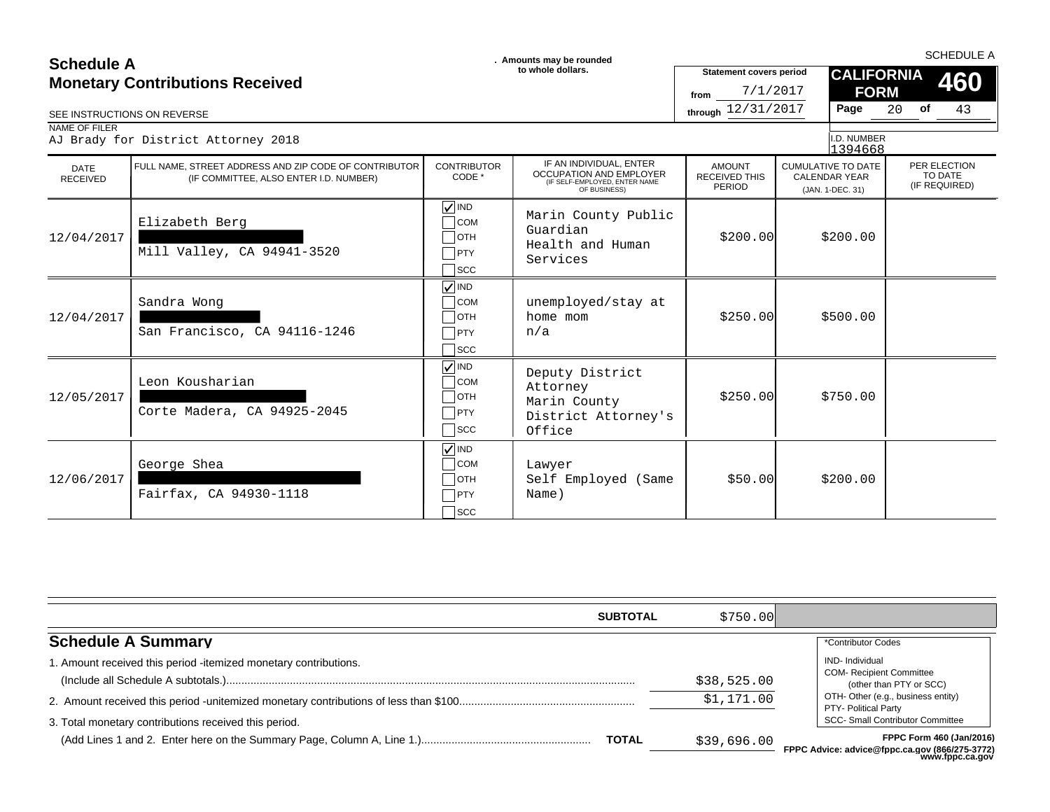| <b>Schedule A</b>                      |                                                                                                 | . Amounts may be rounded                                                                         |                                                                                                            | <b>SCHEDULE A</b>                                  |                                                                       |                                          |  |
|----------------------------------------|-------------------------------------------------------------------------------------------------|--------------------------------------------------------------------------------------------------|------------------------------------------------------------------------------------------------------------|----------------------------------------------------|-----------------------------------------------------------------------|------------------------------------------|--|
| <b>Monetary Contributions Received</b> |                                                                                                 |                                                                                                  | to whole dollars.                                                                                          | <b>Statement covers period</b><br>7/1/2017<br>from | <b>CALIFORNIA</b><br><b>FORM</b>                                      | 460                                      |  |
| SEE INSTRUCTIONS ON REVERSE            |                                                                                                 |                                                                                                  |                                                                                                            | through 12/31/2017                                 | Page                                                                  | 20 of<br>43                              |  |
| NAME OF FILER                          | AJ Brady for District Attorney 2018                                                             |                                                                                                  |                                                                                                            |                                                    | I.D. NUMBER<br>1394668                                                |                                          |  |
| <b>DATE</b><br><b>RECEIVED</b>         | FULL NAME. STREET ADDRESS AND ZIP CODE OF CONTRIBUTOR<br>(IF COMMITTEE, ALSO ENTER I.D. NUMBER) | <b>CONTRIBUTOR</b><br>CODE *                                                                     | IF AN INDIVIDUAL, ENTER<br><b>OCCUPATION AND EMPLOYER</b><br>(IF SELF-EMPLOYED, ENTER NAME<br>OF BUSINESS) | <b>AMOUNT</b><br><b>RECEIVED THIS</b><br>PERIOD    | <b>CUMULATIVE TO DATE</b><br><b>CALENDAR YEAR</b><br>(JAN. 1-DEC. 31) | PER ELECTION<br>TO DATE<br>(IF REQUIRED) |  |
| 12/04/2017                             | Elizabeth Berg<br>Mill Valley, CA 94941-3520                                                    | $\sqrt{ }$ IND<br>$\bigcap$ COM<br>$\Box$ OTH<br>$\Box$ PTY<br>$\sqcap$ scc                      | Marin County Public<br>Guardian<br>Health and Human<br>Services                                            | \$200.00]                                          | \$200.00                                                              |                                          |  |
| 12/04/2017                             | Sandra Wong<br>San Francisco, CA 94116-1246                                                     | $\sqrt{\sqrt{}}$ IND<br>$\overline{\phantom{a}}$ COM<br>$\Box$ OTH<br>$\neg$ PTY<br>$\sqcap$ scc | unemployed/stay at<br>home mom<br>n/a                                                                      | \$250.00                                           | \$500.00                                                              |                                          |  |
| 12/05/2017                             | Leon Kousharian<br>Corte Madera, CA 94925-2045                                                  | $\sqrt{ N}$<br>$\overline{\phantom{a}}$ COM<br>$\Box$ OTH<br>$\neg$ PTY<br>$\sqsupset$ scc       | Deputy District<br>Attorney<br>Marin County<br>District Attorney's<br>Office                               | \$250.00                                           | \$750.00                                                              |                                          |  |
| 12/06/2017                             | George Shea<br>Fairfax, CA 94930-1118                                                           | $\sqrt{\sqrt{}}$ IND<br>$\overline{\phantom{a}}$ COM<br>$\Box$ OTH<br>PTY<br>$\sqcap$ scc        | Lawyer<br>Self Employed (Same<br>Name)                                                                     | \$50.00                                            | \$200.00                                                              |                                          |  |

| <b>SUBTOTAL</b>                                                                                                           | \$750.001                 |                                                                                                                                                                                        |
|---------------------------------------------------------------------------------------------------------------------------|---------------------------|----------------------------------------------------------------------------------------------------------------------------------------------------------------------------------------|
| <b>Schedule A Summary</b>                                                                                                 |                           | *Contributor Codes                                                                                                                                                                     |
| 1. Amount received this period -itemized monetary contributions.<br>3. Total monetary contributions received this period. | \$38,525.00<br>\$1,171.00 | IND- Individual<br><b>COM- Recipient Committee</b><br>(other than PTY or SCC)<br>OTH- Other (e.g., business entity)<br>PTY- Political Party<br><b>SCC- Small Contributor Committee</b> |
| <b>TOTAL</b>                                                                                                              | \$39,696.00               | <b>FPPC Form 460 (Jan/2016)</b><br>FPPC Advice: advice@fppc.ca.gov (866/275-3772)<br>www.fppc.ca.gov                                                                                   |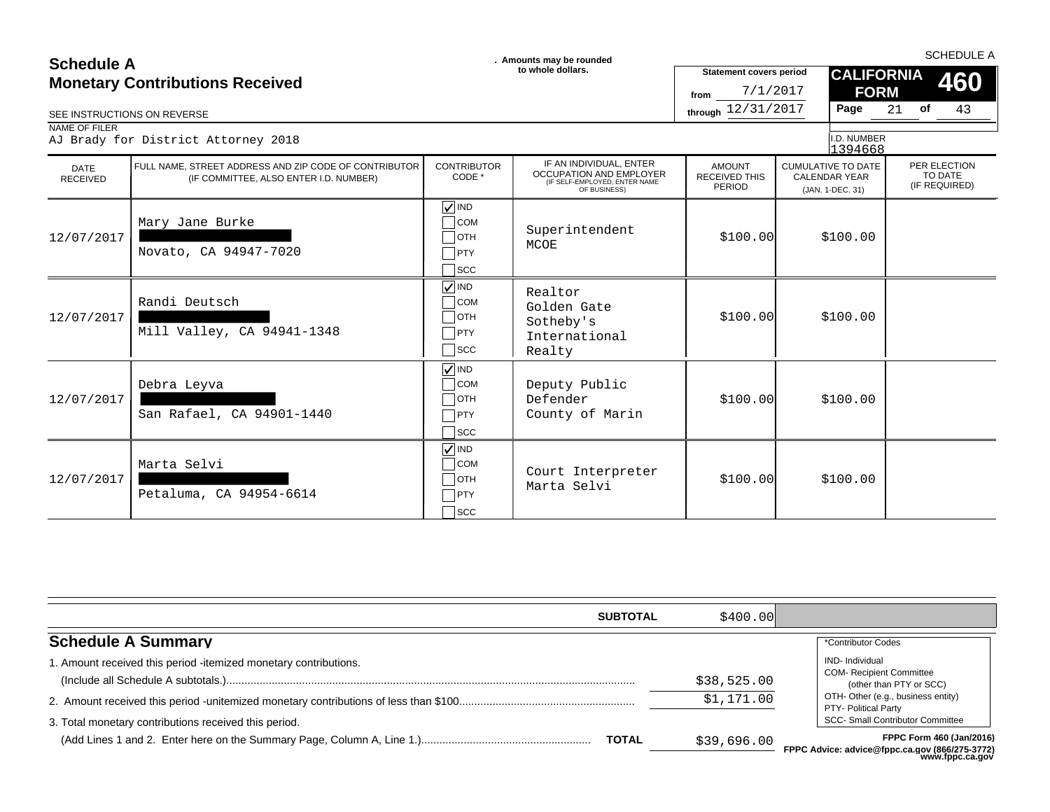| <b>Schedule A</b>                      |                                                                                                 | . Amounts may be rounded                                                                   |                                                                                                     | <b>SCHEDULE A</b>                                  |                                                                       |                                          |  |
|----------------------------------------|-------------------------------------------------------------------------------------------------|--------------------------------------------------------------------------------------------|-----------------------------------------------------------------------------------------------------|----------------------------------------------------|-----------------------------------------------------------------------|------------------------------------------|--|
| <b>Monetary Contributions Received</b> |                                                                                                 | to whole dollars.                                                                          |                                                                                                     | <b>Statement covers period</b><br>7/1/2017<br>from | <b>CALIFORNIA</b><br><b>FORM</b>                                      | 460                                      |  |
| SEE INSTRUCTIONS ON REVERSE            |                                                                                                 |                                                                                            |                                                                                                     | through 12/31/2017                                 | Page                                                                  | 43<br>21 <b>of</b>                       |  |
| NAME OF FILER                          | AJ Brady for District Attorney 2018                                                             |                                                                                            |                                                                                                     |                                                    | I.D. NUMBER<br>1394668                                                |                                          |  |
| <b>DATE</b><br><b>RECEIVED</b>         | FULL NAME. STREET ADDRESS AND ZIP CODE OF CONTRIBUTOR<br>(IF COMMITTEE, ALSO ENTER I.D. NUMBER) | <b>CONTRIBUTOR</b><br>CODE *                                                               | IF AN INDIVIDUAL, ENTER<br>OCCUPATION AND EMPLOYER<br>(IF SELF-EMPLOYED, ENTER NAME<br>OF BUSINESS) | <b>AMOUNT</b><br><b>RECEIVED THIS</b><br>PERIOD    | <b>CUMULATIVE TO DATE</b><br><b>CALENDAR YEAR</b><br>(JAN. 1-DEC. 31) | PER ELECTION<br>TO DATE<br>(IF REQUIRED) |  |
| 12/07/2017                             | Mary Jane Burke<br>Novato, CA 94947-7020                                                        | $\nabla$ IND<br>$\Box$ COM<br>$\Box$ OTH<br>$\neg$ PTY<br>$\sqcap$ scc                     | Superintendent<br>MCOE                                                                              | \$100.00]                                          | \$100.00                                                              |                                          |  |
| 12/07/2017                             | Randi Deutsch<br>Mill Valley, CA 94941-1348                                                     | $\nabla$ IND<br>$\bigcap$ COM<br>$\Box$ OTH<br>PTY<br>$\bigcap$ SCC                        | Realtor<br>Golden Gate<br>Sotheby's<br>International<br>Realty                                      | \$100.00]                                          | \$100.00                                                              |                                          |  |
| 12/07/2017                             | Debra Leyva<br>San Rafael, CA 94901-1440                                                        | $\nabla$ IND<br>$\bigcap$ COM<br>$\Box$ OTH<br>$\neg$ PTY<br>$\sqcap$ scc                  | Deputy Public<br>Defender<br>County of Marin                                                        | \$100.00]                                          | \$100.00                                                              |                                          |  |
| 12/07/2017                             | Marta Selvi<br>Petaluma, CA 94954-6614                                                          | $\sqrt{ }$ IND<br>$\overline{\phantom{a}}$ COM<br>$\Box$ OTH<br>$\Box$ PTY<br>$\sqcap$ scc | Court Interpreter<br>Marta Selvi                                                                    | \$100.00]                                          | \$100.00                                                              |                                          |  |

| <b>SUBTOTAL</b>                                                                                                           | \$400.001                 |                                                                                                                                                                                               |
|---------------------------------------------------------------------------------------------------------------------------|---------------------------|-----------------------------------------------------------------------------------------------------------------------------------------------------------------------------------------------|
| <b>Schedule A Summary</b>                                                                                                 |                           | *Contributor Codes                                                                                                                                                                            |
| 1. Amount received this period -itemized monetary contributions.<br>3. Total monetary contributions received this period. | \$38,525.00<br>\$1,171.00 | <b>IND-</b> Individual<br><b>COM- Recipient Committee</b><br>(other than PTY or SCC)<br>OTH- Other (e.g., business entity)<br>PTY- Political Party<br><b>SCC- Small Contributor Committee</b> |
| <b>TOTAL</b>                                                                                                              | \$39,696.00               | FPPC Form 460 (Jan/2016)<br>FPPC Advice: advice@fppc.ca.gov (866/275-3772)<br>www.fppc.ca.gov                                                                                                 |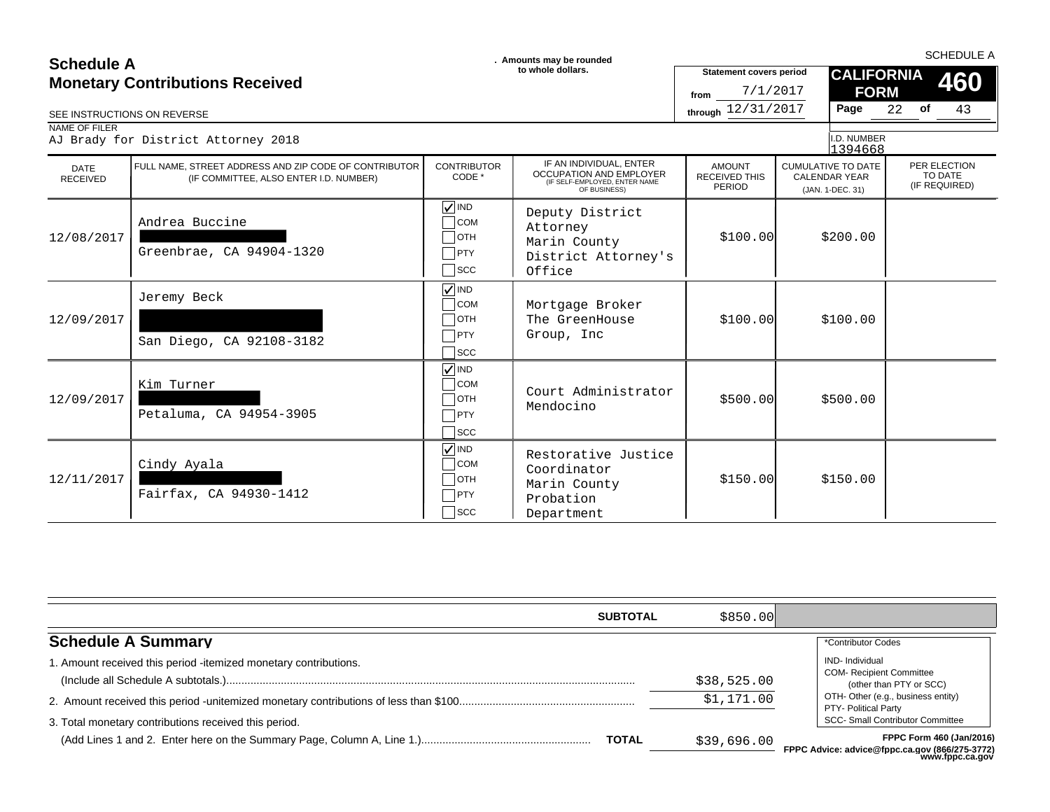### **SCHEDULE A**<br> **SCHEDULE A** SCHEDULE A SCHEDULE A **SCHEDULE A SCHEDULE A SCHEDULE A SCHEDULE A SCHEDULE A SCHEDULE A SCHEDULE A Monetary Contributions Received**

| ovnouur A               | <b>Monetary Contributions Received</b>                                                          |                                                                                        | to whole dollars.                                                                                   | <b>Statement covers period</b><br>7/1/2017<br>from |                                                                       | <b>CALIFORNIA</b><br><b>FORM</b> |          | 460                                      |
|-------------------------|-------------------------------------------------------------------------------------------------|----------------------------------------------------------------------------------------|-----------------------------------------------------------------------------------------------------|----------------------------------------------------|-----------------------------------------------------------------------|----------------------------------|----------|------------------------------------------|
| NAME OF FILER           | SEE INSTRUCTIONS ON REVERSE<br>AJ Brady for District Attorney 2018                              |                                                                                        |                                                                                                     | through 12/31/2017                                 |                                                                       | Page<br>I.D. NUMBER<br>1394668   | 22<br>of | 43                                       |
| DATE<br><b>RECEIVED</b> | FULL NAME, STREET ADDRESS AND ZIP CODE OF CONTRIBUTOR<br>(IF COMMITTEE, ALSO ENTER I.D. NUMBER) | <b>CONTRIBUTOR</b><br>CODE *                                                           | IF AN INDIVIDUAL, ENTER<br>OCCUPATION AND EMPLOYER<br>(IF SELF-EMPLOYED, ENTER NAME<br>OF BUSINESS) | <b>AMOUNT</b><br><b>RECEIVED THIS</b><br>PERIOD    | <b>CUMULATIVE TO DATE</b><br><b>CALENDAR YEAR</b><br>(JAN. 1-DEC. 31) |                                  |          | PER ELECTION<br>TO DATE<br>(IF REQUIRED) |
| 12/08/2017              | Andrea Buccine<br>Greenbrae, CA 94904-1320                                                      | $\sqrt{}$ IND<br><b>COM</b><br>$\overline{\phantom{a}}$ OTH<br>$ $ PTY<br>$\sqcap$ scc | Deputy District<br>Attorney<br>Marin County<br>District Attorney's<br>Office                        | \$100.00]                                          |                                                                       | \$200.00                         |          |                                          |
| 12/09/2017              | Jeremy Beck<br>San Diego, CA 92108-3182                                                         | $\sqrt{ }$ IND<br>$\overline{\big)}$ COM<br>$\exists$ OTH<br>PTY<br>$\sqcap$ scc       | Mortgage Broker<br>The GreenHouse<br>Group, Inc                                                     | \$100.00]                                          |                                                                       | \$100.00                         |          |                                          |
| 12/09/2017              | Kim Turner<br>Petaluma, CA 94954-3905                                                           | $\sqrt{ }$ IND<br>$\overline{\ }$ COM<br>OTH<br><b>PTY</b><br>$\sqcap$ scc             | Court Administrator<br>Mendocino                                                                    | \$500.00]                                          |                                                                       | \$500.00                         |          |                                          |
| 12/11/2017              | Cindy Ayala<br>Fairfax, CA 94930-1412                                                           | $\sqrt{ }$ IND<br>$\overline{\big)}$ COM<br>$\bigcap$ OTH<br>$\neg$ PTY<br> SCC        | Restorative Justice<br>Coordinator<br>Marin County<br>Probation<br>Department                       | \$150.00                                           |                                                                       | \$150.00                         |          |                                          |

|                                                                 | <b>SUBTOTAL</b> | \$850.00    |                                                                            |
|-----------------------------------------------------------------|-----------------|-------------|----------------------------------------------------------------------------|
| <b>Schedule A Summary</b>                                       |                 |             | *Contributor Codes                                                         |
| . Amount received this period -itemized monetary contributions. |                 |             | <b>IND-</b> Individual                                                     |
|                                                                 |                 | \$38,525.00 | <b>COM- Recipient Committee</b><br>(other than PTY or SCC)                 |
|                                                                 |                 | \$1,171.00  | OTH- Other (e.g., business entity)<br>PTY- Political Party                 |
| 3. Total monetary contributions received this period.           |                 |             | <b>SCC- Small Contributor Committee</b>                                    |
|                                                                 | <b>TOTAL</b>    | \$39,696.00 | FPPC Form 460 (Jan/2016)<br>FPPC Advice: advice@fnnc.ca.gov (866/275-3772) |

**FPPC Advice: advice@fppc.ca.gov (866/275-3772) www.fppc.ca.gov**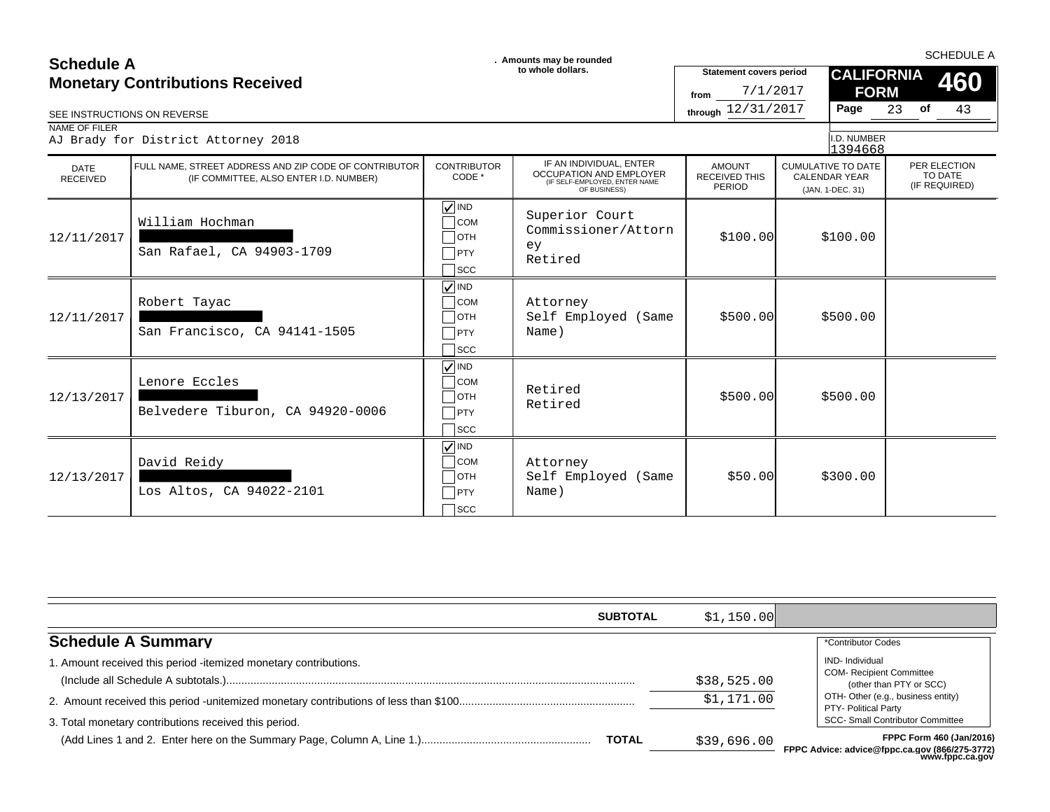| <b>Schedule A</b><br>SEE INSTRUCTIONS ON REVERSE<br>NAME OF FILER | <b>Monetary Contributions Received</b><br>AJ Brady for District Attorney 2018                   |                                                                                     | . Amounts may be rounded<br>to whole dollars.                                                              | <b>Statement covers period</b><br>7/1/2017<br>from<br>through 12/31/2017 | <b>CALIFORNIA</b><br><b>FORM</b><br>Page<br>I.D. NUMBER<br>1394668    | <b>SCHEDULE A</b><br>460<br>43<br>23 of  |
|-------------------------------------------------------------------|-------------------------------------------------------------------------------------------------|-------------------------------------------------------------------------------------|------------------------------------------------------------------------------------------------------------|--------------------------------------------------------------------------|-----------------------------------------------------------------------|------------------------------------------|
| <b>DATE</b><br><b>RECEIVED</b>                                    | FULL NAME, STREET ADDRESS AND ZIP CODE OF CONTRIBUTOR<br>(IF COMMITTEE, ALSO ENTER I.D. NUMBER) | <b>CONTRIBUTOR</b><br>CODE *                                                        | IF AN INDIVIDUAL, ENTER<br><b>OCCUPATION AND EMPLOYER</b><br>(IF SELF-EMPLOYED, ENTER NAME<br>OF BUSINESS) | <b>AMOUNT</b><br><b>RECEIVED THIS</b><br>PERIOD                          | <b>CUMULATIVE TO DATE</b><br><b>CALENDAR YEAR</b><br>(JAN. 1-DEC. 31) | PER ELECTION<br>TO DATE<br>(IF REQUIRED) |
| 12/11/2017                                                        | William Hochman<br>San Rafael, CA 94903-1709                                                    | $\sqrt{ }$ IND<br>$\overline{\phantom{a}}$ COM<br>$\Box$ OTH<br>PTY<br>$\sqcap$ scc | Superior Court<br>Commissioner/Attorn<br>ey<br>Retired                                                     | \$100.00]                                                                | \$100.00                                                              |                                          |
| 12/11/2017                                                        | Robert Tayac<br>San Francisco, CA 94141-1505                                                    | $\sqrt{}$ IND<br>$\overline{\phantom{a}}$ COM<br>$\Box$ OTH<br>PTY<br>$\sqcap$ scc  | Attorney<br>Self Employed (Same<br>Name)                                                                   | \$500.00                                                                 | \$500.00                                                              |                                          |
| 12/13/2017                                                        | Lenore Eccles<br>Belvedere Tiburon, CA 94920-0006                                               | $\sqrt{ N}$<br>$\bigcap$ COM<br>$\Box$ ОТН<br>PTY<br>$\sqcap$ scc                   | Retired<br>Retired                                                                                         | \$500.00]                                                                | \$500.00                                                              |                                          |
| 12/13/2017                                                        | David Reidy<br>Los Altos, CA 94022-2101                                                         | $\sqrt{ }$ IND<br>$\sqcap$ COM<br>$\Box$ OTH<br>PTY<br>$\overline{\phantom{a}}$ scc | Attorney<br>Self Employed (Same<br>Name)                                                                   | \$50.00                                                                  | \$300.00                                                              |                                          |

|                                                                  | <b>SUBTOTAL</b> | \$1,150.00  |                                                                                      |
|------------------------------------------------------------------|-----------------|-------------|--------------------------------------------------------------------------------------|
| <b>Schedule A Summary</b>                                        |                 |             | *Contributor Codes                                                                   |
| 1. Amount received this period -itemized monetary contributions. |                 | \$38,525.00 | <b>IND-</b> Individual<br><b>COM- Recipient Committee</b><br>(other than PTY or SCC) |
|                                                                  |                 | \$1,171.00  | OTH- Other (e.g., business entity)<br><b>PTY- Political Party</b>                    |
| 3. Total monetary contributions received this period.            |                 |             | <b>SCC- Small Contributor Committee</b>                                              |
|                                                                  | <b>TOTAL</b>    | \$39,696.00 | FPPC Form 460 (Jan/2016)<br>FPPC Advice: advice@fppc.ca.gov (866/275-3772)           |

**FPPC Advice: advice@fppc.ca.gov (866/275-3772) www.fppc.ca.gov**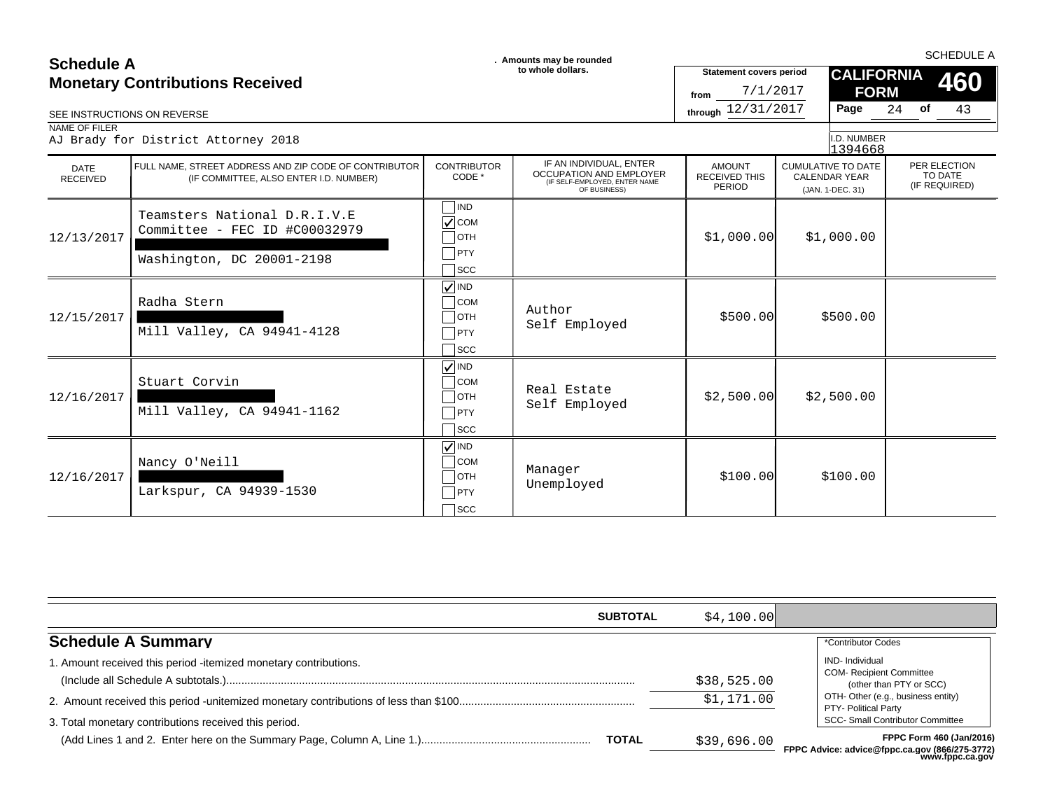| <b>Schedule A</b>                      |                                                                                                 | . Amounts may be rounded                                                                  |                                                                                                            | <b>SCHEDULE A</b>                                      |                                                                       |                                          |  |  |
|----------------------------------------|-------------------------------------------------------------------------------------------------|-------------------------------------------------------------------------------------------|------------------------------------------------------------------------------------------------------------|--------------------------------------------------------|-----------------------------------------------------------------------|------------------------------------------|--|--|
| <b>Monetary Contributions Received</b> |                                                                                                 |                                                                                           | to whole dollars.                                                                                          | <b>Statement covers period</b><br>7/1/2017<br>from     | <b>CALIFORNIA</b><br><b>FORM</b>                                      | 460                                      |  |  |
| SEE INSTRUCTIONS ON REVERSE            |                                                                                                 |                                                                                           |                                                                                                            | through 12/31/2017                                     | Page                                                                  | 43<br>$24$ of                            |  |  |
| NAME OF FILER                          | AJ Brady for District Attorney 2018                                                             |                                                                                           |                                                                                                            |                                                        | I.D. NUMBER<br>1394668                                                |                                          |  |  |
| <b>DATE</b><br><b>RECEIVED</b>         | FULL NAME, STREET ADDRESS AND ZIP CODE OF CONTRIBUTOR<br>(IF COMMITTEE, ALSO ENTER I.D. NUMBER) | <b>CONTRIBUTOR</b><br>CODE *                                                              | IF AN INDIVIDUAL, ENTER<br><b>OCCUPATION AND EMPLOYER</b><br>(IF SELF-EMPLOYED, ENTER NAME<br>OF BUSINESS) | <b>AMOUNT</b><br><b>RECEIVED THIS</b><br><b>PERIOD</b> | <b>CUMULATIVE TO DATE</b><br><b>CALENDAR YEAR</b><br>(JAN. 1-DEC. 31) | PER ELECTION<br>TO DATE<br>(IF REQUIRED) |  |  |
| 12/13/2017                             | Teamsters National D.R.I.V.E<br>Committee - FEC ID #C00032979<br>Washington, DC 20001-2198      | $\n  IND\n$<br>$\sqrt{\text{COM}}$<br>$\Box$ OTH<br>$\Box$ PTY<br>$\bigcap$ scc           |                                                                                                            | \$1,000.00]                                            | \$1,000.00                                                            |                                          |  |  |
| 12/15/2017                             | Radha Stern<br>Mill Valley, CA 94941-4128                                                       | $\nabla$ IND<br>$\overline{\phantom{a}}$ COM<br>$\Box$ OTH<br>$\Box$ PTY<br>$\bigcap$ SCC | Author<br>Self Employed                                                                                    | \$500.00                                               | \$500.00                                                              |                                          |  |  |
| 12/16/2017                             | Stuart Corvin<br>Mill Valley, CA 94941-1162                                                     | $\sqrt{ }$ IND<br>$\Box$ COM<br>$\Box$ отн<br>$\Box$ PTY<br>$\sqsupset$ scc               | Real Estate<br>Self Employed                                                                               | \$2,500.00]                                            | \$2,500.00                                                            |                                          |  |  |
| 12/16/2017                             | Nancy O'Neill<br>Larkspur, CA 94939-1530                                                        | $\sqrt{}$ IND<br>$\Box$ COM<br>$\Box$ OTH<br>$\Box$ PTY<br>$\bigcap$ scc                  | Manager<br>Unemployed                                                                                      | \$100.00]                                              | \$100.00                                                              |                                          |  |  |

| <b>SUBTOTAL</b>                                                  | \$4,100.00] |                                                                                                       |
|------------------------------------------------------------------|-------------|-------------------------------------------------------------------------------------------------------|
| <b>Schedule A Summary</b>                                        |             | *Contributor Codes                                                                                    |
| 1. Amount received this period -itemized monetary contributions. | \$38,525.00 | IND-Individual<br><b>COM- Recipient Committee</b><br>(other than PTY or SCC)                          |
| 3. Total monetary contributions received this period.            | \$1,171.00  | OTH- Other (e.g., business entity)<br>PTY- Political Party<br><b>SCC- Small Contributor Committee</b> |
| <b>TOTAL</b>                                                     | \$39,696.00 | FPPC Form 460 (Jan/2016)<br>FPPC Advice: advice@fppc.ca.gov (866/275-3772)<br>www.fppc.ca.gov         |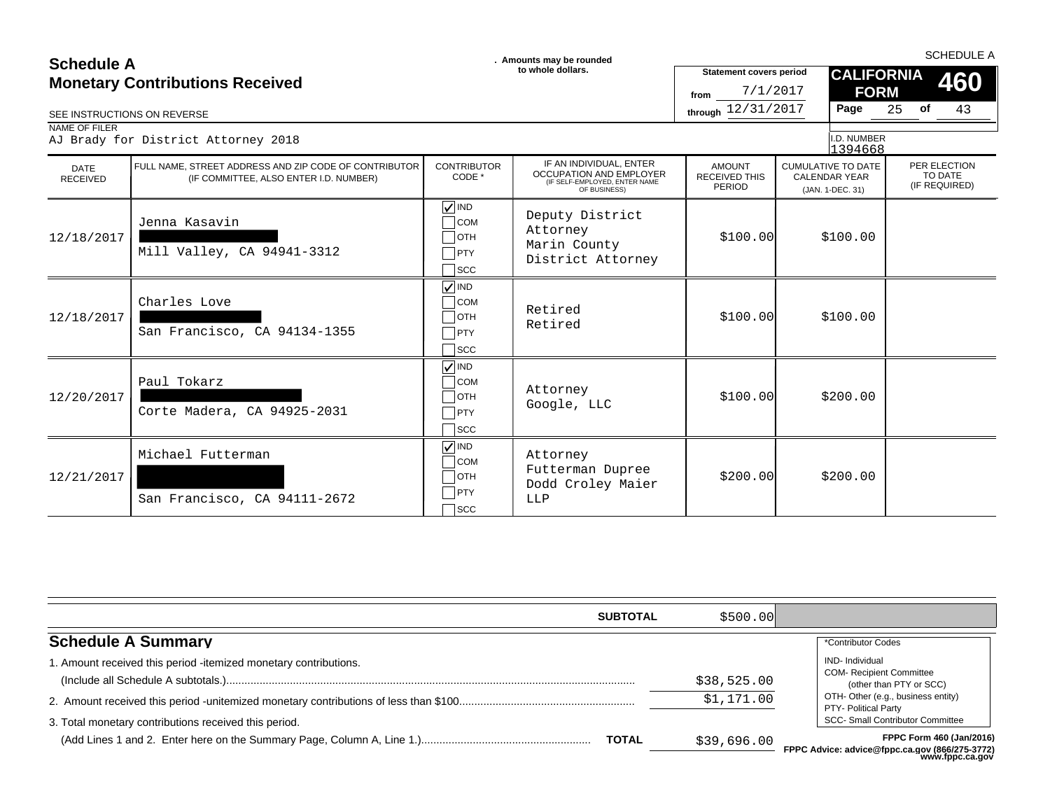### **SCHEDULE A**<br> **SCHEDULE A** SCHEDULE A SCHEDULE A **SCHEDULE A SCHEDULE A SCHEDULE A SCHEDULE A SCHEDULE A SCHEDULE A SCHEDULE A Monetary Contributions Received**

| <b>Monetary Contributions Received</b><br>SEE INSTRUCTIONS ON REVERSE |                                                                                                 |                                                                             | to whole dollars.                                                                                   | <b>Statement covers period</b><br>7/1/2017<br>from<br>through 12/31/2017 | Page                                                                  | <b>CALIFORNIA</b><br>460<br><b>FORM</b><br>25<br>of<br>43 |
|-----------------------------------------------------------------------|-------------------------------------------------------------------------------------------------|-----------------------------------------------------------------------------|-----------------------------------------------------------------------------------------------------|--------------------------------------------------------------------------|-----------------------------------------------------------------------|-----------------------------------------------------------|
| NAME OF FILER                                                         | AJ Brady for District Attorney 2018                                                             |                                                                             |                                                                                                     |                                                                          | I.D. NUMBER<br>1394668                                                |                                                           |
| DATE<br><b>RECEIVED</b>                                               | FULL NAME. STREET ADDRESS AND ZIP CODE OF CONTRIBUTOR<br>(IF COMMITTEE, ALSO ENTER I.D. NUMBER) | <b>CONTRIBUTOR</b><br>CODE *                                                | IF AN INDIVIDUAL, ENTER<br>OCCUPATION AND EMPLOYER<br>(IF SELF-EMPLOYED, ENTER NAME<br>OF BUSINESS) | <b>AMOUNT</b><br><b>RECEIVED THIS</b><br><b>PERIOD</b>                   | <b>CUMULATIVE TO DATE</b><br><b>CALENDAR YEAR</b><br>(JAN. 1-DEC. 31) | PER ELECTION<br>TO DATE<br>(IF REQUIRED)                  |
| 12/18/2017                                                            | Jenna Kasavin<br>Mill Valley, CA 94941-3312                                                     | $\sqrt{}$ IND<br><b>COM</b><br>$\Box$ OTH<br>PTY<br>$\sqcap$ scc            | Deputy District<br>Attorney<br>Marin County<br>District Attorney                                    | \$100.00]                                                                | \$100.00                                                              |                                                           |
| 12/18/2017                                                            | Charles Love<br>San Francisco, CA 94134-1355                                                    | $\sqrt{ N}$<br>$\bigcap$ COM<br>$\Box$ OTH<br>$\neg$ PTY<br>$\sqcap$ scc    | Retired<br>Retired                                                                                  | \$100.00]                                                                | \$100.00                                                              |                                                           |
| 12/20/2017                                                            | Paul Tokarz<br>Corte Madera, CA 94925-2031                                                      | $\sqrt{ N }$<br><b>COM</b><br>$ $ OTH<br>$\neg$ PTY<br>$\sqcap$ scc         | Attorney<br>Google, LLC                                                                             | \$100.00]                                                                | \$200.00                                                              |                                                           |
| 12/21/2017                                                            | Michael Futterman<br>San Francisco, CA 94111-2672                                               | $\sqrt{ }$ IND<br>$\bigcap$ COM<br>$\Box$ OTH<br>$\Box$ PTY<br>$\sqcap$ scc | Attorney<br>Futterman Dupree<br>Dodd Croley Maier<br>LLP                                            | \$200.00]                                                                | \$200.00                                                              |                                                           |

| <b>SUBTOTAL</b>                                                                                                           | \$500.00]                 |                                                                                                                                                                                               |
|---------------------------------------------------------------------------------------------------------------------------|---------------------------|-----------------------------------------------------------------------------------------------------------------------------------------------------------------------------------------------|
| <b>Schedule A Summary</b>                                                                                                 |                           | *Contributor Codes                                                                                                                                                                            |
| 1. Amount received this period -itemized monetary contributions.<br>3. Total monetary contributions received this period. | \$38,525.00<br>\$1,171.00 | <b>IND-</b> Individual<br><b>COM- Recipient Committee</b><br>(other than PTY or SCC)<br>OTH- Other (e.g., business entity)<br>PTY- Political Party<br><b>SCC- Small Contributor Committee</b> |
| <b>TOTAL</b>                                                                                                              | \$39,696.00               | FPPC Form 460 (Jan/2016)<br>FPPC Advice: advice@fppc.ca.gov (866/275-3772)<br>www.fppc.ca.gov                                                                                                 |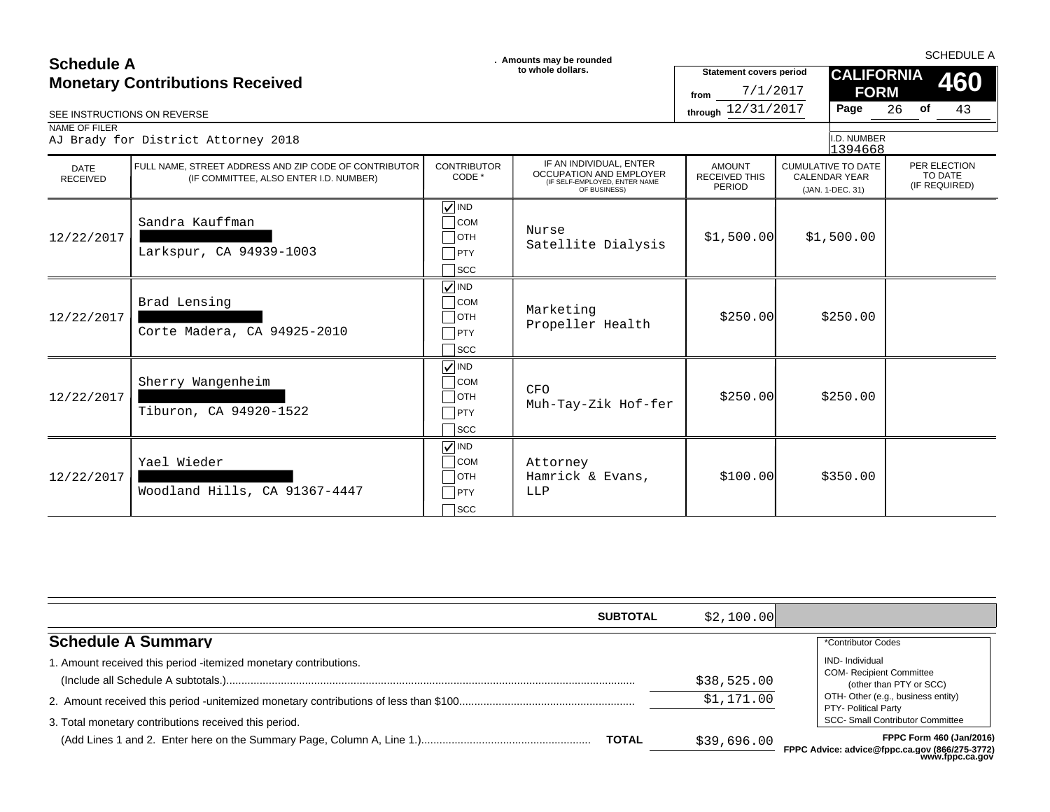### **SCHEDULE A**<br> **SCHEDULE A** SCHEDULE A SCHEDULE A **SCHEDULE A SCHEDULE A SCHEDULE A SCHEDULE A SCHEDULE A SCHEDULE A SCHEDULE A Monetary Contributions Received**

| SEE INSTRUCTIONS ON REVERSE    | <b>Monetary Contributions Received</b>                                                          |                                                                                                  | to whole dollars.                                                                                   | <b>Statement covers period</b><br>7/1/2017<br>from<br>through 12/31/2017 | Page                                                                  | <b>CALIFORNIA</b><br>460<br><b>FORM</b><br><b>of</b><br>43<br>26 |
|--------------------------------|-------------------------------------------------------------------------------------------------|--------------------------------------------------------------------------------------------------|-----------------------------------------------------------------------------------------------------|--------------------------------------------------------------------------|-----------------------------------------------------------------------|------------------------------------------------------------------|
| NAME OF FILER                  | AJ Brady for District Attorney 2018                                                             |                                                                                                  |                                                                                                     |                                                                          | I.D. NUMBER<br>1394668                                                |                                                                  |
| <b>DATE</b><br><b>RECEIVED</b> | FULL NAME, STREET ADDRESS AND ZIP CODE OF CONTRIBUTOR<br>(IF COMMITTEE, ALSO ENTER I.D. NUMBER) | <b>CONTRIBUTOR</b><br>CODE *                                                                     | IF AN INDIVIDUAL, ENTER<br>OCCUPATION AND EMPLOYER<br>(IF SELF-EMPLOYED, ENTER NAME<br>OF BUSINESS) | <b>AMOUNT</b><br><b>RECEIVED THIS</b><br>PERIOD                          | <b>CUMULATIVE TO DATE</b><br><b>CALENDAR YEAR</b><br>(JAN. 1-DEC. 31) | PER ELECTION<br>TO DATE<br>(IF REQUIRED)                         |
| 12/22/2017                     | Sandra Kauffman<br>Larkspur, CA 94939-1003                                                      | $\sqrt{ }$ IND<br>$\bigcap$ COM<br>$\Box$ OTH<br>$\neg$ PTY<br>$\sqcap$ scc                      | Nurse<br>Satellite Dialysis                                                                         | \$1,500.00]                                                              | \$1,500.00                                                            |                                                                  |
| 12/22/2017                     | Brad Lensing<br>Corte Madera, CA 94925-2010                                                     | $\sqrt{\sqrt{}}$ IND<br>$\overline{\phantom{a}}$ COM<br>$\Box$ OTH<br>$\neg$ PTY<br>$\sqcap$ scc | Marketing<br>Propeller Health                                                                       | \$250.00                                                                 | \$250.00                                                              |                                                                  |
| 12/22/2017                     | Sherry Wangenheim<br>Tiburon, CA 94920-1522                                                     | $\sqrt{ }$ IND<br>$\bigcap$ COM<br>$\Box$ OTH<br>$\neg$ PTY<br>$\sqcap$ scc                      | <b>CFO</b><br>Muh-Tay-Zik Hof-fer                                                                   | \$250.00                                                                 | \$250.00                                                              |                                                                  |
| 12/22/2017                     | Yael Wieder<br>Woodland Hills, CA 91367-4447                                                    | $\sqrt{ N }$<br>$\overline{\phantom{a}}$ COM<br>$\Box$ OTH<br>PTY<br>$\sqcap$ scc                | Attorney<br>Hamrick & Evans,<br>LLP                                                                 | \$100.00]                                                                | \$350.00                                                              |                                                                  |

|                                                                  | <b>SUBTOTAL</b> | \$2,100.00                |                                                                                                                                            |
|------------------------------------------------------------------|-----------------|---------------------------|--------------------------------------------------------------------------------------------------------------------------------------------|
| <b>Schedule A Summary</b>                                        |                 |                           | *Contributor Codes                                                                                                                         |
| 1. Amount received this period -itemized monetary contributions. |                 | \$38,525.00<br>\$1,171.00 | IND-Individual<br><b>COM- Recipient Committee</b><br>(other than PTY or SCC)<br>OTH- Other (e.g., business entity)<br>PTY- Political Party |
| 3. Total monetary contributions received this period.            | <b>TOTAL</b>    | \$39,696.00               | <b>SCC- Small Contributor Committee</b><br>FPPC Form 460 (Jan/2016)<br>FPPC Advice: advice@fppc.ca.gov (866/275-3772)<br>www.fppc.ca.gov   |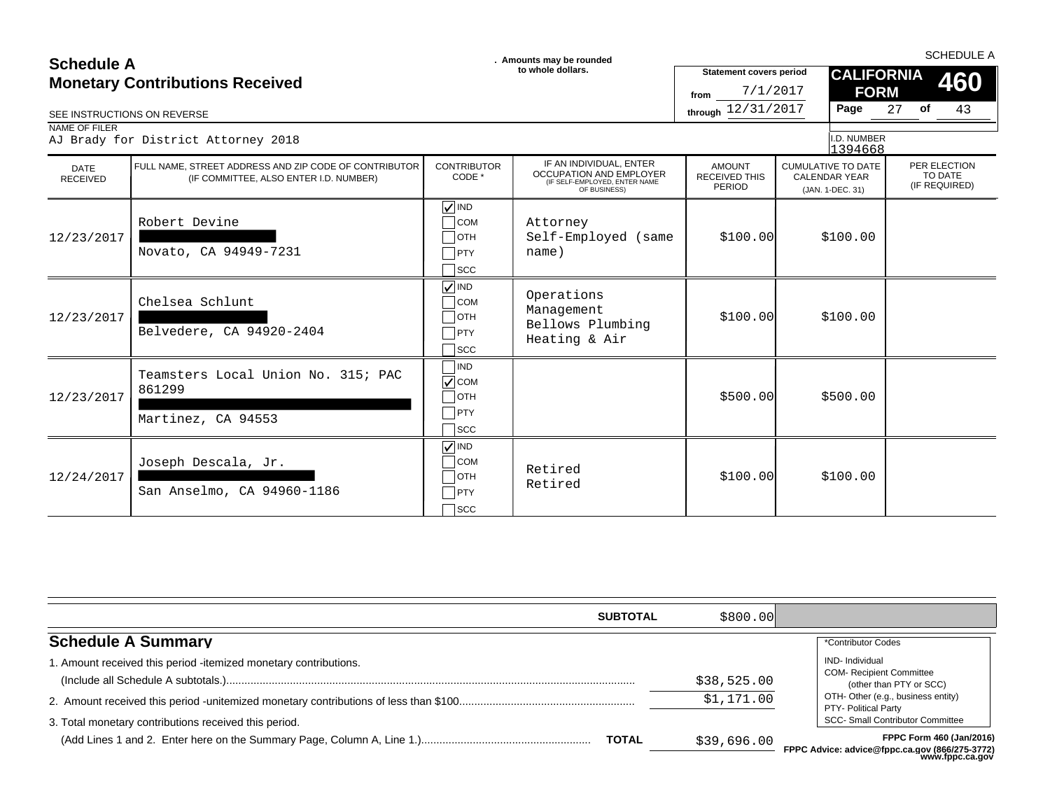| <b>Schedule A</b>              |                                                                                                 | . Amounts may be rounded                                                |                                                                                                            |                                                    | <b>SCHEDULE A</b>                                                     |                                          |  |  |
|--------------------------------|-------------------------------------------------------------------------------------------------|-------------------------------------------------------------------------|------------------------------------------------------------------------------------------------------------|----------------------------------------------------|-----------------------------------------------------------------------|------------------------------------------|--|--|
|                                | <b>Monetary Contributions Received</b>                                                          |                                                                         | to whole dollars.                                                                                          | <b>Statement covers period</b><br>7/1/2017<br>from | <b>CALIFORNIA</b><br><b>FORM</b>                                      | 460                                      |  |  |
|                                | SEE INSTRUCTIONS ON REVERSE                                                                     |                                                                         |                                                                                                            | through 12/31/2017                                 | Page                                                                  | 27<br>of<br>43                           |  |  |
| NAME OF FILER                  | AJ Brady for District Attorney 2018                                                             |                                                                         |                                                                                                            |                                                    | I.D. NUMBER<br>1394668                                                |                                          |  |  |
| <b>DATE</b><br><b>RECEIVED</b> | FULL NAME. STREET ADDRESS AND ZIP CODE OF CONTRIBUTOR<br>(IF COMMITTEE, ALSO ENTER I.D. NUMBER) | <b>CONTRIBUTOR</b><br>CODE *                                            | IF AN INDIVIDUAL, ENTER<br><b>OCCUPATION AND EMPLOYER</b><br>(IF SELF-EMPLOYED, ENTER NAME<br>OF BUSINESS) | <b>AMOUNT</b><br><b>RECEIVED THIS</b><br>PERIOD    | <b>CUMULATIVE TO DATE</b><br><b>CALENDAR YEAR</b><br>(JAN. 1-DEC. 31) | PER ELECTION<br>TO DATE<br>(IF REQUIRED) |  |  |
| 12/23/2017                     | Robert Devine<br>Novato, CA 94949-7231                                                          | $\sqrt{ }$ IND<br><b>COM</b><br>∃отн<br>PTY<br><b>SCC</b>               | Attorney<br>Self-Employed (same<br>name)                                                                   | \$100.00]                                          | \$100.00                                                              |                                          |  |  |
| 12/23/2017                     | Chelsea Schlunt<br>Belvedere, CA 94920-2404                                                     | $\sqrt{\frac{1}{1}}$ IND<br><b>COM</b><br>∃отн<br>PTY<br>∃scc           | Operations<br>Management<br>Bellows Plumbing<br>Heating & Air                                              | \$100.00]                                          | \$100.00                                                              |                                          |  |  |
| 12/23/2017                     | Teamsters Local Union No. 315; PAC<br>861299<br>Martinez, CA 94553                              | IND<br>$ $ COM<br>]отн<br>$ $ PTY<br><b>SCC</b>                         |                                                                                                            | \$500.00]                                          | \$500.00                                                              |                                          |  |  |
| 12/24/2017                     | Joseph Descala, Jr.<br>San Anselmo, CA 94960-1186                                               | $\sqrt{}$ IND<br><b>COM</b><br><b>OTH</b><br>PTY<br>$\sqrt{\text{SCC}}$ | Retired<br>Retired                                                                                         | \$100.00]                                          | \$100.00                                                              |                                          |  |  |

| <b>SUBTOTAL</b>                                                       | \$800.00]   |                                                                                                                       |
|-----------------------------------------------------------------------|-------------|-----------------------------------------------------------------------------------------------------------------------|
| <b>Schedule A Summary</b>                                             |             | *Contributor Codes                                                                                                    |
| . Amount received this period -itemized monetary contributions.       | \$38,525.00 | <b>IND-</b> Individual<br><b>COM- Recipient Committee</b><br>(other than PTY or SCC)                                  |
|                                                                       | \$1,171.00  | OTH- Other (e.g., business entity)<br>PTY- Political Party                                                            |
| 3. Total monetary contributions received this period.<br><b>TOTAL</b> | \$39,696.00 | <b>SCC- Small Contributor Committee</b><br>FPPC Form 460 (Jan/2016)<br>FPPC Advice: advice@fnnc.ca.gov (866/275-3772) |

**FREE ADVICE & COVIDE CO www.fppc.ca.gov**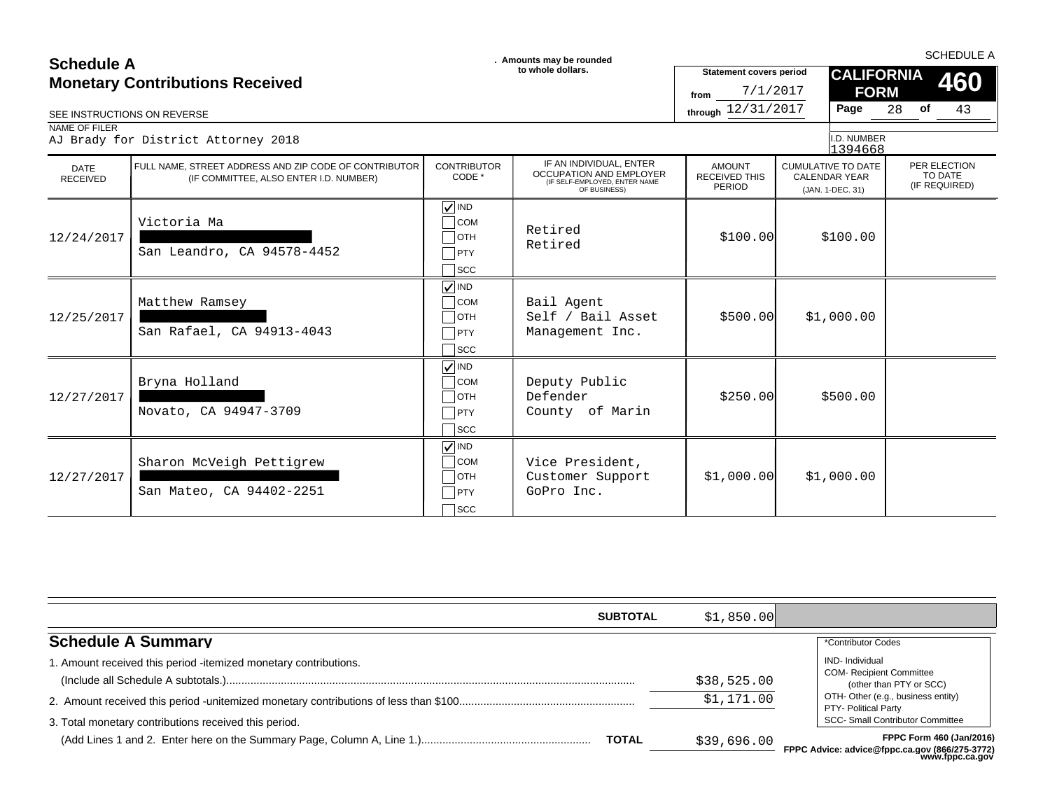| <b>Schedule A</b>                      |                                                                                                 | . Amounts may be rounded                                                                           |                                                                                                            |                                                    |                                                                       | <b>SCHEDULE A</b>                        |  |  |
|----------------------------------------|-------------------------------------------------------------------------------------------------|----------------------------------------------------------------------------------------------------|------------------------------------------------------------------------------------------------------------|----------------------------------------------------|-----------------------------------------------------------------------|------------------------------------------|--|--|
| <b>Monetary Contributions Received</b> |                                                                                                 |                                                                                                    | to whole dollars.                                                                                          | <b>Statement covers period</b><br>7/1/2017<br>from | <b>FORM</b>                                                           | <b>CALIFORNIA</b><br>460                 |  |  |
|                                        | SEE INSTRUCTIONS ON REVERSE                                                                     |                                                                                                    |                                                                                                            | through 12/31/2017                                 | Page                                                                  | 28<br>of<br>43                           |  |  |
| NAME OF FILER                          | AJ Brady for District Attorney 2018                                                             |                                                                                                    |                                                                                                            |                                                    | I.D. NUMBER<br>1394668                                                |                                          |  |  |
| <b>DATE</b><br><b>RECEIVED</b>         | FULL NAME, STREET ADDRESS AND ZIP CODE OF CONTRIBUTOR<br>(IF COMMITTEE, ALSO ENTER I.D. NUMBER) | <b>CONTRIBUTOR</b><br>CODE *                                                                       | IF AN INDIVIDUAL, ENTER<br><b>OCCUPATION AND EMPLOYER</b><br>(IF SELF-EMPLOYED, ENTER NAME<br>OF BUSINESS) | <b>AMOUNT</b><br><b>RECEIVED THIS</b><br>PERIOD    | <b>CUMULATIVE TO DATE</b><br><b>CALENDAR YEAR</b><br>(JAN. 1-DEC. 31) | PER ELECTION<br>TO DATE<br>(IF REQUIRED) |  |  |
| 12/24/2017                             | Victoria Ma<br>San Leandro, CA 94578-4452                                                       | $\sqrt{ }$ IND<br>$\bigcap$ COM<br>$\sqcap$ отн<br>PTY<br>$\sqcap$ scc                             | Retired<br>Retired                                                                                         | \$100.00]                                          | \$100.00                                                              |                                          |  |  |
| 12/25/2017                             | Matthew Ramsey<br>San Rafael, CA 94913-4043                                                     | $\sqrt{ }$ IND<br>$\sqcap$ COM<br>$\Box$ OTH<br>PTY<br>$\big $ SCC                                 | Bail Agent<br>Self / Bail Asset<br>Management Inc.                                                         | \$500.00]                                          | \$1,000.00                                                            |                                          |  |  |
| 12/27/2017                             | Bryna Holland<br>Novato, CA 94947-3709                                                          | $\sqrt{ }$ IND<br>$\overline{\phantom{a}}$ COM<br>$\Box$ OTH<br>$T$ PTY<br>$\sqcap_{\mathsf{SCC}}$ | Deputy Public<br>Defender<br>County of Marin                                                               | \$250.00                                           | \$500.00                                                              |                                          |  |  |
| 12/27/2017                             | Sharon McVeigh Pettigrew<br>San Mateo, CA 94402-2251                                            | $\sqrt{\sqrt{}}$ IND<br>$\overline{\phantom{a}}$ COM<br>$\Box$ OTH<br>PTY<br>$\sqcap$ scc          | Vice President,<br>Customer Support<br>GoPro Inc.                                                          | \$1,000.00]                                        | \$1,000.00                                                            |                                          |  |  |

| <b>SUBTOTAL</b>                                                  | \$1,850.00  |                                                                                      |
|------------------------------------------------------------------|-------------|--------------------------------------------------------------------------------------|
| <b>Schedule A Summary</b>                                        |             | *Contributor Codes                                                                   |
| 1. Amount received this period -itemized monetary contributions. | \$38,525.00 | <b>IND-</b> Individual<br><b>COM- Recipient Committee</b><br>(other than PTY or SCC) |
|                                                                  | \$1,171.00  | OTH- Other (e.g., business entity)<br>PTY- Political Party                           |
| 3. Total monetary contributions received this period.            |             | <b>SCC- Small Contributor Committee</b>                                              |
| <b>TOTAL</b>                                                     | \$39,696.00 | <b>FPPC Form 460 (Jan/2016)</b><br>FPPC Advice: advice@fnnc.ca.gov (866/275-3772)    |

**FREE ADVICE & COVIDE CO** *psisisisisisisisisisi*<br>www.fppc.ca.gov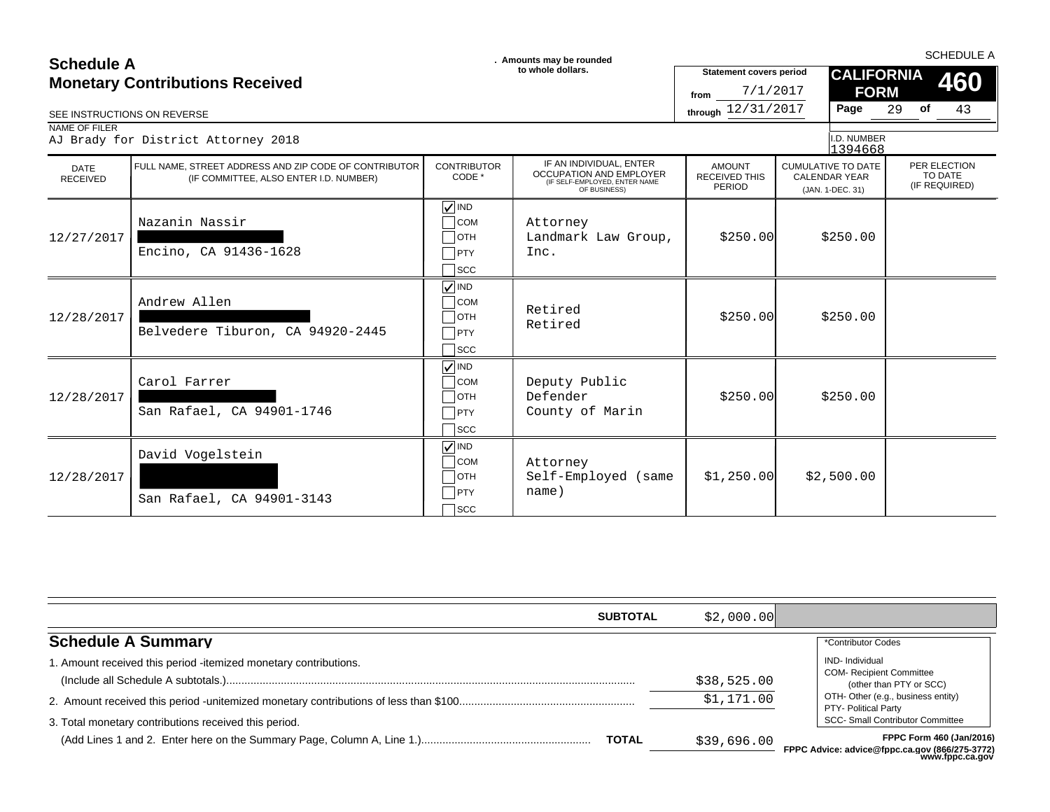### **SCHEDULE A**<br> **SCHEDULE A** SCHEDULE A SCHEDULE A **SCHEDULE A SCHEDULE A SCHEDULE A SCHEDULE A SCHEDULE A SCHEDULE A SCHEDULE A Monetary Contributions Received**

| <b>Monetary Contributions Received</b><br>SEE INSTRUCTIONS ON REVERSE |                                                                                                 |                                                               | to whole dollars.                                                                                   | <b>Statement covers period</b><br>7/1/2017<br>from<br>through 12/31/2017 | <b>CALIFORNIA</b><br><b>FORM</b><br>Page                              | 460<br>43<br>29<br>of                    |
|-----------------------------------------------------------------------|-------------------------------------------------------------------------------------------------|---------------------------------------------------------------|-----------------------------------------------------------------------------------------------------|--------------------------------------------------------------------------|-----------------------------------------------------------------------|------------------------------------------|
| NAME OF FILER                                                         | AJ Brady for District Attorney 2018                                                             |                                                               |                                                                                                     |                                                                          | I.D. NUMBER<br>1394668                                                |                                          |
| <b>DATE</b><br><b>RECEIVED</b>                                        | FULL NAME, STREET ADDRESS AND ZIP CODE OF CONTRIBUTOR<br>(IF COMMITTEE, ALSO ENTER I.D. NUMBER) | <b>CONTRIBUTOR</b><br>CODE *                                  | IF AN INDIVIDUAL, ENTER<br>OCCUPATION AND EMPLOYER<br>(IF SELF-EMPLOYED, ENTER NAME<br>OF BUSINESS) | <b>AMOUNT</b><br><b>RECEIVED THIS</b><br><b>PERIOD</b>                   | <b>CUMULATIVE TO DATE</b><br><b>CALENDAR YEAR</b><br>(JAN. 1-DEC. 31) | PER ELECTION<br>TO DATE<br>(IF REQUIRED) |
| 12/27/2017                                                            | Nazanin Nassir<br>Encino, CA 91436-1628                                                         | $\sqrt{ }$ IND<br><b>COM</b><br>OTH<br>$ $ PTY<br>SCC         | Attorney<br>Landmark Law Group,<br>Inc.                                                             | \$250.00                                                                 | \$250.00                                                              |                                          |
| 12/28/2017                                                            | Andrew Allen<br>Belvedere Tiburon, CA 94920-2445                                                | $\sqrt{ }$ IND<br><b>COM</b><br>∃отн<br>PTY<br>1scc           | Retired<br>Retired                                                                                  | \$250.00                                                                 | \$250.00                                                              |                                          |
| 12/28/2017                                                            | Carol Farrer<br>San Rafael, CA 94901-1746                                                       | $\sqrt{ N }$<br><b>COM</b><br><b>OTH</b><br>PTY<br><b>SCC</b> | Deputy Public<br>Defender<br>County of Marin                                                        | \$250.00                                                                 | \$250.00                                                              |                                          |
| 12/28/2017                                                            | David Vogelstein<br>San Rafael, CA 94901-3143                                                   | $\sqrt{ }$ IND<br><b>COM</b><br><b>OTH</b><br>PTY<br>Scc      | Attorney<br>Self-Employed (same<br>name)                                                            | \$1,250.00]                                                              | \$2,500.00                                                            |                                          |

| <b>SUBTOTAL</b>                                                 | \$2,000.00  |                                                                            |
|-----------------------------------------------------------------|-------------|----------------------------------------------------------------------------|
| <b>Schedule A Summary</b>                                       |             | *Contributor Codes                                                         |
| . Amount received this period -itemized monetary contributions. |             | IND-Individual                                                             |
|                                                                 | \$38,525.00 | <b>COM- Recipient Committee</b><br>(other than PTY or SCC)                 |
|                                                                 | \$1,171.00  | OTH- Other (e.g., business entity)<br>PTY- Political Party                 |
| 3. Total monetary contributions received this period.           |             | <b>SCC- Small Contributor Committee</b>                                    |
| <b>TOTAL</b>                                                    | \$39,696.00 | FPPC Form 460 (Jan/2016)<br>FPPC Advice: advice@fnnc.ca.gov (866/275-3772) |

**FPPC Advice: advice@fppc.ca.gov (866/275-3772)** رے ، ، د-ت *، ∠*رہoo، u.gov<br>www.fppc.ca.gov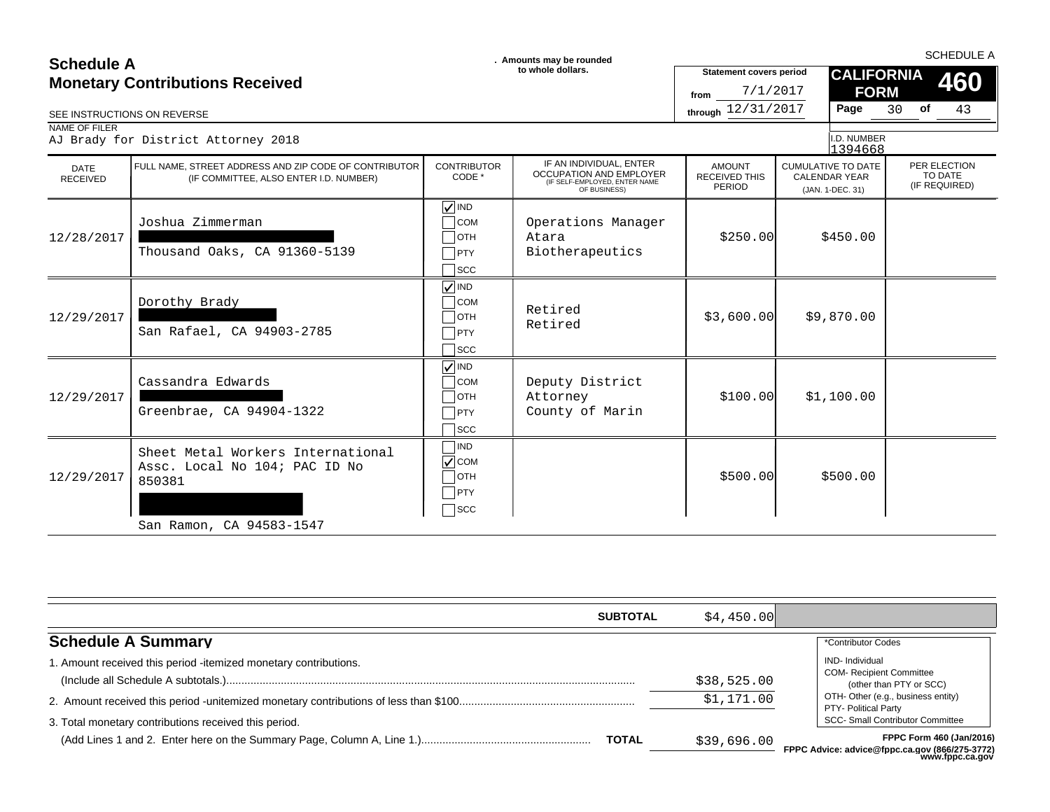| <b>Schedule A</b>              |                                                                                                 |                                                                                      | . Amounts may be rounded<br>to whole dollars.                                                               | <b>Statement covers period</b>                         | <b>CALIFORNIA</b>                                                     | <b>SCHEDULE A</b>                        |
|--------------------------------|-------------------------------------------------------------------------------------------------|--------------------------------------------------------------------------------------|-------------------------------------------------------------------------------------------------------------|--------------------------------------------------------|-----------------------------------------------------------------------|------------------------------------------|
|                                | <b>Monetary Contributions Received</b>                                                          |                                                                                      |                                                                                                             | 7/1/2017<br>from                                       | <b>FORM</b>                                                           | 460                                      |
| SEE INSTRUCTIONS ON REVERSE    |                                                                                                 |                                                                                      |                                                                                                             | through 12/31/2017                                     | Page                                                                  | 30<br>of<br>43                           |
| NAME OF FILER                  | AJ Brady for District Attorney 2018                                                             |                                                                                      |                                                                                                             |                                                        | I.D. NUMBER<br>1394668                                                |                                          |
| <b>DATE</b><br><b>RECEIVED</b> | FULL NAME, STREET ADDRESS AND ZIP CODE OF CONTRIBUTOR<br>(IF COMMITTEE, ALSO ENTER I.D. NUMBER) | <b>CONTRIBUTOR</b><br>CODE *                                                         | IF AN INDIVIDUAL, ENTER<br><b>OCCUPATION AND EMPLOYER</b><br>(IF SELF-EMPLOYED, ENTER NAME)<br>OF BUSINESS) | <b>AMOUNT</b><br><b>RECEIVED THIS</b><br><b>PERIOD</b> | <b>CUMULATIVE TO DATE</b><br><b>CALENDAR YEAR</b><br>(JAN. 1-DEC. 31) | PER ELECTION<br>TO DATE<br>(IF REQUIRED) |
| 12/28/2017                     | Joshua Zimmerman<br>Thousand Oaks, CA 91360-5139                                                | $\sqrt{}$ IND<br><b>COM</b><br>$\sqcap$ отн<br>$\sqsupset$ PTY<br>$\sqcap$ scc       | Operations Manager<br>Atara<br>Biotherapeutics                                                              | \$250.00                                               | \$450.00                                                              |                                          |
| 12/29/2017                     | Dorothy Brady<br>San Rafael, CA 94903-2785                                                      | $\sqrt{}$ IND<br><b>COM</b><br>$\bigcap$ OTH<br>$\neg$ PTY<br>$\exists$ scc          | Retired<br>Retired                                                                                          | \$3,600.00]                                            | \$9,870.00                                                            |                                          |
| 12/29/2017                     | Cassandra Edwards<br>Greenbrae, CA 94904-1322                                                   | $\sqrt{ N}$<br>$\overline{\overline{\text{COM}}}$<br>∃отн<br>$\sqsupset$ PTY<br>∃scc | Deputy District<br>Attorney<br>County of Marin                                                              | \$100.00]                                              | \$1,100.00                                                            |                                          |
| 12/29/2017                     | Sheet Metal Workers International<br>Assc. Local No 104; PAC ID No<br>850381                    | <b>IND</b><br>$\sqrt{\ }$ COM<br>∃отн<br>PTY<br>$\sqcap$ scc                         |                                                                                                             | \$500.00]                                              | \$500.00                                                              |                                          |
|                                | San Ramon, CA 94583-1547                                                                        |                                                                                      |                                                                                                             |                                                        |                                                                       |                                          |

|                                                                 | <b>SUBTOTAL</b> | \$4.450.00  |                                                                            |
|-----------------------------------------------------------------|-----------------|-------------|----------------------------------------------------------------------------|
| <b>Schedule A Summary</b>                                       |                 |             | *Contributor Codes                                                         |
| . Amount received this period -itemized monetary contributions. |                 |             | <b>IND-</b> Individual                                                     |
|                                                                 |                 | \$38,525.00 | <b>COM- Recipient Committee</b><br>(other than PTY or SCC)                 |
|                                                                 |                 | \$1,171.00  | OTH- Other (e.g., business entity)<br>PTY- Political Party                 |
| 3. Total monetary contributions received this period.           |                 |             | SCC- Small Contributor Committee                                           |
|                                                                 | <b>TOTAL</b>    | \$39,696.00 | FPPC Form 460 (Jan/2016)<br>FPPC Advice: advice@fnnc.ca.gov (866/275-3772) |

**FPPC Advice: advice@fppc.ca.gov (866/275-3772) www.fppc.ca.gov**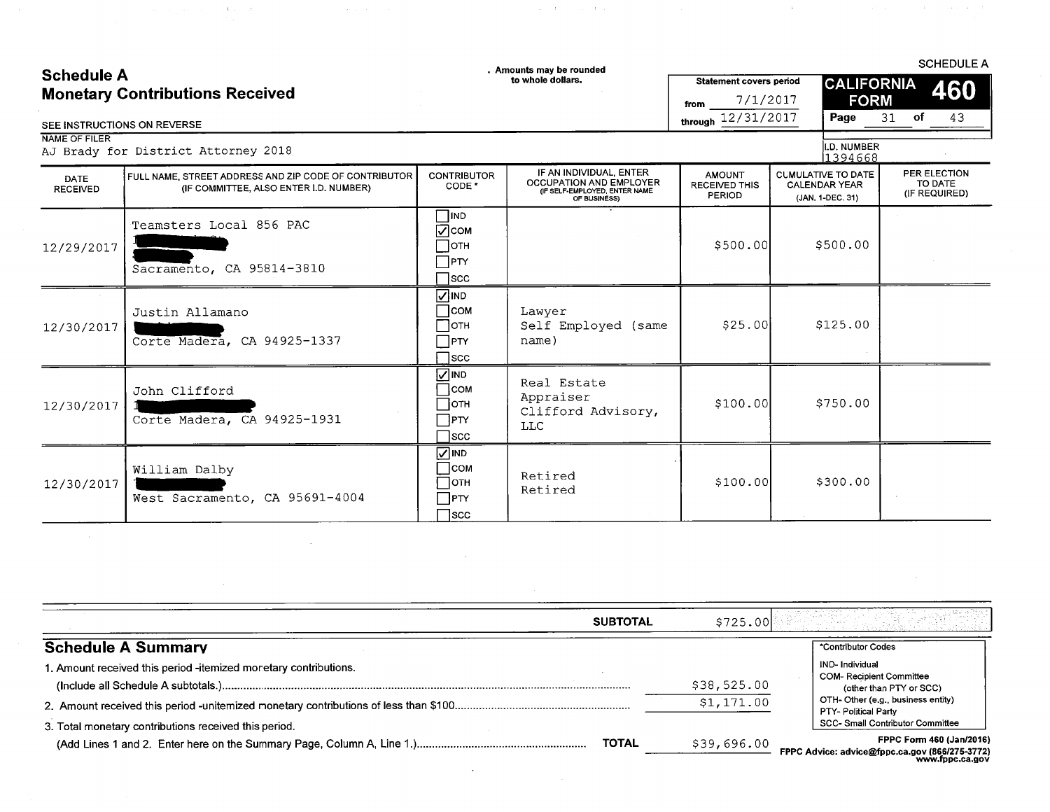# Schodule A

 $\sim 10^{11}$  km  $^{-1}$  and  $\sim 10^{11}$  km  $^{-1}$  km  $^{-1}$  and  $^{-1}$ 

 $\sim$   $\sim$ 

 $\sim 10^{11}$  km s  $^{-1}$ 

. Amounts may be rounded

 $\mathcal{L}^{\mathcal{L}}$  and  $\mathcal{L}^{\mathcal{L}}$  are the set of the set of  $\mathcal{L}^{\mathcal{L}}$ 

**SCHEDULE A** 

 $\sim$   $\pm$ 

| <b>OURGURLA</b><br><b>Monetary Contributions Received</b><br>SEE INSTRUCTIONS ON REVERSE |                                                                                                 |                                                                       | to whole dollars.                                                                                          | <b>Statement covers period</b><br>7/1/2017<br>from<br>through 12/31/2017 | <b>CALIFORNIA</b><br><b>FORM</b><br>Page                              | 460<br>of<br>43<br>31                    |
|------------------------------------------------------------------------------------------|-------------------------------------------------------------------------------------------------|-----------------------------------------------------------------------|------------------------------------------------------------------------------------------------------------|--------------------------------------------------------------------------|-----------------------------------------------------------------------|------------------------------------------|
| NAME OF FILER                                                                            | AJ Brady for District Attorney 2018                                                             |                                                                       |                                                                                                            |                                                                          | I.D. NUMBER<br>1394668                                                |                                          |
| <b>DATE</b><br><b>RECEIVED</b>                                                           | FULL NAME, STREET ADDRESS AND ZIP CODE OF CONTRIBUTOR<br>(IF COMMITTEE, ALSO ENTER I.D. NUMBER) | <b>CONTRIBUTOR</b><br>CODE <sup>*</sup>                               | IF AN INDIVIDUAL, ENTER<br><b>OCCUPATION AND EMPLOYER</b><br>(IF SELF-EMPLOYED, ENTER NAME<br>OF BUSINESS) | <b>AMOUNT</b><br><b>RECEIVED THIS</b><br><b>PERIOD</b>                   | <b>CUMULATIVE TO DATE</b><br><b>CALENDAR YEAR</b><br>(JAN, 1-DEC. 31) | PER ELECTION<br>TO DATE<br>(IF REQUIRED) |
| 12/29/2017                                                                               | Teamsters Local 856 PAC<br>Sacramento, CA 95814-3810                                            | <b>TIND</b><br>∣⊽]сом<br>∏отн<br>$\Box$ PTY<br>$\sqcap$ scc           |                                                                                                            | \$500.00                                                                 | \$500.00                                                              |                                          |
| 12/30/2017                                                                               | Justin Allamano<br>Corte Madera, CA 94925-1337                                                  | <b>NIND</b><br>∃сом<br>∃отн<br>$\Box$ PTY<br>$\sqcap$ scc             | Lawyer<br>Self Employed (same<br>name)                                                                     | \$25.00                                                                  | \$125.00                                                              |                                          |
| 12/30/2017                                                                               | John Clifford<br>Corte Madera, CA 94925-1931                                                    | <b>VIND</b><br>$\Box$ com<br>$\Box$ отн<br>$\Box$ PTY<br>$\sqcap$ scc | Real Estate<br>Appraiser<br>Clifford Advisory,<br><b>LLC</b>                                               | \$100.00                                                                 | \$750.00                                                              |                                          |
| 12/30/2017                                                                               | William Dalby<br>West Sacramento, CA 95691-4004                                                 | $\overline{\triangle}$ IND<br>∃сом<br>∃отн<br>$\sqcap$ PTY<br>∃scc    | Retired<br>Retired                                                                                         | \$100.00                                                                 | \$300.00                                                              |                                          |

| <b>SUBTOTAL</b>                                                  | \$725.00    |                                                                                               |
|------------------------------------------------------------------|-------------|-----------------------------------------------------------------------------------------------|
| <b>Schedule A Summary</b>                                        |             | *Contributor Codes                                                                            |
| 1. Amount received this period -itemized monetary contributions. |             | <b>IND-Individual</b>                                                                         |
|                                                                  | \$38,525.00 | <b>COM-Recipient Committee</b><br>(other than PTY or SCC)                                     |
|                                                                  | \$1,171.00  | OTH-Other (e.g., business entity)<br>PTY- Political Party                                     |
| 3. Total monetary contributions received this period.            |             | SCC- Small Contributor Committee                                                              |
| <b>TOTAL</b>                                                     | \$39,696.00 | FPPC Form 460 (Jan/2016)<br>FPPC Advice: advice@fppc.ca.gov (866/275-3772)<br>www.fppc.ca.gov |

 $\sim 10^{11}$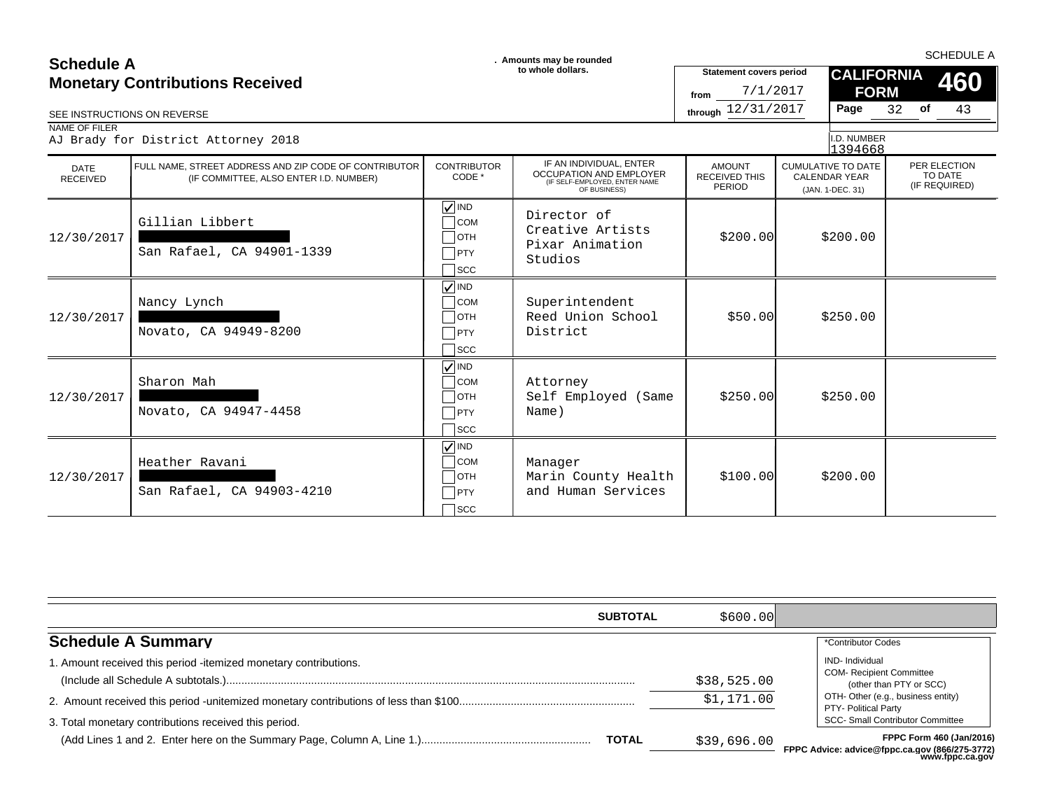| <b>Schedule A</b>                      |                                                                                                 |                                                                                                  | . Amounts may be rounded                                                                                   | <b>SCHEDULE A</b>                                  |                                                                       |                                          |  |  |
|----------------------------------------|-------------------------------------------------------------------------------------------------|--------------------------------------------------------------------------------------------------|------------------------------------------------------------------------------------------------------------|----------------------------------------------------|-----------------------------------------------------------------------|------------------------------------------|--|--|
| <b>Monetary Contributions Received</b> |                                                                                                 |                                                                                                  | to whole dollars.                                                                                          | <b>Statement covers period</b><br>7/1/2017<br>from | <b>CALIFORNIA</b><br><b>FORM</b>                                      | 460                                      |  |  |
| SEE INSTRUCTIONS ON REVERSE            |                                                                                                 |                                                                                                  |                                                                                                            | through 12/31/2017                                 | Page                                                                  | 32 of<br>43                              |  |  |
| NAME OF FILER                          | AJ Brady for District Attorney 2018                                                             |                                                                                                  |                                                                                                            |                                                    | I.D. NUMBER<br>1394668                                                |                                          |  |  |
| DATE<br><b>RECEIVED</b>                | FULL NAME, STREET ADDRESS AND ZIP CODE OF CONTRIBUTOR<br>(IF COMMITTEE, ALSO ENTER I.D. NUMBER) | <b>CONTRIBUTOR</b><br>CODE *                                                                     | IF AN INDIVIDUAL, ENTER<br><b>OCCUPATION AND EMPLOYER</b><br>(IF SELF-EMPLOYED, ENTER NAME<br>OF BUSINESS) | <b>AMOUNT</b><br><b>RECEIVED THIS</b><br>PERIOD    | <b>CUMULATIVE TO DATE</b><br><b>CALENDAR YEAR</b><br>(JAN. 1-DEC. 31) | PER ELECTION<br>TO DATE<br>(IF REQUIRED) |  |  |
| 12/30/2017                             | Gillian Libbert<br>San Rafael, CA 94901-1339                                                    | $\sqrt{ }$ IND<br>$\bigcap$ COM<br>$\Box$ OTH<br>$\neg$ PTY<br>$\sqcap$ scc                      | Director of<br>Creative Artists<br>Pixar Animation<br>Studios                                              | \$200.00]                                          | \$200.00                                                              |                                          |  |  |
| 12/30/2017                             | Nancy Lynch<br>Novato, CA 94949-8200                                                            | $\sqrt{}$ IND<br>$\overline{\phantom{a}}$ COM<br>$\Box$ OTH<br>$\neg$ PTY<br>$\sqcap$ scc        | Superintendent<br>Reed Union School<br>District                                                            | \$50.00                                            | \$250.00                                                              |                                          |  |  |
| 12/30/2017                             | Sharon Mah<br>Novato, CA 94947-4458                                                             | $\sqrt{\sqrt{}}$ IND<br>$\overline{\phantom{a}}$ COM<br>$\Box$ OTH<br>$\neg$ PTY<br>$\sqcap$ scc | Attorney<br>Self Employed (Same<br>Name)                                                                   | \$250.00                                           | \$250.00                                                              |                                          |  |  |
| 12/30/2017                             | Heather Ravani<br>San Rafael, CA 94903-4210                                                     | $\sqrt{ }$ IND<br>$\sqcap$ COM<br>$\Box$ OTH<br>$\neg$ PTY<br>$\sqcap$ scc                       | Manager<br>Marin County Health<br>and Human Services                                                       | \$100.00]                                          | \$200.00                                                              |                                          |  |  |

| <b>SUBTOTAL</b>                                                  | \$600.00]   |                                                                                                       |
|------------------------------------------------------------------|-------------|-------------------------------------------------------------------------------------------------------|
| <b>Schedule A Summary</b>                                        |             | *Contributor Codes                                                                                    |
| 1. Amount received this period -itemized monetary contributions. | \$38,525.00 | <b>IND-</b> Individual<br><b>COM- Recipient Committee</b><br>(other than PTY or SCC)                  |
| 3. Total monetary contributions received this period.            | \$1,171.00  | OTH- Other (e.g., business entity)<br>PTY- Political Party<br><b>SCC- Small Contributor Committee</b> |
| <b>TOTAL</b>                                                     | \$39,696.00 | <b>FPPC Form 460 (Jan/2016)</b><br>FPPC Advice: advice@fppc.ca.gov (866/275-3772)<br>www.fppc.ca.gov  |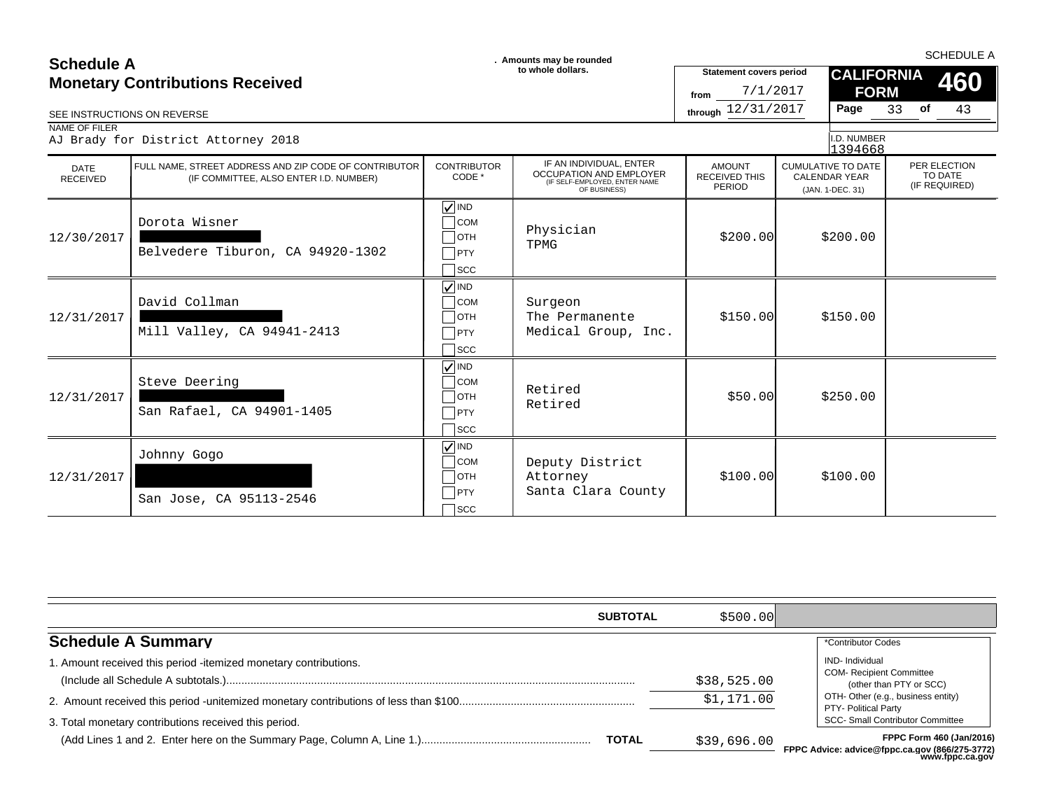### **SCHEDULE A**<br> **SCHEDULE A** SCHEDULE A SCHEDULE A **SCHEDULE A SCHEDULE A SCHEDULE A SCHEDULE A SCHEDULE A SCHEDULE A SCHEDULE A Monetary Contributions Received**

| SEE INSTRUCTIONS ON REVERSE    | <b>Monetary Contributions Received</b>                                                          |                                                                                                     | to whole dollars.                                                                                   | <b>Statement covers period</b><br>7/1/2017<br>from<br>through 12/31/2017 |                                                                       | <b>CALIFORNIA</b><br><b>FORM</b><br>33<br>Page | of | 460<br>43                                |
|--------------------------------|-------------------------------------------------------------------------------------------------|-----------------------------------------------------------------------------------------------------|-----------------------------------------------------------------------------------------------------|--------------------------------------------------------------------------|-----------------------------------------------------------------------|------------------------------------------------|----|------------------------------------------|
| NAME OF FILER                  | AJ Brady for District Attorney 2018                                                             |                                                                                                     |                                                                                                     |                                                                          |                                                                       | I.D. NUMBER<br>1394668                         |    |                                          |
| <b>DATE</b><br><b>RECEIVED</b> | FULL NAME, STREET ADDRESS AND ZIP CODE OF CONTRIBUTOR<br>(IF COMMITTEE, ALSO ENTER I.D. NUMBER) | <b>CONTRIBUTOR</b><br>CODE *                                                                        | IF AN INDIVIDUAL, ENTER<br>OCCUPATION AND EMPLOYER<br>(IF SELF-EMPLOYED, ENTER NAME<br>OF BUSINESS) | <b>AMOUNT</b><br><b>RECEIVED THIS</b><br><b>PERIOD</b>                   | <b>CUMULATIVE TO DATE</b><br><b>CALENDAR YEAR</b><br>(JAN. 1-DEC. 31) |                                                |    | PER ELECTION<br>TO DATE<br>(IF REQUIRED) |
| 12/30/2017                     | Dorota Wisner<br>Belvedere Tiburon, CA 94920-1302                                               | $\sqrt{ N }$<br>$\overline{\phantom{a}}$ COM<br>$\sqcap$ отн<br>PTY<br>$\sqcap$ scc                 | Physician<br>TPMG                                                                                   | \$200.00]                                                                |                                                                       | \$200.00                                       |    |                                          |
| 12/31/2017                     | David Collman<br>Mill Valley, CA 94941-2413                                                     | $\sqrt{ N}$<br>$\overline{\big)}$ COM<br>$\overline{\phantom{a}}$ OTH<br><b>PTY</b><br>$\sqcap$ scc | Surgeon<br>The Permanente<br>Medical Group, Inc.                                                    | \$150.00                                                                 |                                                                       | \$150.00                                       |    |                                          |
| 12/31/2017                     | Steve Deering<br>San Rafael, CA 94901-1405                                                      | $\sqrt{ N}$<br>$\overline{\text{COM}}$<br>$\Box$ OTH<br>$\Box$ PTY<br>$\sqcap$ scc                  | Retired<br>Retired                                                                                  | \$50.00                                                                  |                                                                       | \$250.00                                       |    |                                          |
| 12/31/2017                     | Johnny Gogo<br>San Jose, CA 95113-2546                                                          | $\sqrt{ }$ IND<br>$\overline{\big)}$ COM<br>$\Box$ OTH<br>$\Box$ PTY<br>$\sqcap$ scc                | Deputy District<br>Attorney<br>Santa Clara County                                                   | \$100.00]                                                                |                                                                       | \$100.00                                       |    |                                          |

| <b>SUBTOTAL</b>                                                       | \$500.00]                 |                                                                                                                                                    |
|-----------------------------------------------------------------------|---------------------------|----------------------------------------------------------------------------------------------------------------------------------------------------|
| <b>Schedule A Summary</b>                                             |                           | *Contributor Codes                                                                                                                                 |
| 1. Amount received this period -itemized monetary contributions.      | \$38,525.00<br>\$1,171.00 | <b>IND-</b> Individual<br><b>COM- Recipient Committee</b><br>(other than PTY or SCC)<br>OTH- Other (e.g., business entity)<br>PTY- Political Party |
| 3. Total monetary contributions received this period.<br><b>TOTAL</b> | \$39,696.00               | <b>SCC- Small Contributor Committee</b><br><b>FPPC Form 460 (Jan/2016)</b><br>FPPC Advice: advice@fppc.ca.gov (866/275-3772)<br>www.fppc.ca.gov    |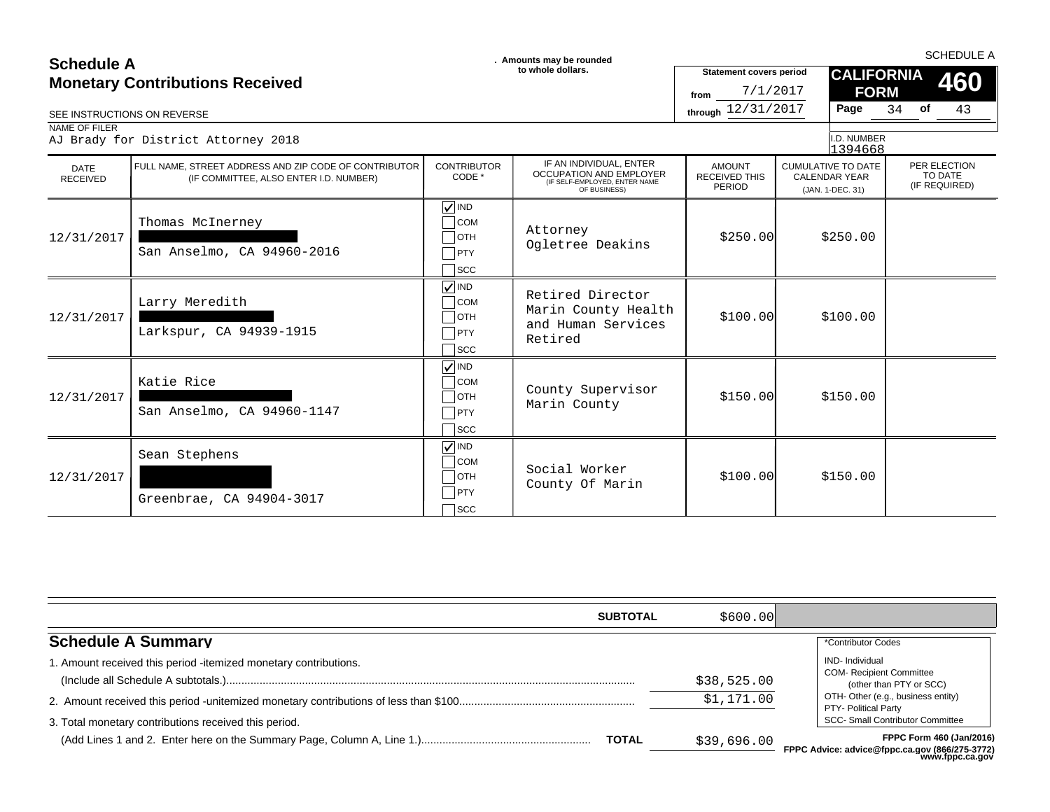### **SCHEDULE A**<br> **SCHEDULE A** SCHEDULE A SCHEDULE A **SCHEDULE A SCHEDULE A SCHEDULE A SCHEDULE A SCHEDULE A SCHEDULE A SCHEDULE A Monetary Contributions Received**

| ovnouno u<br><b>Monetary Contributions Received</b> |                                                                                                 |                                                                      | to whole dollars.                                                                                          | <b>Statement covers period</b>                  | <b>CALIFORNIA</b><br>460                                              |          |                                          |
|-----------------------------------------------------|-------------------------------------------------------------------------------------------------|----------------------------------------------------------------------|------------------------------------------------------------------------------------------------------------|-------------------------------------------------|-----------------------------------------------------------------------|----------|------------------------------------------|
|                                                     | SEE INSTRUCTIONS ON REVERSE                                                                     |                                                                      |                                                                                                            | 7/1/2017<br>from<br>through 12/31/2017          | <b>FORM</b><br>Page                                                   | of<br>34 | 43                                       |
| NAME OF FILER                                       | AJ Brady for District Attorney 2018                                                             |                                                                      |                                                                                                            |                                                 | I.D. NUMBER<br>1394668                                                |          |                                          |
| <b>DATE</b><br><b>RECEIVED</b>                      | FULL NAME. STREET ADDRESS AND ZIP CODE OF CONTRIBUTOR<br>(IF COMMITTEE, ALSO ENTER I.D. NUMBER) | <b>CONTRIBUTOR</b><br>CODE *                                         | IF AN INDIVIDUAL, ENTER<br><b>OCCUPATION AND EMPLOYER</b><br>(IF SELF-EMPLOYED, ENTER NAME<br>OF BUSINESS) | <b>AMOUNT</b><br><b>RECEIVED THIS</b><br>PERIOD | <b>CUMULATIVE TO DATE</b><br><b>CALENDAR YEAR</b><br>(JAN. 1-DEC. 31) |          | PER ELECTION<br>TO DATE<br>(IF REQUIRED) |
| 12/31/2017                                          | Thomas McInerney<br>San Anselmo, CA 94960-2016                                                  | $\sqrt{ }$ IND<br><b>COM</b><br><b>OTH</b><br>$T$ PTY<br><b>SCC</b>  | Attorney<br>Ogletree Deakins                                                                               | \$250.00                                        | \$250.00                                                              |          |                                          |
| 12/31/2017                                          | Larry Meredith<br>Larkspur, CA 94939-1915                                                       | $\sqrt{\sqrt{}}$ IND<br><b>COM</b><br>∃отн<br>PTY<br><b>SCC</b>      | Retired Director<br>Marin County Health<br>and Human Services<br>Retired                                   | \$100.00]                                       | \$100.00                                                              |          |                                          |
| 12/31/2017                                          | Katie Rice<br>San Anselmo, CA 94960-1147                                                        | $\nabla$ IND<br><b>COM</b><br><b>OTH</b><br>$\top$ PTY<br><b>SCC</b> | County Supervisor<br>Marin County                                                                          | \$150.00                                        | \$150.00                                                              |          |                                          |
| 12/31/2017                                          | Sean Stephens<br>Greenbrae, CA 94904-3017                                                       | $\sqrt{\sqrt{}}$ IND<br><b>COM</b><br><b>OTH</b><br>PTY<br>SCC       | Social Worker<br>County Of Marin                                                                           | \$100.00]                                       | \$150.00                                                              |          |                                          |

| <b>SUBTOTAL</b>                                                                                                           | \$600.00]                 |                                                                                                                                                                                              |
|---------------------------------------------------------------------------------------------------------------------------|---------------------------|----------------------------------------------------------------------------------------------------------------------------------------------------------------------------------------------|
| <b>Schedule A Summary</b>                                                                                                 |                           | *Contributor Codes                                                                                                                                                                           |
| 1. Amount received this period -itemized monetary contributions.<br>3. Total monetary contributions received this period. | \$38,525.00<br>\$1,171.00 | <b>IND-Individual</b><br><b>COM- Recipient Committee</b><br>(other than PTY or SCC)<br>OTH- Other (e.g., business entity)<br>PTY- Political Party<br><b>SCC- Small Contributor Committee</b> |
| <b>TOTAL</b>                                                                                                              | \$39,696.00               | FPPC Form 460 (Jan/2016)<br>FPPC Advice: advice@fppc.ca.gov (866/275-3772)<br>www.fppc.ca.gov                                                                                                |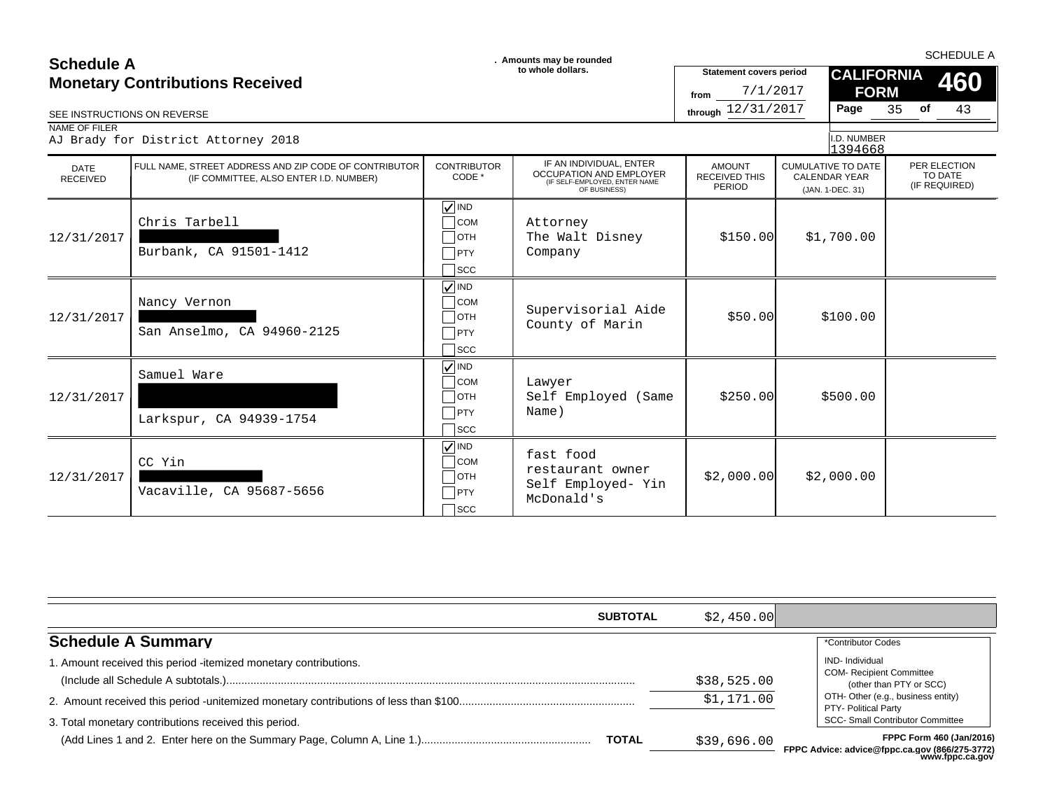| <b>Schedule A</b>                      |                                                                                                 |                                                                                | . Amounts may be rounded                                                                                   | <b>SCHEDULE A</b>                                  |                                                                       |                                          |  |  |
|----------------------------------------|-------------------------------------------------------------------------------------------------|--------------------------------------------------------------------------------|------------------------------------------------------------------------------------------------------------|----------------------------------------------------|-----------------------------------------------------------------------|------------------------------------------|--|--|
| <b>Monetary Contributions Received</b> |                                                                                                 |                                                                                | to whole dollars.                                                                                          | <b>Statement covers period</b><br>7/1/2017<br>from | <b>CALIFORNIA</b><br><b>FORM</b>                                      | 460                                      |  |  |
|                                        | SEE INSTRUCTIONS ON REVERSE                                                                     |                                                                                |                                                                                                            | through 12/31/2017                                 | Page                                                                  | 35<br>of<br>43                           |  |  |
| NAME OF FILER                          | AJ Brady for District Attorney 2018                                                             |                                                                                |                                                                                                            |                                                    | I.D. NUMBER<br>1394668                                                |                                          |  |  |
| <b>DATE</b><br><b>RECEIVED</b>         | FULL NAME. STREET ADDRESS AND ZIP CODE OF CONTRIBUTOR<br>(IF COMMITTEE, ALSO ENTER I.D. NUMBER) | <b>CONTRIBUTOR</b><br>CODE *                                                   | IF AN INDIVIDUAL, ENTER<br><b>OCCUPATION AND EMPLOYER</b><br>(IF SELF-EMPLOYED, ENTER NAME<br>OF BUSINESS) | <b>AMOUNT</b><br><b>RECEIVED THIS</b><br>PERIOD    | <b>CUMULATIVE TO DATE</b><br><b>CALENDAR YEAR</b><br>(JAN. 1-DEC. 31) | PER ELECTION<br>TO DATE<br>(IF REQUIRED) |  |  |
| 12/31/2017                             | Chris Tarbell<br>Burbank, CA 91501-1412                                                         | $\sqrt{ }$ IND<br><b>COM</b><br>∃отн<br>PTY<br><b>SCC</b>                      | Attorney<br>The Walt Disney<br>Company                                                                     | \$150.00                                           | \$1,700.00                                                            |                                          |  |  |
| 12/31/2017                             | Nancy Vernon<br>San Anselmo, CA 94960-2125                                                      | $\sqrt{\frac{1}{1}}$ IND<br><b>COM</b><br>∃отн<br>$\sqcap$ PTY<br>$\sqcap$ scc | Supervisorial Aide<br>County of Marin                                                                      | \$50.00                                            | \$100.00                                                              |                                          |  |  |
| 12/31/2017                             | Samuel Ware<br>Larkspur, CA 94939-1754                                                          | $\sqrt{ N}$ IND<br><b>COM</b><br>1отн<br>$ $ PTY<br><b>SCC</b>                 | Lawyer<br>Self Employed (Same<br>Name)                                                                     | \$250.00                                           | \$500.00                                                              |                                          |  |  |
| 12/31/2017                             | CC Yin<br>Vacaville, CA 95687-5656                                                              | $\sqrt{ }$ IND<br><b>COM</b><br><b>OTH</b><br>PTY<br>$\sqrt{\text{SCC}}$       | fast food<br>restaurant owner<br>Self Employed- Yin<br>McDonald's                                          | \$2,000.00]                                        | \$2,000.00                                                            |                                          |  |  |

|                                                                  | \$2.450.00<br><b>SUBTOTAL</b> |                                                                                                       |
|------------------------------------------------------------------|-------------------------------|-------------------------------------------------------------------------------------------------------|
| <b>Schedule A Summary</b>                                        |                               | *Contributor Codes                                                                                    |
| 1. Amount received this period -itemized monetary contributions. | \$38,525.00                   | <b>IND-</b> Individual<br><b>COM- Recipient Committee</b><br>(other than PTY or SCC)                  |
| 3. Total monetary contributions received this period.            | \$1,171.00                    | OTH- Other (e.g., business entity)<br>PTY- Political Party<br><b>SCC- Small Contributor Committee</b> |
|                                                                  | <b>TOTAL</b><br>\$39,696.00   | FPPC Form 460 (Jan/2016)<br>FPPC Advice: advice@fppc.ca.gov (866/275-3772)<br>www.fppc.ca.gov         |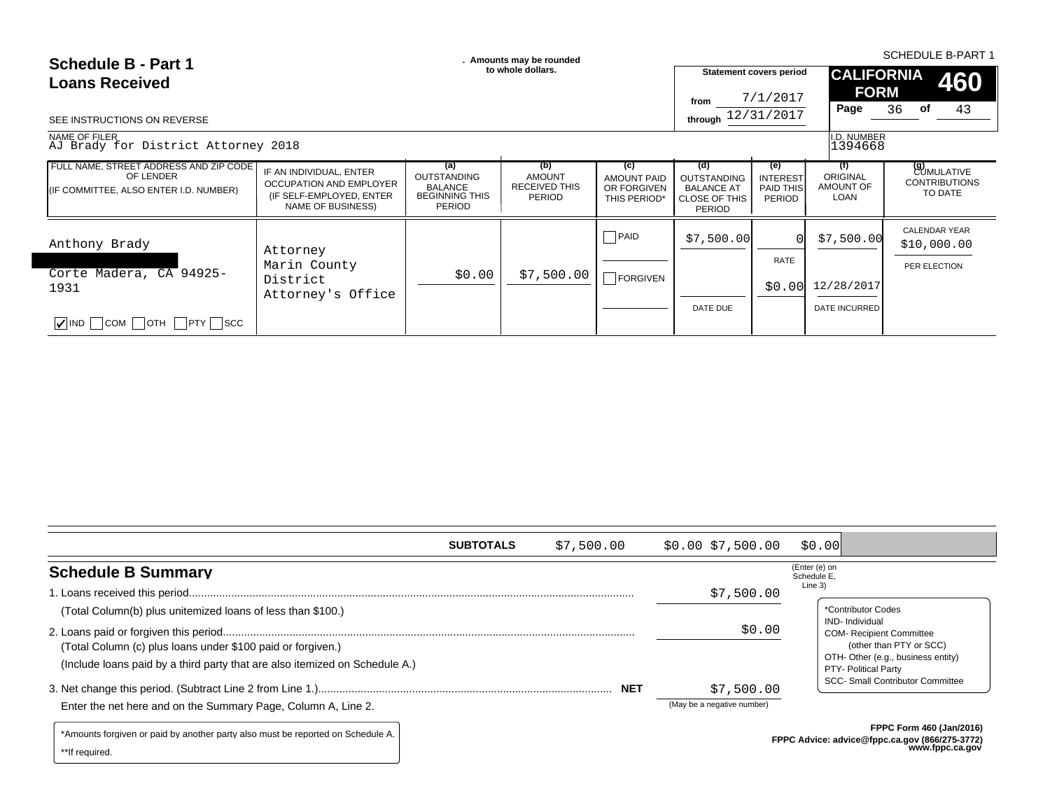| Schedule B - Part 1<br><b>Loans Received</b>                                                  |                                                                                                     | . Amounts may be rounded                                                              |                                                               |                                                          | <b>SCHEDULE B-PART 1</b>                                                         |                                                      |                                             |                                                             |
|-----------------------------------------------------------------------------------------------|-----------------------------------------------------------------------------------------------------|---------------------------------------------------------------------------------------|---------------------------------------------------------------|----------------------------------------------------------|----------------------------------------------------------------------------------|------------------------------------------------------|---------------------------------------------|-------------------------------------------------------------|
|                                                                                               |                                                                                                     |                                                                                       | to whole dollars.                                             |                                                          |                                                                                  | <b>Statement covers period</b>                       |                                             | <b>CALIFORNIA</b><br>460                                    |
|                                                                                               |                                                                                                     |                                                                                       |                                                               |                                                          | from                                                                             | 7/1/2017                                             | <b>FORM</b>                                 |                                                             |
| SEE INSTRUCTIONS ON REVERSE                                                                   |                                                                                                     |                                                                                       |                                                               |                                                          | through 12/31/2017                                                               |                                                      | Page                                        | 36 <b>of</b><br>43                                          |
| NAME OF FILER<br>AJ Brady for District Attorney 2018                                          |                                                                                                     |                                                                                       |                                                               |                                                          |                                                                                  |                                                      | I.D. NUMBER<br>1394668                      |                                                             |
| FULL NAME, STREET ADDRESS AND ZIP CODE<br>OF LENDER<br>(IF COMMITTEE, ALSO ENTER I.D. NUMBER) | IF AN INDIVIDUAL, ENTER<br>OCCUPATION AND EMPLOYER<br>(IF SELF-EMPLOYED, ENTER<br>NAME OF BUSINESS) | (a)<br><b>OUTSTANDING</b><br><b>BALANCE</b><br><b>BEGINNING THIS</b><br><b>PERIOD</b> | (b)<br><b>AMOUNT</b><br><b>RECEIVED THIS</b><br><b>PERIOD</b> | (c)<br><b>AMOUNT PAID</b><br>OR FORGIVEN<br>THIS PERIOD* | (d)<br><b>OUTSTANDING</b><br><b>BALANCE AT</b><br><b>CLOSE OF THIS</b><br>PERIOD | (e)<br><b>INTEREST</b><br>PAID THIS<br><b>PERIOD</b> | (f)<br><b>ORIGINAL</b><br>AMOUNT OF<br>LOAN | <b>(g)</b><br>CUMULATIVE<br><b>CONTRIBUTIONS</b><br>TO DATE |
| Anthony Brady                                                                                 | Attorney                                                                                            |                                                                                       |                                                               | $\Box$ PAID                                              | \$7,500.00                                                                       | ΩI                                                   | \$7,500.00                                  | CALENDAR YEAR<br>\$10,000.00                                |
| Corte Madera, CA 94925-                                                                       | Marin County<br>District                                                                            | \$0.00                                                                                | \$7,500.00                                                    | $\Box$ FORGIVEN                                          |                                                                                  | <b>RATE</b>                                          |                                             | PER ELECTION                                                |
| 1931                                                                                          | Attorney's Office                                                                                   |                                                                                       |                                                               |                                                          |                                                                                  | \$0.00 l                                             | 12/28/2017                                  |                                                             |
| $\sqrt{\ }$ IND $\Box$ COM $\Box$ OTH $\Box$ PTY $\Box$ SCC                                   |                                                                                                     |                                                                                       |                                                               |                                                          | DATE DUE                                                                         |                                                      | DATE INCURRED                               |                                                             |
|                                                                                               |                                                                                                     |                                                                                       |                                                               |                                                          |                                                                                  |                                                      |                                             |                                                             |

|                                                                                 | <b>SUBTOTALS</b> | \$7,500.00 | \$0.00 \$7,500.00          | \$0.00                       |                                                                              |
|---------------------------------------------------------------------------------|------------------|------------|----------------------------|------------------------------|------------------------------------------------------------------------------|
| <b>Schedule B Summary</b>                                                       |                  |            |                            | (Enter (e) on<br>Schedule E, |                                                                              |
|                                                                                 |                  |            | \$7,500.00                 | Line 3)                      |                                                                              |
| (Total Column(b) plus unitemized loans of less than \$100.)                     |                  |            |                            |                              | *Contributor Codes                                                           |
| (Total Column (c) plus loans under \$100 paid or forgiven.)                     |                  |            | \$0.00                     |                              | IND-Individual<br><b>COM- Recipient Committee</b><br>(other than PTY or SCC) |
| (Include loans paid by a third party that are also itemized on Schedule A.)     |                  |            |                            |                              | OTH- Other (e.g., business entity)<br>PTY- Political Party                   |
|                                                                                 |                  |            | \$7,500.00                 |                              | <b>SCC- Small Contributor Committee</b>                                      |
| Enter the net here and on the Summary Page, Column A, Line 2.                   |                  |            | (May be a negative number) |                              |                                                                              |
| *Amounts forgiven or paid by another party also must be reported on Schedule A. |                  |            |                            |                              | <b>FPPC Form 460 (Jan/2016)</b>                                              |

\*\*If required.

**FPPC Advice: advice@fppc.ca.gov (866/275-3772) www.fppc.ca.gov**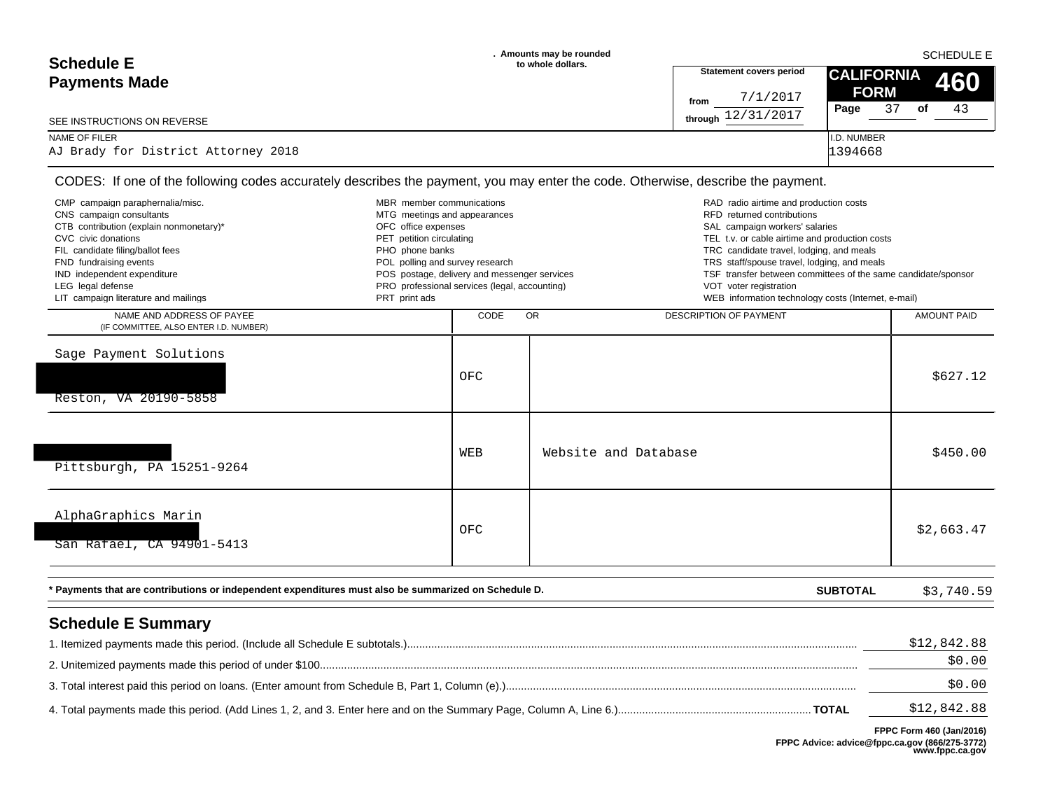| <b>Schedule E</b>                   | . Amounts may be rounded<br>to whole dollars. | <b>SCHEDULE E</b>              |                                 |  |  |  |
|-------------------------------------|-----------------------------------------------|--------------------------------|---------------------------------|--|--|--|
| <b>Payments Made</b>                |                                               | <b>Statement covers period</b> | <b>CALIFORNIA</b><br><b>460</b> |  |  |  |
|                                     |                                               | 7/1/2017<br>from               | <b>FORM</b>                     |  |  |  |
| SEE INSTRUCTIONS ON REVERSE         |                                               | through $12/31/2017$           | 43<br>37<br>Page<br>of          |  |  |  |
| NAME OF FILER                       |                                               |                                | I.D. NUMBER                     |  |  |  |
| AJ Brady for District Attorney 2018 |                                               |                                | 1394668                         |  |  |  |

| CMP campaign paraphernalia/misc.<br>CNS campaign consultants<br>CTB contribution (explain nonmonetary)*<br>CVC civic donations<br>FIL candidate filing/ballot fees<br>FND fundraising events<br>IND independent expenditure<br>LEG legal defense<br>LIT campaign literature and mailings | MBR member communications<br>MTG meetings and appearances<br>OFC office expenses<br>PET petition circulating<br>PHO phone banks<br>POL polling and survey research<br>POS postage, delivery and messenger services<br>PRO professional services (legal, accounting)<br>PRT print ads |      | RAD radio airtime and production costs<br>RFD returned contributions<br>SAL campaign workers' salaries<br>TEL t.v. or cable airtime and production costs<br>TRC candidate travel, lodging, and meals<br>TRS staff/spouse travel, lodging, and meals<br>TSF transfer between committees of the same candidate/sponsor<br>VOT voter registration<br>WEB information technology costs (Internet, e-mail) |                       |
|------------------------------------------------------------------------------------------------------------------------------------------------------------------------------------------------------------------------------------------------------------------------------------------|--------------------------------------------------------------------------------------------------------------------------------------------------------------------------------------------------------------------------------------------------------------------------------------|------|-------------------------------------------------------------------------------------------------------------------------------------------------------------------------------------------------------------------------------------------------------------------------------------------------------------------------------------------------------------------------------------------------------|-----------------------|
| NAME AND ADDRESS OF PAYEE<br>(IF COMMITTEE, ALSO ENTER I.D. NUMBER)                                                                                                                                                                                                                      |                                                                                                                                                                                                                                                                                      | CODE | $\overline{OR}$<br><b>DESCRIPTION OF PAYMENT</b>                                                                                                                                                                                                                                                                                                                                                      | <b>AMOUNT PAID</b>    |
| Sage Payment Solutions<br>Reston, VA 20190-5858                                                                                                                                                                                                                                          |                                                                                                                                                                                                                                                                                      | OFC  |                                                                                                                                                                                                                                                                                                                                                                                                       | \$627.12              |
| Pittsburgh, PA 15251-9264                                                                                                                                                                                                                                                                |                                                                                                                                                                                                                                                                                      | WEB  | Website and Database                                                                                                                                                                                                                                                                                                                                                                                  | \$450.00              |
| AlphaGraphics Marin<br>San Rafael, CA 94901-5413                                                                                                                                                                                                                                         |                                                                                                                                                                                                                                                                                      | OFC  |                                                                                                                                                                                                                                                                                                                                                                                                       | \$2,663.47            |
| * Payments that are contributions or independent expenditures must also be summarized on Schedule D.                                                                                                                                                                                     |                                                                                                                                                                                                                                                                                      |      | <b>SUBTOTAL</b>                                                                                                                                                                                                                                                                                                                                                                                       | \$3,740.59            |
| <b>Schedule E Summary</b>                                                                                                                                                                                                                                                                |                                                                                                                                                                                                                                                                                      |      |                                                                                                                                                                                                                                                                                                                                                                                                       | \$12,842.88<br>\$0.00 |

\$12,842.88 3. Total interest paid this period on loans. (Enter amount from Schedule B, Part 1, Column (e).).................................................................................................................... \$0.00 4. Total payments made this period. (Add Lines 1, 2, and 3. Enter here and on the Summary Page, Column A, Line 6.)................................................................ **TOTAL**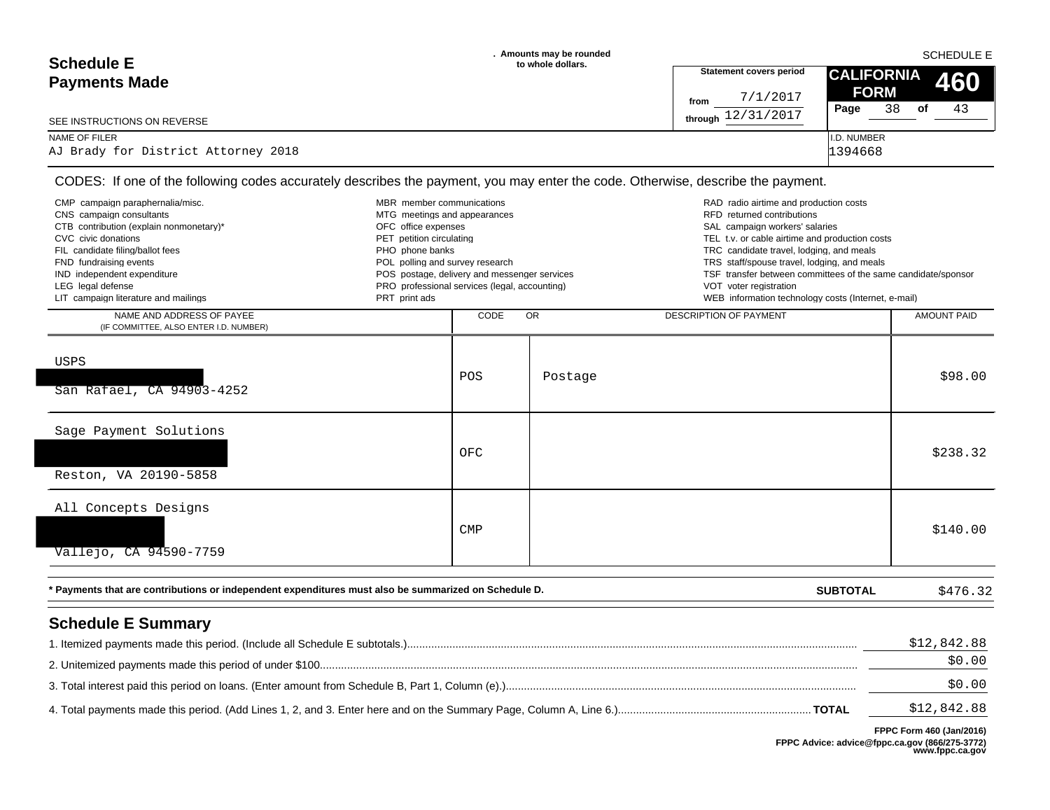| <b>Schedule E</b>                   | . Amounts may be rounded<br>to whole dollars. |                                | <b>SCHEDULE E</b>   |            |     |  |
|-------------------------------------|-----------------------------------------------|--------------------------------|---------------------|------------|-----|--|
| <b>Payments Made</b>                |                                               | <b>Statement covers period</b> | <b>CALIFORNIA</b>   |            | 460 |  |
|                                     |                                               | 7/1/2017<br>from               | <b>FORM</b><br>Page | 38<br>. of | 43  |  |
| SEE INSTRUCTIONS ON REVERSE         |                                               | 12/31/2017<br>through          |                     |            |     |  |
| NAME OF FILER                       |                                               |                                | I.D. NUMBER         |            |     |  |
| AJ Brady for District Attorney 2018 |                                               |                                | 1394668             |            |     |  |

| CMP campaign paraphernalia/misc.<br>CNS campaign consultants<br>CTB contribution (explain nonmonetary)*<br>CVC civic donations<br>FIL candidate filing/ballot fees<br>FND fundraising events<br>IND independent expenditure<br>LEG legal defense<br>LIT campaign literature and mailings | MBR member communications<br>MTG meetings and appearances<br>OFC office expenses<br>PET petition circulating<br>PHO phone banks<br>POL polling and survey research<br>POS postage, delivery and messenger services<br>PRO professional services (legal, accounting)<br>PRT print ads |            |           | RAD radio airtime and production costs<br>RFD returned contributions<br>SAL campaign workers' salaries<br>TEL t.v. or cable airtime and production costs<br>TRC candidate travel, lodging, and meals<br>TRS staff/spouse travel, lodging, and meals<br>TSF transfer between committees of the same candidate/sponsor<br>VOT voter registration<br>WEB information technology costs (Internet, e-mail) |                       |
|------------------------------------------------------------------------------------------------------------------------------------------------------------------------------------------------------------------------------------------------------------------------------------------|--------------------------------------------------------------------------------------------------------------------------------------------------------------------------------------------------------------------------------------------------------------------------------------|------------|-----------|-------------------------------------------------------------------------------------------------------------------------------------------------------------------------------------------------------------------------------------------------------------------------------------------------------------------------------------------------------------------------------------------------------|-----------------------|
| NAME AND ADDRESS OF PAYEE<br>(IF COMMITTEE, ALSO ENTER I.D. NUMBER)                                                                                                                                                                                                                      |                                                                                                                                                                                                                                                                                      | CODE       | <b>OR</b> | <b>DESCRIPTION OF PAYMENT</b>                                                                                                                                                                                                                                                                                                                                                                         | <b>AMOUNT PAID</b>    |
| USPS<br>San Rafael, CA 94903-4252                                                                                                                                                                                                                                                        |                                                                                                                                                                                                                                                                                      | POS        | Postage   |                                                                                                                                                                                                                                                                                                                                                                                                       | \$98.00               |
| Sage Payment Solutions<br>Reston, VA 20190-5858                                                                                                                                                                                                                                          |                                                                                                                                                                                                                                                                                      | OFC        |           |                                                                                                                                                                                                                                                                                                                                                                                                       | \$238.32              |
| All Concepts Designs<br>Vallejo, CA 94590-7759                                                                                                                                                                                                                                           |                                                                                                                                                                                                                                                                                      | <b>CMP</b> |           |                                                                                                                                                                                                                                                                                                                                                                                                       | \$140.00              |
| * Payments that are contributions or independent expenditures must also be summarized on Schedule D.                                                                                                                                                                                     |                                                                                                                                                                                                                                                                                      |            |           | <b>SUBTOTAL</b>                                                                                                                                                                                                                                                                                                                                                                                       | \$476.32              |
| <b>Schedule E Summary</b>                                                                                                                                                                                                                                                                |                                                                                                                                                                                                                                                                                      |            |           |                                                                                                                                                                                                                                                                                                                                                                                                       | \$12,842.88<br>\$0.00 |
|                                                                                                                                                                                                                                                                                          |                                                                                                                                                                                                                                                                                      |            |           |                                                                                                                                                                                                                                                                                                                                                                                                       | \$0.00                |

\$12,842.88 4. Total payments made this period. (Add Lines 1, 2, and 3. Enter here and on the Summary Page, Column A, Line 6.)................................................................ **TOTAL**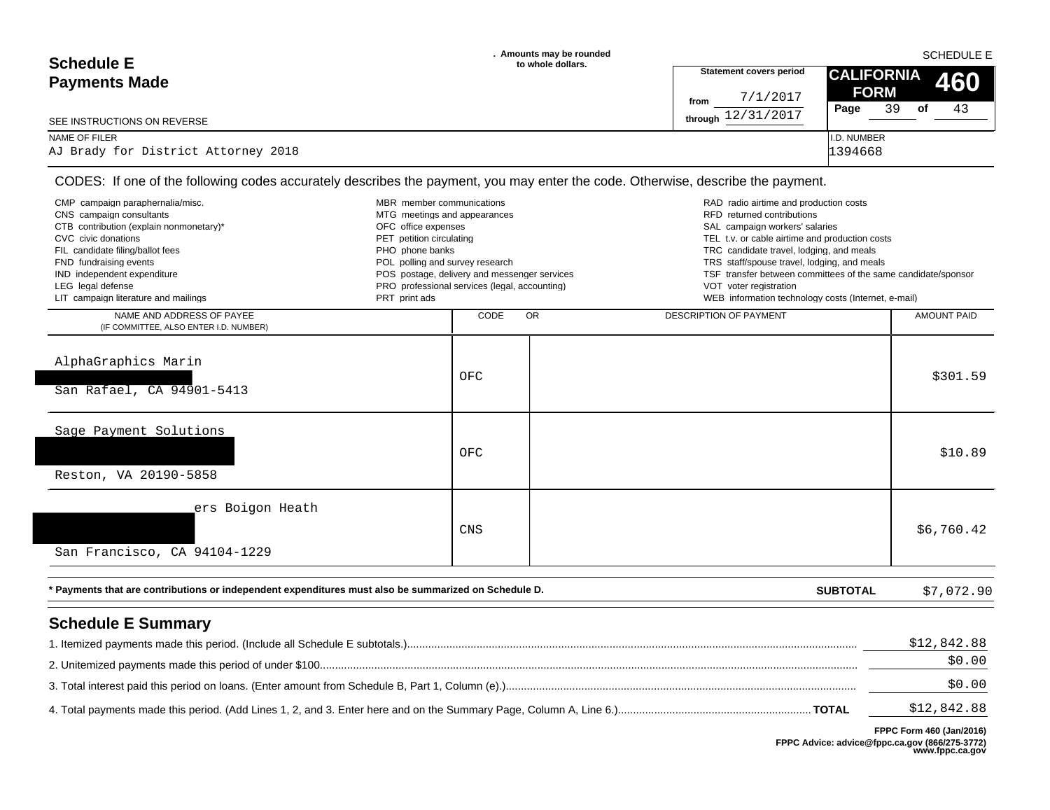| <b>Schedule E</b>                            | . Amounts may be rounded<br>to whole dollars. |                                        | <b>SCHEDULE E</b>                     |
|----------------------------------------------|-----------------------------------------------|----------------------------------------|---------------------------------------|
| <b>Payments Made</b>                         |                                               | <b>Statement covers period</b>         | <b>CALIFORNIA</b><br><b>460</b>       |
|                                              |                                               | 7/1/2017<br>from<br>through 12/31/2017 | <b>FORM</b><br>39<br>43<br>Page<br>of |
| SEE INSTRUCTIONS ON REVERSE<br>NAME OF FILER |                                               |                                        | <b>I.D. NUMBER</b>                    |
| AJ Brady for District Attorney 2018          |                                               |                                        | 1394668                               |

| CMP campaign paraphernalia/misc.<br>MBR member communications<br>CNS campaign consultants            |                                                     |                                               |    | RAD radio airtime and production costs                                                                       |             |
|------------------------------------------------------------------------------------------------------|-----------------------------------------------------|-----------------------------------------------|----|--------------------------------------------------------------------------------------------------------------|-------------|
| CTB contribution (explain nonmonetary)*                                                              | MTG meetings and appearances<br>OFC office expenses |                                               |    | RFD returned contributions<br>SAL campaign workers' salaries                                                 |             |
| CVC civic donations                                                                                  | PET petition circulating                            |                                               |    | TEL t.v. or cable airtime and production costs                                                               |             |
| FIL candidate filing/ballot fees                                                                     | PHO phone banks                                     |                                               |    | TRC candidate travel, lodging, and meals                                                                     |             |
| FND fundraising events<br>IND independent expenditure                                                | POL polling and survey research                     | POS postage, delivery and messenger services  |    | TRS staff/spouse travel, lodging, and meals<br>TSF transfer between committees of the same candidate/sponsor |             |
| LEG legal defense                                                                                    |                                                     | PRO professional services (legal, accounting) |    | VOT voter registration                                                                                       |             |
| LIT campaign literature and mailings                                                                 | PRT print ads                                       |                                               |    | WEB information technology costs (Internet, e-mail)                                                          |             |
| NAME AND ADDRESS OF PAYEE<br>(IF COMMITTEE, ALSO ENTER I.D. NUMBER)                                  |                                                     | CODE                                          | OR | DESCRIPTION OF PAYMENT                                                                                       | AMOUNT PAID |
|                                                                                                      |                                                     |                                               |    |                                                                                                              |             |
| AlphaGraphics Marin                                                                                  |                                                     |                                               |    |                                                                                                              |             |
|                                                                                                      |                                                     | OFC                                           |    |                                                                                                              | \$301.59    |
| San Rafael, CA 94901-5413                                                                            |                                                     |                                               |    |                                                                                                              |             |
| Sage Payment Solutions                                                                               |                                                     |                                               |    |                                                                                                              |             |
|                                                                                                      |                                                     | OFC                                           |    |                                                                                                              | \$10.89     |
| Reston, VA 20190-5858                                                                                |                                                     |                                               |    |                                                                                                              |             |
|                                                                                                      |                                                     |                                               |    |                                                                                                              |             |
| ers Boigon Heath                                                                                     |                                                     |                                               |    |                                                                                                              |             |
|                                                                                                      |                                                     | <b>CNS</b>                                    |    |                                                                                                              | \$6,760.42  |
|                                                                                                      |                                                     |                                               |    |                                                                                                              |             |
| San Francisco, CA 94104-1229                                                                         |                                                     |                                               |    |                                                                                                              |             |
| * Payments that are contributions or independent expenditures must also be summarized on Schedule D. |                                                     |                                               |    | <b>SUBTOTAL</b>                                                                                              | \$7,072.90  |
| <b>Schedule E Summary</b>                                                                            |                                                     |                                               |    |                                                                                                              |             |
|                                                                                                      |                                                     |                                               |    |                                                                                                              | \$12,842.88 |
|                                                                                                      |                                                     |                                               |    |                                                                                                              |             |
|                                                                                                      |                                                     |                                               |    |                                                                                                              | \$0.00      |
|                                                                                                      |                                                     |                                               |    |                                                                                                              | \$0.00      |

\$12,842.88 4. Total payments made this period. (Add Lines 1, 2, and 3. Enter here and on the Summary Page, Column A, Line 6.)................................................................ **TOTAL**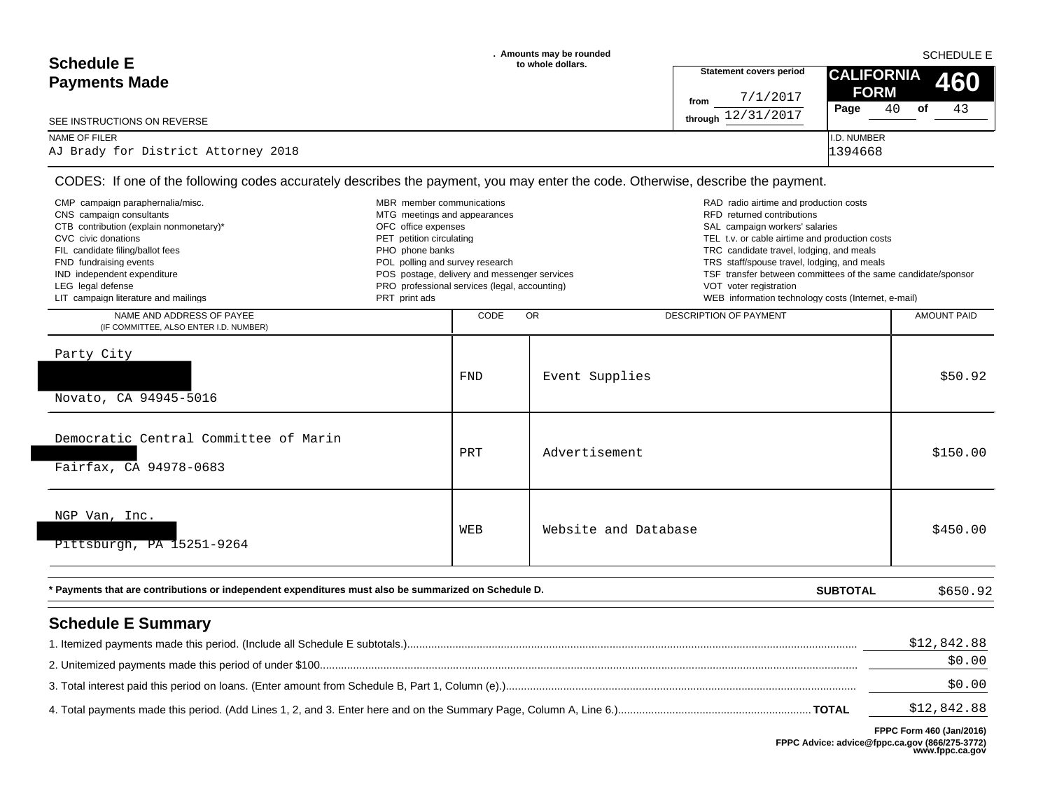| <b>Schedule E</b>                   | . Amounts may be rounded<br>to whole dollars. |                                           | <b>SCHEDULE E</b>               |     |  |
|-------------------------------------|-----------------------------------------------|-------------------------------------------|---------------------------------|-----|--|
| <b>Payments Made</b>                |                                               | <b>Statement covers period</b>            | <b>CALIFORNIA</b>               | 460 |  |
|                                     |                                               | 7/1/2017<br>from<br>12/31/2017<br>throuah | <b>FORM</b><br>Page<br>40<br>οf | 43  |  |
| SEE INSTRUCTIONS ON REVERSE         |                                               |                                           |                                 |     |  |
| NAME OF FILER                       |                                               |                                           | <b>I.D. NUMBER</b>              |     |  |
| AJ Brady for District Attorney 2018 |                                               |                                           | 1394668                         |     |  |

 $\overline{\phantom{a}}$ 

| CMP campaign paraphernalia/misc.<br>CNS campaign consultants<br>CTB contribution (explain nonmonetary)*<br>CVC civic donations<br>FIL candidate filing/ballot fees<br>FND fundraising events<br>IND independent expenditure<br>LEG legal defense<br>LIT campaign literature and mailings | MBR member communications<br>MTG meetings and appearances<br>OFC office expenses<br>PET petition circulating<br>PHO phone banks<br>POL polling and survey research<br>PRT print ads | POS postage, delivery and messenger services<br>PRO professional services (legal, accounting) | RAD radio airtime and production costs<br>RFD returned contributions<br>SAL campaign workers' salaries<br>TEL t.v. or cable airtime and production costs<br>TRC candidate travel, lodging, and meals<br>TRS staff/spouse travel, lodging, and meals<br>TSF transfer between committees of the same candidate/sponsor<br>VOT voter registration<br>WEB information technology costs (Internet, e-mail) |                       |
|------------------------------------------------------------------------------------------------------------------------------------------------------------------------------------------------------------------------------------------------------------------------------------------|-------------------------------------------------------------------------------------------------------------------------------------------------------------------------------------|-----------------------------------------------------------------------------------------------|-------------------------------------------------------------------------------------------------------------------------------------------------------------------------------------------------------------------------------------------------------------------------------------------------------------------------------------------------------------------------------------------------------|-----------------------|
| NAME AND ADDRESS OF PAYEE<br>(IF COMMITTEE, ALSO ENTER I.D. NUMBER)                                                                                                                                                                                                                      |                                                                                                                                                                                     | CODE                                                                                          | OR<br>DESCRIPTION OF PAYMENT                                                                                                                                                                                                                                                                                                                                                                          | AMOUNT PAID           |
| Party City<br>Novato, CA 94945-5016                                                                                                                                                                                                                                                      |                                                                                                                                                                                     | <b>FND</b>                                                                                    | Event Supplies                                                                                                                                                                                                                                                                                                                                                                                        | \$50.92               |
| Democratic Central Committee of Marin<br>Fairfax, CA 94978-0683                                                                                                                                                                                                                          |                                                                                                                                                                                     | PRT                                                                                           | Advertisement                                                                                                                                                                                                                                                                                                                                                                                         | \$150.00              |
| NGP Van, Inc.<br>Pittsburgh, PA 15251-9264                                                                                                                                                                                                                                               |                                                                                                                                                                                     | WEB                                                                                           | Website and Database                                                                                                                                                                                                                                                                                                                                                                                  | \$450.00              |
| * Payments that are contributions or independent expenditures must also be summarized on Schedule D.                                                                                                                                                                                     |                                                                                                                                                                                     |                                                                                               | <b>SUBTOTAL</b>                                                                                                                                                                                                                                                                                                                                                                                       | \$650.92              |
| <b>Schedule E Summary</b>                                                                                                                                                                                                                                                                |                                                                                                                                                                                     |                                                                                               |                                                                                                                                                                                                                                                                                                                                                                                                       | \$12,842.88<br>\$0.00 |
|                                                                                                                                                                                                                                                                                          |                                                                                                                                                                                     |                                                                                               |                                                                                                                                                                                                                                                                                                                                                                                                       | \$0.00                |

\$12,842.88 4. Total payments made this period. (Add Lines 1, 2, and 3. Enter here and on the Summary Page, Column A, Line 6.)................................................................ **TOTAL**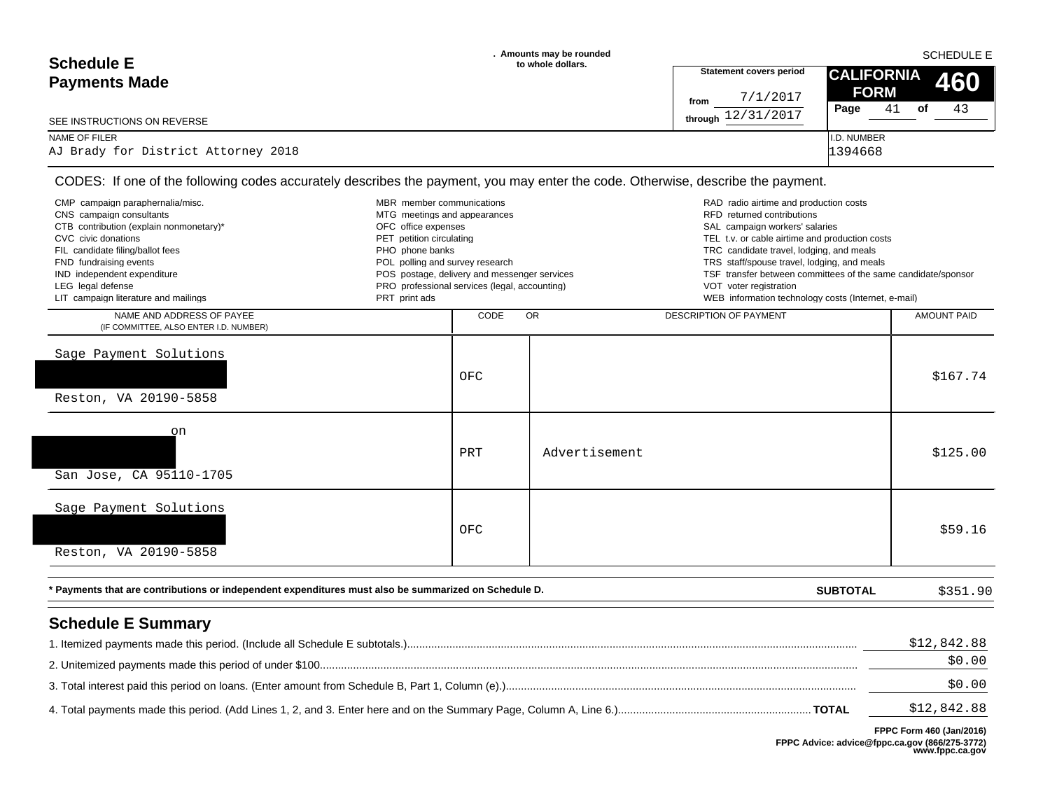| <b>Schedule E</b>                                    | . Amounts may be rounded<br>to whole dollars. |                                | <b>SCHEDULE E</b>               |
|------------------------------------------------------|-----------------------------------------------|--------------------------------|---------------------------------|
| <b>Payments Made</b>                                 |                                               | <b>Statement covers period</b> | <b>CALIFORNIA</b><br><b>460</b> |
|                                                      |                                               | 7/1/2017<br>from               | <b>FORM</b>                     |
| SEE INSTRUCTIONS ON REVERSE                          |                                               | through $12/31/2017$           | 43<br>41<br>Page<br>of          |
| NAME OF FILER<br>AJ Brady for District Attorney 2018 |                                               |                                | I.D. NUMBER<br>1394668          |
|                                                      |                                               |                                |                                 |

| CMP campaign paraphernalia/misc.<br>CNS campaign consultants<br>CTB contribution (explain nonmonetary)*<br>CVC civic donations<br>FIL candidate filing/ballot fees<br>FND fundraising events<br>IND independent expenditure<br>LEG legal defense<br>LIT campaign literature and mailings | MBR member communications<br>MTG meetings and appearances<br>OFC office expenses<br>PET petition circulating<br>PHO phone banks<br>POL polling and survey research<br>PRT print ads | POS postage, delivery and messenger services<br>PRO professional services (legal, accounting) |               | RAD radio airtime and production costs<br>RFD returned contributions<br>SAL campaign workers' salaries<br>TEL t.v. or cable airtime and production costs<br>TRC candidate travel, lodging, and meals<br>TRS staff/spouse travel, lodging, and meals<br>TSF transfer between committees of the same candidate/sponsor<br>VOT voter registration<br>WEB information technology costs (Internet, e-mail) |                       |
|------------------------------------------------------------------------------------------------------------------------------------------------------------------------------------------------------------------------------------------------------------------------------------------|-------------------------------------------------------------------------------------------------------------------------------------------------------------------------------------|-----------------------------------------------------------------------------------------------|---------------|-------------------------------------------------------------------------------------------------------------------------------------------------------------------------------------------------------------------------------------------------------------------------------------------------------------------------------------------------------------------------------------------------------|-----------------------|
| NAME AND ADDRESS OF PAYEE<br>(IF COMMITTEE, ALSO ENTER I.D. NUMBER)                                                                                                                                                                                                                      |                                                                                                                                                                                     | CODE                                                                                          | <b>OR</b>     | <b>DESCRIPTION OF PAYMENT</b>                                                                                                                                                                                                                                                                                                                                                                         | <b>AMOUNT PAID</b>    |
| Sage Payment Solutions<br>Reston, VA 20190-5858                                                                                                                                                                                                                                          |                                                                                                                                                                                     | OFC                                                                                           |               |                                                                                                                                                                                                                                                                                                                                                                                                       | \$167.74              |
| on<br>San Jose, CA 95110-1705                                                                                                                                                                                                                                                            |                                                                                                                                                                                     | PRT                                                                                           | Advertisement |                                                                                                                                                                                                                                                                                                                                                                                                       | \$125.00              |
| Sage Payment Solutions<br>Reston, VA 20190-5858                                                                                                                                                                                                                                          |                                                                                                                                                                                     | OFC                                                                                           |               |                                                                                                                                                                                                                                                                                                                                                                                                       | \$59.16               |
| * Payments that are contributions or independent expenditures must also be summarized on Schedule D.                                                                                                                                                                                     |                                                                                                                                                                                     |                                                                                               |               | <b>SUBTOTAL</b>                                                                                                                                                                                                                                                                                                                                                                                       | \$351.90              |
| <b>Schedule E Summary</b>                                                                                                                                                                                                                                                                |                                                                                                                                                                                     |                                                                                               |               |                                                                                                                                                                                                                                                                                                                                                                                                       | \$12,842.88<br>\$0.00 |
|                                                                                                                                                                                                                                                                                          |                                                                                                                                                                                     |                                                                                               |               |                                                                                                                                                                                                                                                                                                                                                                                                       |                       |

\$12,842.88 3. Total interest paid this period on loans. (Enter amount from Schedule B, Part 1, Column (e).).................................................................................................................... \$0.00 4. Total payments made this period. (Add Lines 1, 2, and 3. Enter here and on the Summary Page, Column A, Line 6.)................................................................ **TOTAL**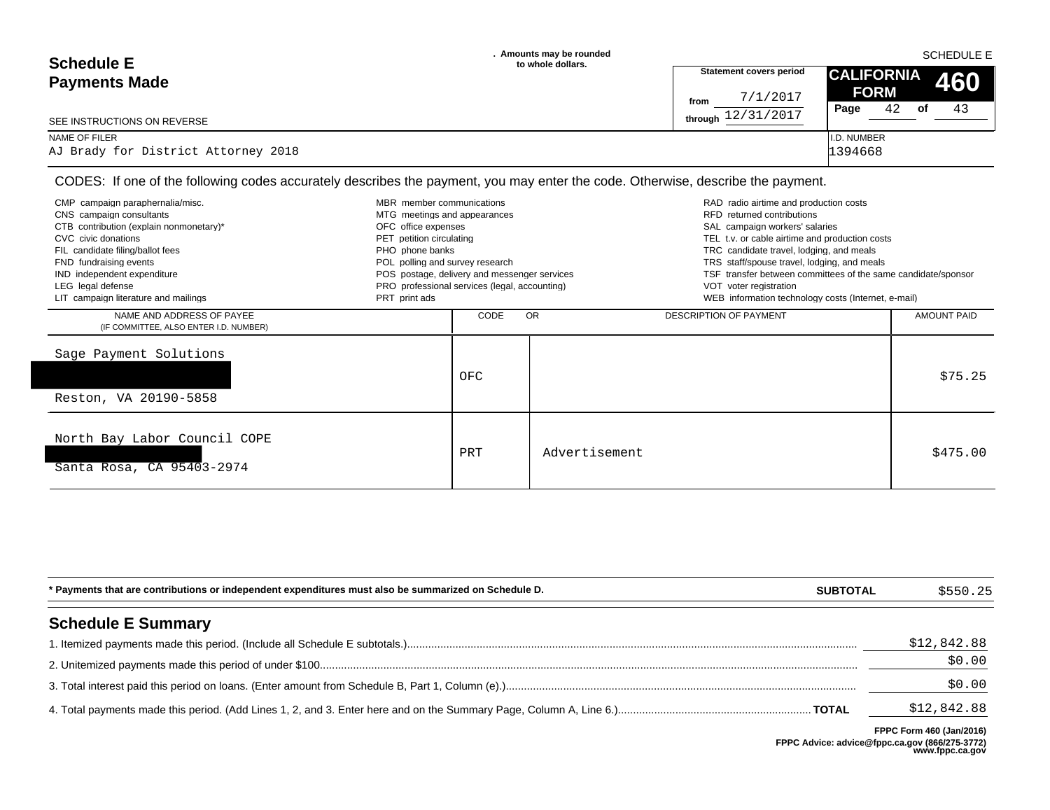| <b>Schedule E</b>                   | . Amounts may be rounded<br>to whole dollars. |                                | <b>SCHEDULE E</b>  |            |  |
|-------------------------------------|-----------------------------------------------|--------------------------------|--------------------|------------|--|
| <b>Payments Made</b>                |                                               | <b>Statement covers period</b> | <b>CALIFORNIA</b>  | <b>460</b> |  |
|                                     |                                               | 7/1/2017<br>from               | <b>FORM</b>        |            |  |
| SEE INSTRUCTIONS ON REVERSE         |                                               | 12/31/2017<br>throuah          | Page<br>42<br>of   | 43         |  |
| NAME OF FILER                       |                                               |                                | <b>I.D. NUMBER</b> |            |  |
| AJ Brady for District Attorney 2018 |                                               |                                | 1394668            |            |  |

| CMP campaign paraphernalia/misc.<br>CNS campaign consultants<br>CTB contribution (explain nonmonetary)*<br>CVC civic donations<br>FIL candidate filing/ballot fees<br>FND fundraising events<br>IND independent expenditure<br>LEG legal defense<br>LIT campaign literature and mailings | MBR member communications<br>MTG meetings and appearances<br>OFC office expenses<br>PET petition circulating<br>PHO phone banks<br>POL polling and survey research<br>POS postage, delivery and messenger services<br>PRO professional services (legal, accounting)<br>PRT print ads |      | RAD radio airtime and production costs<br>RFD returned contributions<br>SAL campaign workers' salaries<br>TEL t.v. or cable airtime and production costs<br>TRC candidate travel, lodging, and meals<br>TRS staff/spouse travel, lodging, and meals<br>TSF transfer between committees of the same candidate/sponsor<br>VOT voter registration<br>WEB information technology costs (Internet, e-mail) |                               |                    |
|------------------------------------------------------------------------------------------------------------------------------------------------------------------------------------------------------------------------------------------------------------------------------------------|--------------------------------------------------------------------------------------------------------------------------------------------------------------------------------------------------------------------------------------------------------------------------------------|------|-------------------------------------------------------------------------------------------------------------------------------------------------------------------------------------------------------------------------------------------------------------------------------------------------------------------------------------------------------------------------------------------------------|-------------------------------|--------------------|
| NAME AND ADDRESS OF PAYEE<br>(IF COMMITTEE, ALSO ENTER I.D. NUMBER)                                                                                                                                                                                                                      |                                                                                                                                                                                                                                                                                      | CODE | <b>OR</b>                                                                                                                                                                                                                                                                                                                                                                                             | <b>DESCRIPTION OF PAYMENT</b> | <b>AMOUNT PAID</b> |
| Sage Payment Solutions<br>Reston, VA 20190-5858                                                                                                                                                                                                                                          |                                                                                                                                                                                                                                                                                      | OFC  |                                                                                                                                                                                                                                                                                                                                                                                                       |                               | \$75.25            |
| North Bay Labor Council COPE<br>Santa Rosa, CA 95403-2974                                                                                                                                                                                                                                |                                                                                                                                                                                                                                                                                      | PRT  | Advertisement                                                                                                                                                                                                                                                                                                                                                                                         |                               | \$475.00           |

| * Payments that are contributions or independent expenditures must also be summarized on Schedule D. | <b>SUBTOTAL</b> | \$550.25    |
|------------------------------------------------------------------------------------------------------|-----------------|-------------|
| <b>Schedule E Summary</b>                                                                            |                 |             |
|                                                                                                      |                 | \$12,842.88 |
|                                                                                                      |                 | \$0.00      |
|                                                                                                      |                 | \$0.00      |
|                                                                                                      |                 | \$12,842.88 |